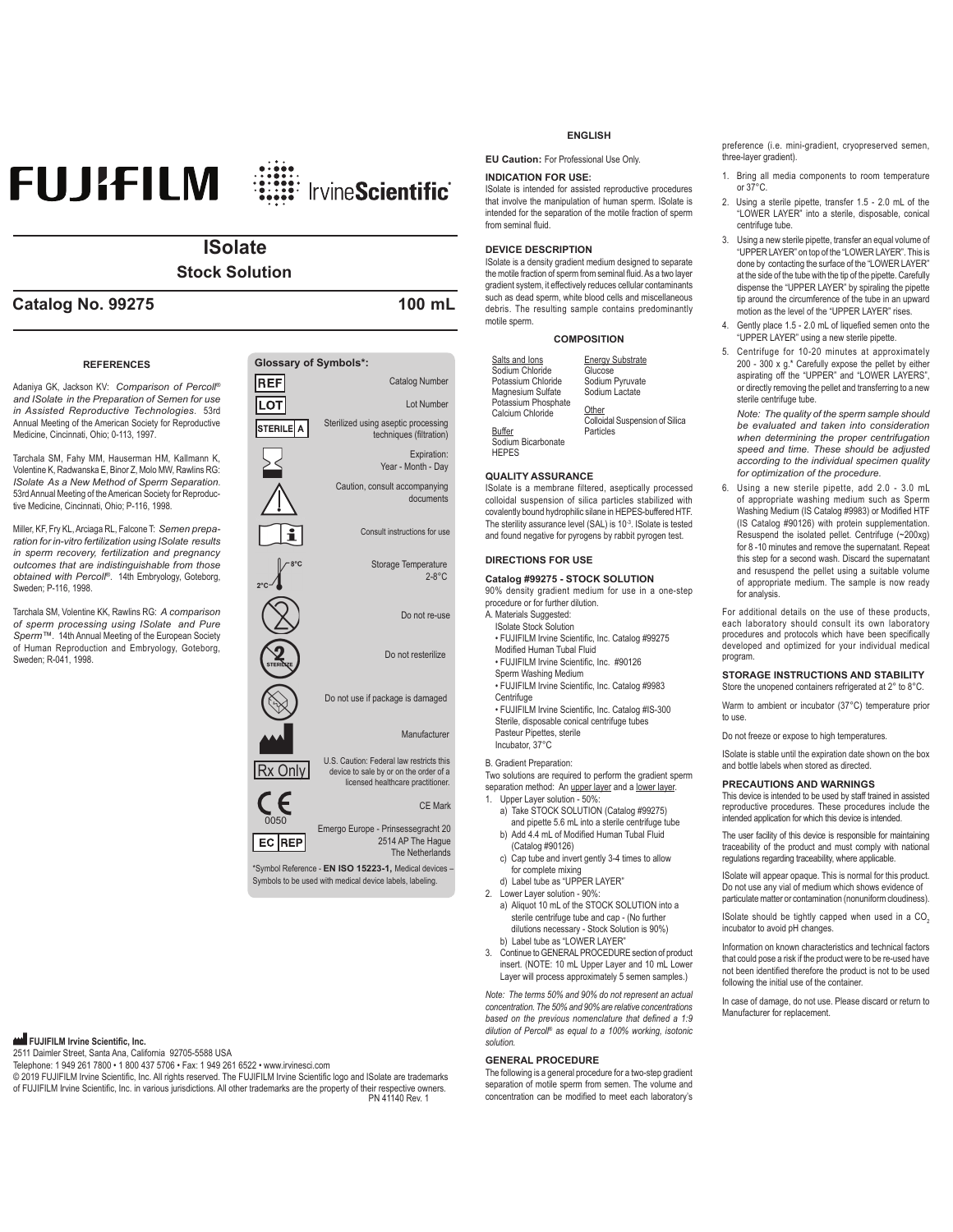# **FUJIFILM ille InvineScientific**

# **ISolate Stock Solution**

## **Catalog No. 99275 100 mL**

#### **REFERENCES**

Adaniya GK. Jackson KV: Comparison of Percoll® *and ISolate in the Preparation of Semen for use in Assisted Reproductive Technologies*. 53rd Annual Meeting of the American Society for Reproductive Medicine, Cincinnati, Ohio; 0-113, 1997.

Tarchala SM, Fahy MM, Hauserman HM, Kallmann K, Volentine K, Radwanska E, Binor Z, Molo MW. Rawlins RG: *ISolate As a New Method of Sperm Separation*. 53rd Annual Meeting of the American Society for Reproductive Medicine, Cincinnati, Ohio; P-116, 1998.

Miller, KF, Fry KL, Arciaga RL, Falcone T: Semen prepa*ration for in-vitro fertilization using ISolate results in sperm recovery, fertilization and pregnancy outcomes that are indistinguishable from those obtained with Percoll®.* 14th Embryology, Goteborg, Sweden: P-116, 1998.

Tarchala SM, Volentine KK, Rawlins RG: A comparison *of sperm processing using ISolate and Pure*  Sperm<sup>™</sup>. 14th Annual Meeting of the European Society of Human Reproduction and Embryology, Goteborg, Sweden; R-041, 1998.

# Expiration:  $\lt$ Year - Month - Dav

0050  $EC$  REP

> \*Symbol Reference - EN ISO 15223-1, Medical devices -Symbols to be used with medical device labels, labeling.

Emergo Europe - Prinsessegracht 20

2514 AP The Hague The Netherlands

### **FUJIFILM Irvine Scientific, Inc.**

2511 Daimler Street, Santa Ana, California 92705-5588 USA

Telephone: 1 949 261 7800 • 1 800 437 5706 • Fax: 1 949 261 6522 • www.irvinesci.com

© 2019 FUJIFILM Irvine Scientific, Inc. All rights reserved. The FUJIFILM Irvine Scientific logo and ISolate are trademarks of FUJIFILM Irvine Scientific, Inc. in various jurisdictions. All other trademarks are the property of their respective owners.<br>1140 Rev. 1 PN 41140 Rev.

#### **ENGLISH**

**EU Caution:** For Professional Use Only.

#### **INDICATION FOR USE:**

ISolate is intended for assisted reproductive procedures that involve the manipulation of human sperm. ISolate is intended for the separation of the motile fraction of sperm from seminal fluid.

#### **DEVICE DESCRIPTION**

ISolate is a density gradient medium designed to separate the motile fraction of sperm from seminal fluid. As a two layer gradient system, it effectively reduces cellular contaminants such as dead sperm, white blood cells and miscellaneous debris. The resulting sample contains predominantly motile sperm.

#### **COMPOSITION**

| Salts and lons      | <b>Energy Substrate</b>                 |
|---------------------|-----------------------------------------|
| Sodium Chloride     | Glucose                                 |
| Potassium Chloride  | Sodium Pyruvate                         |
| Magnesium Sulfate   | Sodium Lactate                          |
| Potassium Phosphate |                                         |
| Calcium Chloride    | Other<br>Colloidal Suspension of Silica |
| <b>Buffer</b>       | Particles                               |
| Sodium Bicarbonate  |                                         |
| <b>HFPFS</b>        |                                         |

#### **QUALITY ASSURANCE**

ISolate is a membrane filtered, aseptically processed colloidal suspension of silica particles stabilized with covalently bound hydrophilic silane in HEPES-buffered HTF. The sterility assurance level (SAL) is  $10^{-3}$ . ISolate is tested and found negative for pyrogens by rabbit pyrogen test.

#### **DIRECTIONS FOR USE**

#### **Catalog #99275 - STOCK SOLUTION**

90% density gradient medium for use in a one-step procedure or for further dilution.

- A. Materials Suggested: ISolate Stock Solution
- FUJIFILM Irvine Scientific, Inc. Catalog #99275 Modified Human Tubal Fluid
- FUJIFILM Irvine Scientific, Inc. #90126
- Sperm Washing Medium
- FUJIFILM Irvine Scientific, Inc. Catalog #9983 **Centrifuge** • FUJIFILM Irvine Scientific, Inc. Catalog #IS-300

Sterile, disposable conical centrifuge tubes Pasteur Pipettes, sterile Incubator, 37°C

#### B. Gradient Preparation:

Two solutions are required to perform the gradient sperm separation method: An upper layer and a lower layer. Upper Layer solution - 50%:

- a) Take STOCK SOLUTION (Catalog #99275) and pipette 5.6 mL into a sterile centrifuge tube
- b) Add 4.4 mL of Modified Human Tubal Fluid (Catalog #90126)
- c) Cap tube and invert gently 3-4 times to allow for complete mixing
- d) Label tube as "UPPER LAYER"
- 2. Lower Layer solution 90%:
- a) Aliquot 10 mL of the STOCK SOLUTION into a sterile centrifuge tube and cap - (No further dilutions necessary - Stock Solution is 90%) b) Label tube as "LOWER LAYER"
- 3. Continue to GENERAL PROCEDURE section of product insert. (NOTE: 10 mL Upper Layer and 10 mL Lower Layer will process approximately 5 semen samples.)

*Note: The terms 50% and 90% do not represent an actual concentration. The 50% and 90% are relative concentrations*  based on the previous nomenclature that defined a 1:9 *dilution of Percoll®* as equal to a 100% working, isotonic *solution.*

#### **GENERAL PROCEDURE**

The following is a general procedure for a two-step gradient separation of motile sperm from semen. The volume and concentration can be modified to meet each laboratory's preference (i.e. mini-gradient, cryopreserved semen three-layer gradient).

- 1. Bring all media components to room temperature or 37°C.
- 2. Using a sterile pipette, transfer 1.5 2.0 mL of the "LOWER LAYER" into a sterile, disposable, conical centrifuge tube.
- 3. Using a new sterile pipette, transfer an equal volume of "UPPER LAYER" on top of the "LOWER LAYER". This is done by contacting the surface of the "LOWER LAYER" at the side of the tube with the tip of the pipette. Carefully dispense the "UPPER LAYER" by spiraling the pipette tip around the circumference of the tube in an upward motion as the level of the "UPPER LAYER" rises
- Gently place 1.5 2.0 mL of liquefied semen onto the "UPPER LAYER" using a new sterile pipette.
- Centrifuge for 10-20 minutes at approximately 200 - 300 x  $g$ .\* Carefully expose the pellet by either aspirating off the "UPPER" and "LOWER LAYERS". or directly removing the pellet and transferring to a new sterile centrifuge tube.

*Note: The quality of the sperm sample should be evaluated and taken into consideration when determining the proper centrifugation speed and time. These should be adjusted according to the individual specimen quality for optimization of the procedure.*

6. Using a new sterile pipette, add 2.0 - 3.0 mL of appropriate washing medium such as Sperm Washing Medium (IS Catalog #9983) or Modified HTF  $($ IS Catalog #90126) with protein supplementation. Resuspend the isolated pellet. Centrifuge (~200xg) for 8-10 minutes and remove the supernatant. Repeat this step for a second wash. Discard the supernatant and resuspend the pellet using a suitable volume of appropriate medium. The sample is now ready for analysis.

For additional details on the use of these products, each laboratory should consult its own laboratory procedures and protocols which have been specifically<br>developed and optimized for your individual medical program.

#### **STORAGE INSTRUCTIONS AND STABILITY** Store the unopened containers refrigerated at 2° to 8°C.

Warm to ambient or incubator (37°C) temperature prior to use.

Do not freeze or expose to high temperatures.

ISolate is stable until the expiration date shown on the box and bottle labels when stored as directed.

#### **PRECAUTIONS AND WARNINGS**

This device is intended to be used by staff trained in assisted reproductive procedures. These procedures include the<br>intended application for which this device is intended.

The user facility of this device is responsible for maintaining traceability of the product and must comply with national regulations regarding traceability, where applicable.

ISolate will appear opaque. This is normal for this product. Do not use any vial of medium which shows evidence of particulate matter or contamination (nonuniform cloudiness).

ISolate should be tightly capped when used in a CO. incubator to avoid pH changes.

Information on known characteristics and technical factors that could pose a risk if the product were to be re-used have not been identified therefore the product is not to be used following the initial use of the container.

In case of damage, do not use. Please discard or return to Manufacturer for replacement.

Storage Temperature  $2-8$ °C Caution, consult accompanying documents CE Mark Do not resterilize Do not use if package is damaged Do not re-use **Manufacturer** U.S. Caution: Federal law restricts this<br>Rx Only device to sale by or on the order of a licensed healthcare practitioner. Consult instructions for use

Sterilized using aseptic processing techniques (filtration)

**Glossary of Symbols\*:**

REF **LOT** STERILE A Catalog Number

Lot Number

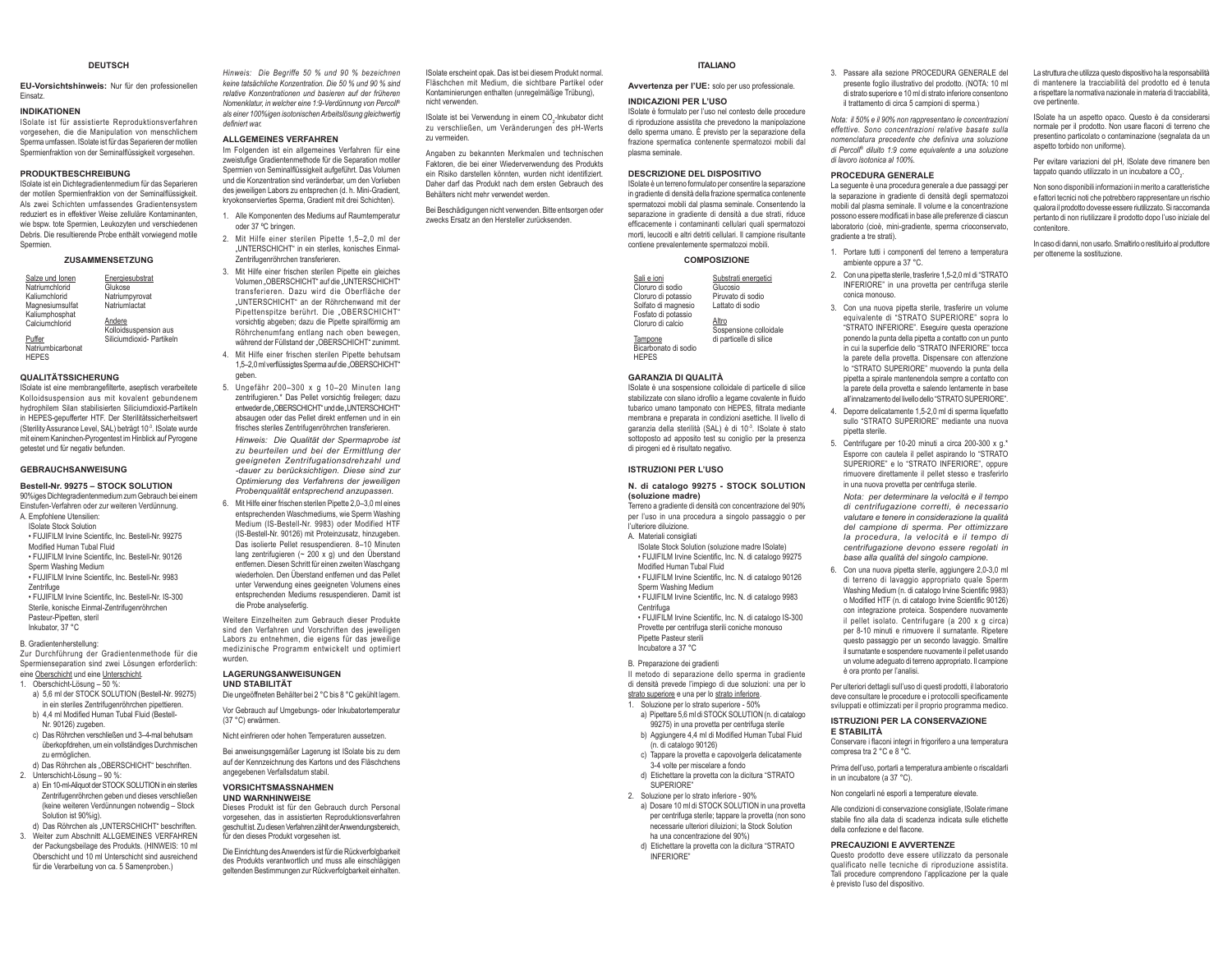#### **DELITSCH**

EU-Vorsichtshinweis: Nur für den professionellen Finsatz

#### **INDIKATIONEN**

ISolate ist für assistierte Reproduktionsverfahren vorgesehen die die Maninulation von menschlichem Sperma umfassen. ISolate ist für das Separieren der motilen Spermienfraktion von der Seminalflüssigkeit vorgesehen.

#### **PRODUKTBESCHREIBUNG**

ISolate ist ein Dichtegradientenmedium für das Separieren der motilen Spermienfraktion von der Seminalflüssigkeit. Als zwei Schichten umfassendes Gradientensystem reduziert es in effektiver Weise zelluläre Kontaminanten wie hsnw tote Spermien Leukozyten und verschiedenen Debris. Die resultierende Probe enthält vorwiegend motile Spermien

#### ZUSAMMENSETZUNG

| Salze und lonen         | Energiesubstrat           |
|-------------------------|---------------------------|
| Natriumchlorid          | Glukose                   |
| Kaliumchlorid           | Natriumpyrovat            |
| Magnesiumsulfat         | Natriumlactat             |
| Kaliumphosphat          |                           |
| Calciumchlorid          | Andere                    |
|                         | Kolloidsuspension aus     |
| Puffer                  | Siliciumdioxid- Partikeln |
| Mateix as high shown to |                           |

HEPES

#### **OUALITÄTSSICHERUNG**

ISolate ist eine membrangefilterte, aseptisch verarbeitete Kolloidsuspension aus mit kovalent gebundenem hydronhilem Silan stahilisierten Siliciumdiovid-Partikeln in HEPES-gepufferter HTF. Der Sterilitätssicherheitswert (Sterility Assurance Level, SAL) beträgt 10<sup>-3</sup>. ISolate wurde mit einem Kaninchen-Pyrogentest im Hinblick auf Pyrogene getestet und für negativ befunden.

#### **GEBRAUCHSANWEISUNG**

#### Bestell-Nr. 99275 - STOCK SOLUTION

90%iges Dichtegradientenmedium zum Gebrauch bei einem Einstufen-Verfahren oder zur weiteren Verdünnung A Emnfohlene Utensilien:

- **ISolate Stock Solution**
- . FUJIFILM Irvine Scientific, Inc. Bestell-Nr. 99275 Modified Human Tubal Fluid
- . FUJIFILM Irvine Scientific, Inc. Bestell-Nr. 90126
- Snerm Washing Medium
- . FUJIFILM Irvine Scientific, Inc. Bestell-Nr. 9983
- **Zentrifune**
- . FUJIFILM Irvine Scientific, Inc. Bestell-Nr. IS-300 Sterile, konische Einmal-Zentrifugenröhrchen
- Pasteur-Pinetten steril
- Inkubator, 37 °C

#### B. Gradientenherstellung:

Zur Durchführung der Gradientenmethode für die Spermienseparation sind zwei Lösungen erforderlich eine Oberschicht und eine Unterschicht.

- 
- 1. Oberschicht-Lösung 50 %: a) 5,6 ml der STOCK SOLUTION (Bestell-Nr. 99275)
	- in ein steriles Zentrifugenröhrchen pipettieren. b) 4,4 ml Modified Human Tubal Fluid (Bestell-
	- Nr. 90126) zugeben.
	- c) Das Röhrchen verschließen und 3-4-mal behutsam überkopfdrehen, um ein vollständiges Durchmischen zu ermöglichen.
- d) Das Röhrchen als "OBERSCHICHT" beschriften. 2. Unterschicht-Lösung - 90 %:
- a) Ein 10-ml-Aliquot der STOCK SOLUTION in ein steriles Zentrifugenröhrchen geben und dieses verschließen (keine weiteren Verdünnungen notwendig - Stock Solution ist 90%ig).
- d) Das Röhrchen als "UNTERSCHICHT" beschriften. 3. Weiter zum Abschnitt ALLGEMEINES VERFAHREN der Packungsbeilage des Produkts. (HINWEIS: 10 ml Oberschicht und 10 ml Unterschicht sind ausreichend für die Verarbeitung von ca. 5 Samenproben.)

Hinweis: Die Beariffe 50 % und 90 % bezeichnen keine tatsächliche Konzentration. Die 50 % und 90 % sind relative Konzentrationen und basieren auf der früheren Nomenklatur in welcher eine 1:0-Verdünnung von Percoll® als einer 100%igen isotonischen Arbeitslösung gleichwertig definiert war

#### ALL GEMEINES VERFAHREN

Im Folgenden ist ein allgemeines Verfahren für eine zweistufige Gradientenmethode für die Separation motiler Snermien von Seminalflüssinkeit aufneführt. Das Volumen und die Konzentration sind veränderhar um den Vorlieben des jeweiligen Labors zu entsprechen (d. h. Mini-Gradient, kryokonserviertes Sperma. Gradient mit drei Schichten)

1. Alle Komponenten des Mediums auf Raumtemperatur oder 37 °C bringen.

- 2. Mit Hilfe einer sterilen Pipette 1,5-2,0 ml der "UNTERSCHICHT" in ein steriles, konisches Einmal-Zentrifugenröhrchen transferieren.
- 3. Mit Hilfe einer frischen sterilen Pipette ein aleiches Volumen "OBERSCHICHT" auf die "UNTERSCHICHT" transferieren. Dazu wird die Oberfläche der "UNTERSCHICHT" an der Röhrchenwand mit der Pipettenspitze berührt. Die "OBERSCHICHT" vorsichtig abgeben: dazu die Pinette spiralförmig am Röhrchenumfang entlang nach oben bewegen. während der Füllstand der "OBERSCHICHT" zunimmt.
- 4. Mit Hilfe einer frischen sterilen Pipette behutsam 1,5-2,0 ml verflüssigtes Sperma auf die "OBERSCHICHT" gehen
- 5. Ungefähr 200-300 x g 10-20 Minuten lang zentrifugieren.\* Das Pellet vorsichtig freilegen; dazu entwederdie\_OBERSCHICHT"und die .UNTERSCHICHT" absaugen oder das Pellet direkt entfernen und in ein frisches steriles Zentrifugenröhrchen transferieren.

Hinweis: Die Qualität der Spermaprobe ist zu beurteilen und bei der Ermittlung der aeeigneten Zentrifugationsdrehzahl und -dauer zu berücksichtigen. Diese sind zur Ontimierung des Verfahrens der jeweiligen Probenqualität entsprechend anzupassen.

6. Mit Hilfe einer frischen sterilen Pipette 2.0-3.0 ml eines entsprechenden Waschmediums, wie Sperm Washing Medium (IS-Bestell-Nr. 9983) oder Modified HTF (IS-Bestell-Nr. 90126) mit Proteinzusatz, hinzugeben. Das isolierte Pellet resuspendieren 8-10 Minuten lang zentrifugieren (~ 200 x g) und den Überstand entfernen. Diesen Schritt für einen zweiten Waschgang wiederholen. Den Überstand entfernen und das Pellet unter Verwendung eines geeigneten Volumens eines entsprechenden Mediums resuspendieren. Damit ist die Probe analysefertig

Weitere Einzelheiten zum Gebrauch dieser Produkte sind den Verfahren und Vorschriften des jeweiligen Labors zu entnehmen, die eigens für das jeweilige medizinische Programm entwickelt und optimiert wurden

#### **LAGERUNGSANWEISUNGEN UND STABILITÄT**

Die ungeöffneten Behälter bei 2 °C bis 8 °C gekühlt lagern.

Vor Gebrauch auf Umgebungs- oder Inkubatortemperatur (37 °C) erwärmen.

Nicht einfrieren oder hohen Temperaturen aussetzen

Bei anweisungsgemäßer Lagerung ist ISolate bis zu dem auf der Kennzeichnung des Kartons und des Fläschchens angegehenen Verfallsdatum stahil

#### **VORSICHTSMASSNAHMEN UND WARNHINWEISE**

Dieses Produkt ist für den Gebrauch durch Personal vorgesehen das in assistierten Renroduktionsverfahren geschult ist Zu diesen Verfahren zählt der Anwendungshereich für den dieses Produkt vorgesehen ist

Die Einrichtung des Anwenders ist für die Rückverfolgbarkeit des Produkts verantwortlich und muss alle einschlägigen geltenden Bestimmungen zur Rückverfolgbarkeit einhalten.

ISolate erscheint opak. Das ist bei diesem Produkt normal. Fläschchen mit Medium, die sichtbare Partikel oder Kontaminierungen enthalten (unregelmäßige Trübung), nicht verwender

ISolate ist bei Verwendung in einem CO<sub>-1</sub>Inkubator dicht zu verschließen, um Veränderungen des pH-Werts zu vermeiden

Angaben zu bekannten Merkmalen und technischen Faktoren, die bei einer Wiederverwendung des Produkts ein Risiko darstellen könnten, wurden nicht identifiziert. Daher darf das Produkt nach dem ersten Gebrauch des Behälters nicht mehr verwendet werden

Bei Beschädigungen nicht verwenden. Bitte entsorgen oder zwecks Ersatz an den Hersteller zurücksenden.

#### **ITALIANO**

Avvertenza per l'UE: solo per uso professionale.

**INDICAZIONI PER L'USO** ISolate è formulato per l'uso nel contesto delle procedure

di rinroduzione assistita che prevedono la manipolazione dello sperma umano. È previsto per la separazione della frazione spermatica contenente spermatozoi mobili dal nlasma seminale

#### **DESCRIZIONE DEL DISPOSITIVO**

ISolate è un terreno formulato per consentire la separazione in gradiente di densità della frazione spermatica contenente spermatozoj mobili dal plasma seminale. Consentendo la cenarazione in gradiente di densità a due strati riduce efficacemente i contaminanti cellulari quali spermatozoi morti, leucociti e altri detriti cellulari. Il campione risultante contiene prevalentemente spermatozoi mobili.

#### **COMPOSIZIONE**

Sali e ioni Substrati energetici Cloruro di sodio Glucosio Cloruro di potassio Piruvato di sodio Solfato di mannesio Lattato di sodio Fosfato di potassio Cloruro di calcio Altro <u>......</u><br>Sosnensione colloidale di particelle di silice

Tampone Bicarhonato di sodio **HFPFS** 

#### GARANZIA DI OLIALITÀ

ISolate è una sospensione colloidale di particelle di silice stabilizzate con silano idrofilo a legame covalente in fluido tubarico umano tamponato con HEPES, filtrata mediante membrana e preparata in condizioni asettiche. Il livello di garanzia della sterilità (SAL) è di 10<sup>-3</sup>. ISolate è stato softoposto ad apposito test su coniglio per la presenza di pirogeni ed è risultato negativo.

#### **ISTRUZIONI PER L'USO**

#### N. di catalogo 99275 - STOCK SOLUTION (soluzione madre)

.<br>Terreno a gradiente di densità con concentrazione del 90% per l'uso in una procedura a singolo passaggio o per l'ulteriore diluizione.

A. Materiali consigliati

ISolate Stock Solution (soluzione madre ISolate) . FLI.IIFILM Irvine Scientific, Inc. N. di catalogo 99275 Modified Human Tubal Fluid

. FUJIFILM Irvine Scientific, Inc. N. di catalogo 90126 Sperm Washing Medium

· FUJIFILM Irvine Scientific, Inc. N. di catalogo 9983 Centrifuga · FUJIFILM Irvine Scientific, Inc. N. di catalogo IS-300

Provette per centrifuga sterili coniche monouso Pipette Pasteur sterili Incubatore a 37 °C

#### B. Preparazione dei gradienti

Il metodo di separazione dello sperma in gradiente di densità prevede l'impiego di due soluzioni: una per lo

#### strato superiore e una per lo strato inferiore.

- 1. Soluzione per lo strato superiore 50%
- a) Pipettare 5,6 ml di STOCK SOLUTION (n. di catalogo 99275) in una provetta per centrifuga sterile b) Aggiungere 4.4 ml di Modified Human Tubal Fluid
- (n. di catalogo 90126)
- c) Tappare la provetta e capovolgerla delicatamente 3-4 volte per miscelare a fondo
- d) Etichettare la provetta con la dicitura "STRATO SUPERIORE" 2 Soluzione ner lo strato inferiore - 90%
- a) Dosare 10 ml di STOCK SOLUTION in una provetta per centrifuga sterile; tappare la provetta (non sono necessarie ulteriori diluizioni: la Stock Solution ha una concentrazione del 90%)
	- d) Etichettare la provetta con la dicitura "STRATO **INFERIORE**

3. Passare alla sezione PROCEDURA GENERALE del presente foglio illustrativo del prodotto. (NOTA: 10 ml di strato superiore e 10 ml di strato inferiore consentono il trattamento di circa 5 campioni di sperma )

La struttura che utilizza questo dispositivo ha la responsabilità

di mantenere la tracciabilità del prodotto ed è tenuta

a rispettare la normativa nazionale in materia di tracciabilità.

ISolate ha un aspetto opaco. Questo è da considerarsi

normale per il prodotto. Non usare flaconi di terreno che

presentino particolato o contaminazione (segnalata da un

Per evitare variazioni del pH, ISolate deve rimanere ben

Non sono disponibili informazioni in merito a caratteristiche

e fattori tecnici noti che potrebbero rappresentare un rischio

qualora il prodotto dovesse essere riutilizzato. Si raccomanda

pertanto di non riutilizzare il prodotto dopo l'uso iniziale del

In caso di danni, non usarlo. Smaltirlo o restituirlo al produttore

tappato quando utilizzato in un incubatore a CO.

ove nertinente

contenitore

aspetto torbido non uniforme)

per ottenerne la sostituzione

Nota: il 50% e il 90% non ranpresentano le concentrazioni effettive. Sono concentrazioni relative basate sulla nomenclatura precedente che definiva una soluzione di Percoll<sup>®</sup> diluito 1:9 come equivalente a una soluzione di lavoro isotonica al 100%.

#### PROCEDURA GENERALE

La seguente è una procedura generale a due passaggi per la separazione in gradiente di densità degli spermatozoi mobili dal plasma seminale. Il volume e la concentrazione possono essere modificati in base alle preferenze di ciascun laboratorio (cioè, mini-gradiente, sperma crioconservato, gradiente a tre strati)

- 1 Portare tutti i componenti del terreno a temperatura ambiente oppure a 37 °C.
- 2. Con una pipetta sterile, trasferire 1.5-2.0 ml di "STRATO INFERIORE" in una provetta per centrifuga sterile conica monouso.
- 3. Con una nuova pipetta sterile, trasferire un volume equivalente di "STRATO SUPERIORE" sopra lo STRATO INFERIORE". Esequire questa operazione ponendo la punta della pipetta a contatto con un punto in cui la superficie dello "STRATO INFERIORE" focca la parete della provetta. Dispensare con attenzione lo "STRATO SUPERIORE" muovendo la punta della pipetta a spirale mantenendola sempre a contatto con la parete della provetta e salendo lentamente in base all'innalzamento del livello dello "STRATO SI IPERIORE"
- 4 Denorre delicatamente 1.5-2.0 ml di snerma liquefatto sullo "STRATO SUPERIORE" mediante una nuova ninetta sterile
- 5. Centrifugare per 10-20 minuti a circa 200-300 x g.\* Esporre con cautela il pellet aspirando lo "STRATO SUPERIORE" e lo "STRATO INFERIORE", oppure rimuovere direttamente il nellet stesso e trasferirlo in una nuova provetta per centrifuga sterile.

Nota: per determinare la velocità e il tempo di centrifugazione corretti, è necessario valutare e tenere in considerazione la qualità del campione di sperma. Per offimizzare la procedura, la velocità e il tempo di centrifugazione devono essere regolati in base alla qualità del singolo campione.

6. Con una nuova pipetta sterile, aggiungere 2,0-3,0 ml di terreno di lavaggio appropriato quale Sperm Washing Medium (n. di catalogo Irvine Scientific 9983) o Modified HTF (n. di catalogo Irvine Scientific 90126) con integrazione proteica. Sospendere nuovamente il pellet isolato. Centrifugare (a 200 x g circa) per 8-10 minuti e rimuovere il surnatante. Ripetere questo passaggio per un secondo lavaggio. Smaltire il surnatante e sospendere nuovamente il pellet usando un volume adequato di terreno appropriato. Il campione è ora pronto per l'analisi

Per ulteriori dettagli sull'uso di questi prodotti, il laboratorio deve consultare le procedure e i protocolli specificamente sviluppati e ottimizzati per il proprio programma medico.

#### **ISTRUZIONI PER LA CONSERVAZIONE E STABILITÀ**

Non congelarli né esporli a temperature elevate.

PRECAUZIONI E AVVERTENZE

in un incubatore (a 37 °C).

della confezione e del flacone.

è previsto l'uso del dispositivo

Conservare i flaconi integri in frigorifero a una temperatura compresa tra 2 °C e 8 °C. Prima dell'uso, portarli a temperatura ambiente o riscaldarli

Alle condizioni di conservazione consigliate, lSolate rimane

stabile fino alla data di scadenza indicata sulle etichette

Questo prodotto deve essere utilizzato da personale

qualificato nelle tecniche di riproduzione assistita.

Tali procedure comprendono l'applicazione per la quale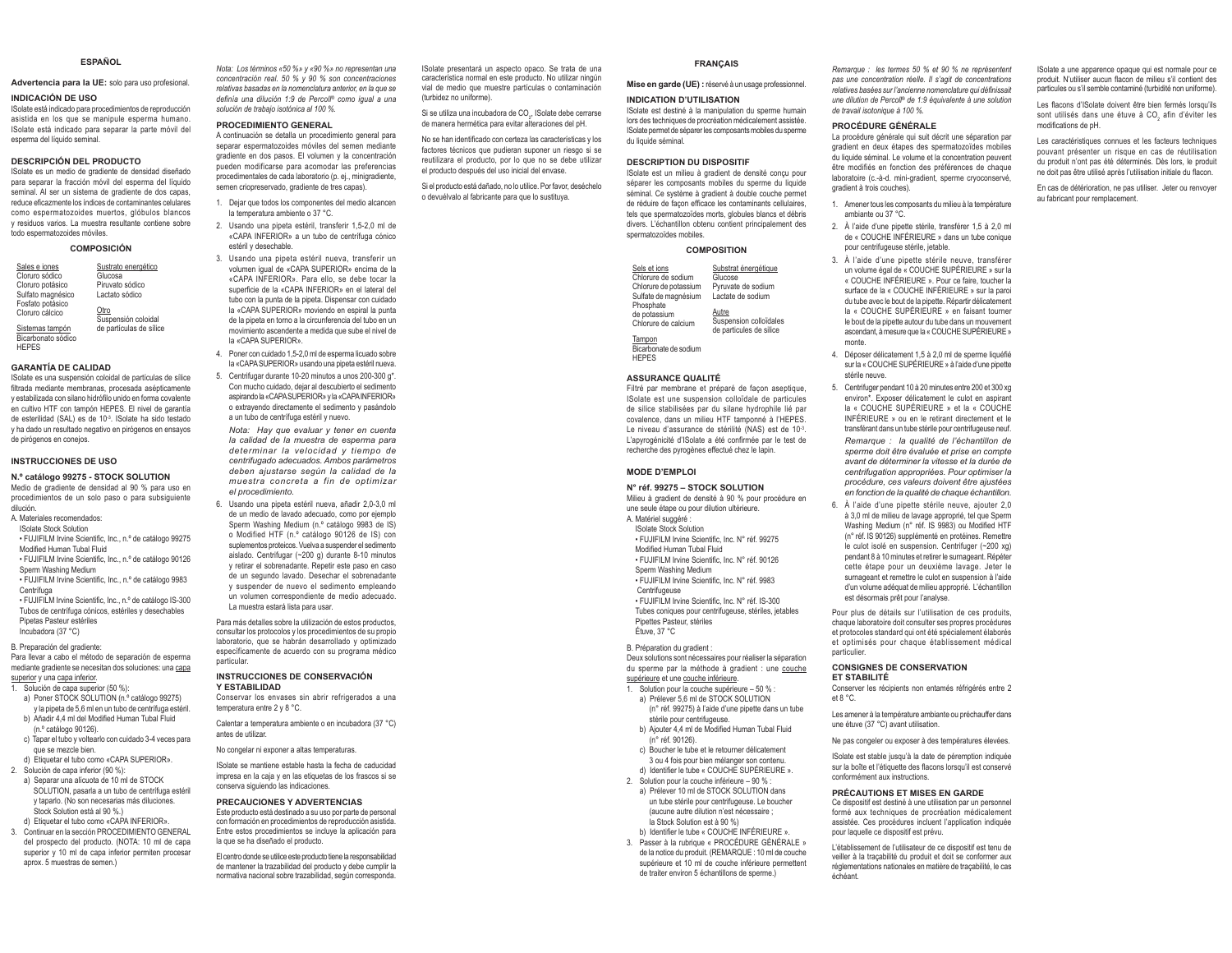#### **ESPAÑOL**

#### **Advertencia para la UE:** solo para uso profesional.

#### **INDICACIÓN DE USO**

 ISolate está indicado para procedimientos de reproducción asistida en los que se manipule esperma humano. ISolate está indicado para separar la parte móvil del esperma del líquido seminal.

#### **DESCRIPCIÓN DEL PRODUCTO**

 ISolate es un medio de gradiente de densidad diseñado para separar la fracción móvil del esperma del líquido seminal. Al ser un sistema de gradiente de dos capas. reduce eficazmente los índices de contaminantes celulares como espermatozoides muertos, glóbulos blancos y residuos varios. La muestra resultante contiene sobre we model and a monography model in the model of

#### **COMPOSICIÓN**

| Sales e iones<br>Cloruro sódico<br>Cloruro potásico | Sustrato energético<br>Glucosa<br>Piruvato sódico |
|-----------------------------------------------------|---------------------------------------------------|
| Sulfato magnésico<br>Fosfato potásico               | Lactato sódico                                    |
| Cloruro cálcico                                     | Otro<br>Suspensión coloidal                       |
| Sistemas tampón<br>Bicarbonato sódico               | de partículas de sílice                           |

**HEPES** 

#### **GARANTÍA DE CALIDAD**

 ISolate es una suspensión coloidal de partículas de sílice filtrada mediante membranas, procesada asépticamente y estabilizada con silano bidrófilo unido en forma covalente en cultivo HTF con tampón HEPES. El nivel de garantía de esterilidad (SAL) es de 10<sup>3</sup>. ISolate ha sido testado y ha dado un resultado negativo en pirógenos en ensayos de pirógenos en conejos.

#### **INSTRUCCIONES DE USO**

#### **N.º catálogo 99275 - STOCK SOLUTION**

Medio de gradiente de densidad al 90 % para uso en procedimientos de un solo paso o para subsiguiente dilución.A. Materiales recomendados:

- ISolate Stock Solution
- · FUJIFILM Irvine Scientific, Inc., n.º de catálogo 99275
- Modified Human Tubal Fluid · FUJIFILM Irvine Scientific, Inc., n.º de catálogo 90126
- Sperm Washing Medium
- FUJIFILM Irvine Scientific, Inc., n.º de catálogo 9983 Centrífuga
- FUJIFILM Irvine Scientific, Inc., n.º de catálogo IS-300 Tubos de centrífuga cónicos, estériles y desechables Pipetas Pasteur estériles Incubadora (37 °C)

B. Preparación del gradiente:

Para llevar a cabo el método de separación de esperma mediante gradiente se necesitan dos soluciones: una capa

- superior y una capa inferior. 1. Solución de capa superior (50 %):
- a) Poner STOCK SOLUTION (n. <sup>o</sup> catálogo 99275) v la pipeta de 5.6 ml en un tubo de centrífuga estéril.
- b) Añadir 4.4 ml del Modified Human Tubal Fluid (n.º catálogo 90126).
- c) Tapar el tubo y voltearlo con cuidado 3-4 veces para que se mezcle bien.
- d) Etiquetar el tubo como «CAPA SUPERIOR». 2. Solución de capa inferior (90 %):
- a) Separar una alícuota de 10 ml de STOCK SOLUTION, pasarla a un tubo de centrífuga estéril v tanarlo (No son necesarias más diluciones Stock Solution está al 90 %)
- d) Etiquetar el tubo como «CAPA INFERIOR».
- 3. Continuar en la sección PROCEDIMIENTO GENERAL del prospecto del producto. (NOTA: 10 ml de capa superior y 10 ml de capa inferior permiten procesar aprox. 5 muestras de semen.)

*Nota: Los términos «50 %» y «90 %» no representan una concentración real. 50 % y 90 % son concentraciones*  relativas basadas en la nomenclatura anterior, en la que se  $f$ *Gefinia una dilución 1:9 de Percoll<sup>®</sup> como igual a una solución de trabajo isotónica al 100 %* 

#### **PROCEDIMIENTO GENERAL**

A continuación se detalla un procedimiento general para separar espermatozoides móviles del semen mediante gradiente en dos pasos. El volumen y la concentración pueden modificarse para acomodar las preferencias procedimentales de cada laboratorio (p. ei., minigradiente, semen criopreservado, gradiente de tres capas).

- 1. Dejar que todos los componentes del medio alcancen <u>Ia temneratura amhiente o 37 °C.</u>
- 2. Usando una pipeta estéril, transferir 1,5-2,0 ml de «CAPA INFERIOR» a un tubo de centrífuga cónico estéril v desechable
- 3. Usando una pipeta estéril nueva, transferir un Volumen igual de «CAPA SUPERIOR» encima de la «CAPA INFERIOR». Para ello, se debe tocar la superficie de la «CAPA INFERIOR» en el lateral del tubo con la punta de la pipeta. Dispensar con cuidado la «CAPA SUPERIOR» moviendo en espiral la punta de la pipeta en torno a la circunferencia del tubo en un movimiento ascendente a medida que sube el nivel de la «CAPA SUPERIOR».
- 4. Poner con cuidado 1.5-2.0 ml de esperma licuado sobre la «CAPA SUPERIOR» usando una pipeta estéril nueva.
- 5. Centrifugar durante 10-20 minutos a unos 200-300 g<sup>\*</sup>. Con mucho cuidado, dejar al descubierto el sedimento aspirando la «CAPA SUPERIOR» y la «CAPA INFERIOR» o extrayendo directamente el sedimento y pasándolo a un tubo de centrífuga estéril y nuevo.

*Nota: Hay que evaluar y tener en cuenta la calidad de la muestra de esperma para determinar la velocidad y tiempo de centrifugado adecuados. Ambos parámetros deben ajustarse según la calidad de la muestra concreta a fin de optimizar el procedimiento.*

6. Usando una pipeta estéril nueva, añadir 2,0-3,0 ml de un medio de lavado adecuado, como por ejemplo Sperm Washing Medium (n.º catálogo 9983 de IS) o Modified HTF (n.º catálogo 90126 de IS) con suplementos proteicos. Vuelva a suspender el sedimento aislado. Centrifugar (~200 g) durante 8-10 minutos y retirar el sobrenadante. Repetir este paso en caso Ge un sequndo lavado. Desechar el sobrenadante y suspender de nuevo el sedimento empleando un volumen correspondiente de medio adecuado. La muestra estará lista para usar.

Para más detalles sobre la utilización de estos productos, consultar los protocolos y los procedimientos de su propio laboratorio, que se habrán desarrollado y optimizado específicamente de acuerdo con su programa médico particular.

#### **INSTRUCCIONES DE CONSERVACIÓN Y ESTABILIDAD**

Conservar los envases sin abrir refrigerados a una temperatura entre  $2 \vee 8$  °C.

Calentar a temperatura ambiente o en incubadora (37 °C) antes de utilizar.

No congelar ni exponer a altas temperaturas.

ISolate se mantiene estable hasta la fecha de caducidad impresa en la caja y en las etiquetas de los frascos si se conserva siguiendo las indicaciones.

#### **PRECAUCIONES Y ADVERTENCIAS**

 Este producto está destinado a su uso por parte de personal con formación en procedimientos de reproducción asistida. Entre estos procedimientos se incluye la aplicación para la que se ha diseñado el producto.

El centro donde se utilice este producto tiene la responsabilidad de mantener la trazabilidad del producto y debe cumplir la normativa nacional sobre trazabilidad, según corresponda. ISolate presentará un aspecto opaco. Se trata de una característica normal en este producto. No utilizar ningún vial de medio que muestre partículas o contaminación (furbidez no uniforme)

Si se utiliza una incubadora de CO., lSolate debe cerrarse de manera hermética para evitar alteraciones del pH.

No se han identificado con certeza las características y los factores técnicos que pudieran suponer un riesgo si se reutilizara el producto, por lo que no se debe utilizar el producto después del uso inicial del envase.

Si el producto está dañado, no lo utilice. Por favor, deséchelo o devuélvalo al fabricante para que lo sustituya.

#### **FRANÇAIS**

**Mise en garde (UE) :** réservé à un usage professionnel.

**INDICATION D'UTILISATION**

 ISolate est destiné à la manipulation du sperme humain lors des techniques de procréation médicalement assistée. ISolate permet de séparer les composants mobiles du sperme du liquide séminal.

#### **DESCRIPTION DU DISPOSITIF**

 ISolate est un milieu à gradient de densité conçu pour séparer les composants mobiles du sperme du liquide séminal. Ce système à gradient à double couche permet de réduire de façon efficace les contaminants cellulaires. tels que spermatozoïdes morts, globules blancs et débris divers. L'échantillon obtenu contient principalement des spermatozoïdes mobiles.

#### **COMPOSITION**

| Sels et ions                                     | Substrat énergétique                                       |
|--------------------------------------------------|------------------------------------------------------------|
| Chlorure de sodium                               | Glucose                                                    |
| Chlorure de potassium                            | Pyruvate de sodium                                         |
| Sulfate de magnésium                             | Lactate de sodium                                          |
| Phosphate<br>de potassium<br>Chlorure de calcium | Autre<br>Suspension colloïdales<br>de particules de silice |

Tampon Ricarbonate de sodium HEPES

#### **ASSURANCE QUALITÉ**

Filtré par membrane et préparé de façon aseptique, ISolate est une suspension colloïdale de particules de silice stabilisées par du silane hydrophile lié par covalence, dans un milieu HTF tamponné à l'HEPES. Le niveau d'assurance de stérilité (NAS) est de 10<sup>-3</sup> L'apyrogénicité d'ISolate a été confirmée par le test de recherche des pyrogènes effectué chez le lapin.

#### **MODE D'EMPLOI**

#### **N° réf. 99275 – STOCK SOLUTION**

Milieu à gradient de densité à 90 % pour procédure en une seule étape ou pour dilution ultérieure. A. Matériel suggéré :

- ISolate Stock Solution· FUJIFILM Irvine Scientific, Inc. N° réf. 99275
- Modified Human Tubal Fluid
- · FUJIFILM Irvine Scientific, Inc. N° réf. 90126 Sperm Washing Medium
- FUJIFILM Irvine Scientific, Inc. N° réf. 9983
- Centrifugeuse

• FUJIFILM Irvine Scientific, Inc. N° réf. IS-300

Tubes coniques pour centrifuqeuse, stériles, ietables Pipettes Pasteur, stériles Étuve, 37 °C

B. Préparation du gradient :

#### Deux solutions sont nécessaires pour réaliser la séparation du sperme par la méthode à gradient : une couche

- supérieure et une couche inférieure.
- 1. Solution pour la couche supérieure 50 % : a) Prélever 5,6 ml de STOCK SOLUTION
- $(n^{\circ}$  réf. 99275) à l'aide d'une ninette dans un tube stérile pour centrifugeuse.
- b) Ajouter 4,4 ml de Modified Human Tubal Fluid  $(n^{\circ}$  réf. 90126).
- c) Boucher le tube et le retourner délicatement 3 ou 4 fois nour hien mélanger son contenu
- d) Identifier le tube « COUCHE SUPÉRIEURE ». 8. Solution pour la couche inférieure - 90 % :
- a) Prélever 10 ml de STOCK SOLUTION dans un tube stérile pour centrifugeuse. Le boucher (augune autre dilution n'est nécessaire : la Stock Solution est à 90 %)
- b) Identifier le tube « COUCHE INFÉRIEURE ». 3. Passer à la rubrique « PROCÉDURE GÉNÉRALE »
- de la notice du produit. (REMARQUE : 10 ml de couche supérieure et 10 ml de couche inférieure permettent de traiter environ 5 échantillons de sperme.)

*Remarque : les termes 50 % et 90 % ne représentent*   $P$ *pas une concentration réelle. Il s'agit de concentrations* <sub>.</sub><br>relatives basées sur l'ancienne nomenclature qui définissait *une dilution de Percoll®* de 1:9 équivalente à une solution de travail isotonique à 100 %

ISolate a une apparence opaque qui est normale pour ce produit. N'utiliser aucun flacon de milieu s'il contient des particules ou s'il semble contaminé (turbidité non uniforme). Les flacons d'ISolate doivent être bien fermés lorsqu'ils sont utilisés dans une étuve à CO<sub>2</sub> afin d'éviter les

Les caractéristiques connues et les facteurs techniques nouvant présenter un risque en cas de réutilisation ou and the product n'ont nas été déterminés Dès lors le produit ne doit pas être utilisé après l'utilisation initiale du flacon. En cas de détérioration, ne pas utiliser. Jeter ou renvoyer

Ho eh annifications de nH

au fabricant pour remplacement.

#### **PROCÉDURE GÉNÉRALE**

La procédure générale qui suit décrit une séparation par gradient en deux étapes des spermatozoïdes mobiles Gu liquide séminal Le volume et la concentration neuvent être modifiés en fonction des préférences de chaque laboratoire (c.-à-d. mini-gradient, sperme cryoconservé, gradient à trois couches).

- 1. Amener tous les composants du milieu à la température ambiante ou 37 °C.
- 2 À l'aide d'une ninette stérile transférer 1.5 à 2.0 ml de « COUCHE INFÉRIEURE » dans un tube conique pour centrifugeuse stérile, jetable
- 3. À l'aide d'une pipette stérile neuve, transférer un volume égal de « COUCHE SUPÉRIEURE » sur la « COUCHE INFÉRIEURE », Pour ce faire, toucher la Surface de la « COLICHE INFÉRIELIRE » sur la nami du tube avec le bout de la pipette. Répartir délicatement la « COUCHE SUPÉRIEURE » en faisant tourner le bout de la pipette autour du tube dans un mouvement ascendant, à mesure que la « COUCHE SUPÉRIEURE » monte.
- 4. Déposer délicatement 1.5 à 2.0 ml de sperme liquéfié sur la « COUCHE SUPÉRIEURE » à l'aide d'une pipette stérile neuve.
- 5. Centrifuger pendant 10 à 20 minutes entre 200 et 300 xg environ\*. Exposer délicatement le culot en aspirant OD CHE SUPÉRIEURE » et la « COUCHE INFÉRIEURE » ou en le retirant directement et le transférant dans un tube stérile pour centrifugeuse neuf.

*Remarque : la qualité de l'échantillon de sperme doit être évaluée et prise en compte avant de déterminer la vitesse et la durée de centrifugation appropriées. Pour optimiser la procédure, ces valeurs doivent être ajustées en fonction de la qualité de chaque échantillon.*

6. À l'aide d'une pipette stérile neuve, ajouter 2,0 à 3.0 ml de milieu de lavage approprié, tel que Sperm Washing Medium (n° réf. IS 9983) ou Modified HTF (n° réf. IS 90126) supplémenté en protéines. Remettre le culot isolé en suspension. Centrifuger (~200 xg) pendant 8 à 10 minutes et retirer le surnageant. Répéter cette étape pour un deuxième lavage. Jeter le surnageant et remettre le culot en suspension à l'aide d'un volume adéquat de milieu approprié. L'échantillon est désormais prêt pour l'analyse.

Pour plus de détails sur l'utilisation de ces produits, chaque laboratoire doit consulter ses propres procédures et protocoles standard qui ont été spécialement élaborés et optimisés pour chaque établissement médical particulier.

#### **CONSIGNES DE CONSERVATION ET STABILITÉ**

conformément aux instructions.

pour laquelle ce dispositif est prévu.

échéant.

Conserver les récipients non entamés réfrigérés entre 2  $At 8 °C$ 

Les amener à la température ambiante ou préchauffer dans une étuve (37 °C) avant utilisation.

Ne pas congeler ou exposer à des températures élevées. Solate est stable jusqu'à la date de péremption indiquée sur la boîte et l'étiquette des flacons lorsqu'il est conservé

L'établissement de l'utilisateur de ce dispositif est tenu de veiller à la tracabilité du produit et doit se conformer aux réglementations nationales en matière de tracabilité, le cas

**PRÉCAUTIONS ET MISES EN GARDE** Ce dispositif est destiné à une utilisation par un personnel formé aux techniques de procréation médicalement assistée. Ces procédures incluent l'application indiquée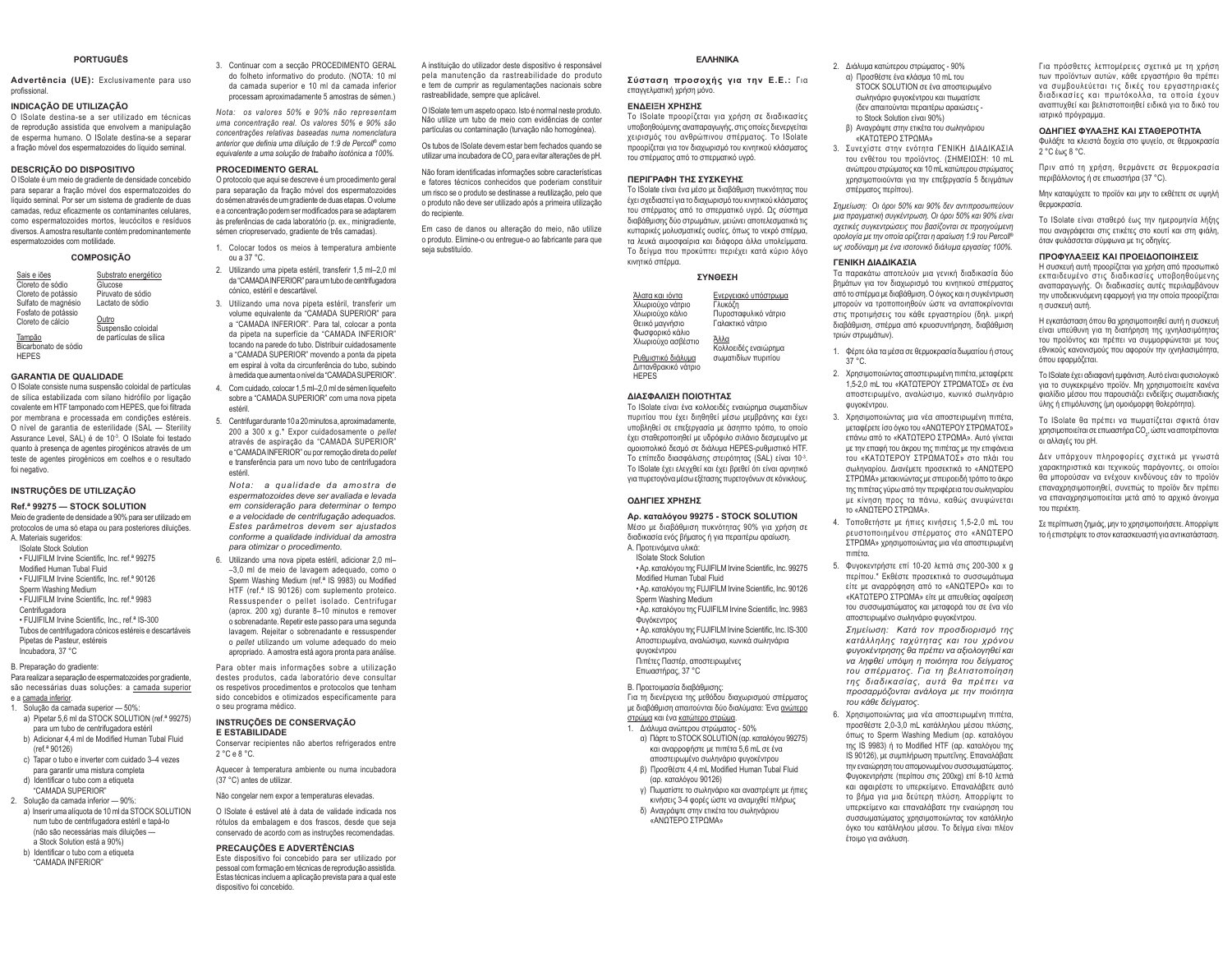#### **PORTUGUÊS**

**Advertência (UE):** Exclusivamente para uso neoficciona

#### **INDICAÇÃO DE UTILIZAÇÃO**

O ISolate destina-se a ser utilizado em técnicas de reprodução assistida que envolvem a manipulação de esperma humano. O ISolate destina-se a separar a fração móvel dos espermatozoides do líquido seminal.

#### **DESCRIÇÃO DO DISPOSITIVO**

O ISolate é um meio de gradiente de densidade concebido para separar a fração móvel dos espermatozoides do líquido seminal. Por ser um sistema de gradiente de duas camadas, reduz eficazmente os contaminantes celulares como espermatozoides mortos, leucócitos e resíduos diversos. A amostra resultante contém predominantemente espermatozoides com motilidade

#### **COMPOSIÇÃO**

| Sais e iões          | Substrato energético    |
|----------------------|-------------------------|
| Cloreto de sódio     | Glucose                 |
| Cloreto de potássio  | Piruvato de sódio       |
| Sulfato de magnésio  | Lactato de sódio        |
| Fosfato de potássio  |                         |
| Cloreto de cálcio    | Outro                   |
|                      | Suspensão coloidal      |
| Tampão               | de partículas de sílica |
| Bicarbonato de sódio |                         |

HEPES

#### **GARANTIA DE QUALIDADE**

O ISolate consiste numa suspensão coloidal de partículas de sílica estabilizada com silano hidrófilo por ligação covalente em HTF tamponado com HFPFS, que foi filtrada por membrana e processada em condições estéreis. O nível de garantia de esterilidade (SAL - Sterility Assurance Level, SAL) é de 10<sup>-3</sup>. O ISolate foi testado quanto à presença de agentes pirogénicos através de um teste de agentes pirogénicos em coelhos e o resultado foi negativo.

#### **INSTRUÇÕES DE UTILIZAÇÃO**

**Ref.ª 99275 — STOCK SOLUTION**Meio de gradiente de densidade a 90% para ser utilizado em Señordo de uma só etana ou para posteriores diluições A. Materiais sugeridos: ISolate Stock Solution· FUJIFILM Irvine Scientific, Inc. ref.<sup>a</sup> 99275

Modified Human Tubal Fluid · FUJIFILM Irvine Scientific, Inc. ref.<sup>a</sup> 90126 Sperm Washing Medium • FUJIFILM Irvine Scientific, Inc. ref.<sup>a</sup> 9983 Centrifugadora • FUJIFILM Irvine Scientific, Inc., ref.<sup>a</sup> IS-300 Tubos de centrifugadora cónicos estéreis e descartáveis Pipetas de Pasteur, estéreis

Incubadora, 37 °C

#### R Prenaração do gradiente:

3DUDUHDOL]DUDVHSDUDomRGHHVSHUPDWR]RLGHVSRUJUDGLHQWH são necessárias duas soluções: a camada superior e a camada inferior.

- 1. Solução da camada superior 50% a) Pinetar 5.6 ml da STOCK SOLUTION (ref.<sup>a</sup> 99275)
- nara um tubo de centrifugadora estéril b) Adicionar 4.4 ml de Modified Human Tubal Fluid
- $(raf<sup>a</sup> 90126)$ c) Tapar o tubo e inverter com cuidado 3-4 vezes
- para garantir uma mistura completa
- d) Identificar o tubo com a etiqueta "CAMADA SUPERIOR"
- 2. Solução da camada inferior 90%: a) Inserir uma alíquota de 10 ml da STOCK SOLUTION
- num tubo de centrifugadora estéril e tapá-lo (não são necessárias mais diluições a Stock Solution está a 90%)
- b), Identificar o tubo com a etiqueta "CAMADA INFERIOR"

3. Continuar com a secção PROCEDIMENTO GERAL do folheto informativo do produto. (NOTA: 10 ml da camada superior e 10 ml da camada inferior processam aproximadamente 5 amostras de sémen.)

*Nota: os valores 50% e 90% não representam uma concentração real. Os valores 50% e 90% são concentrações relativas baseadas numa nomenclatura*  anterior que definia uma diluição de 1:9 de Percoll<sup>®</sup> como *HTXLYDOHQWHDXPDVROXomRGHWUDEDOKRLVRWyQLFDD*

#### **PROCEDIMENTO GERAL**

O protocolo que aqui se descreve é um procedimento geral para separação da fração móvel dos espermatozoides do sémen através de um gradiente de duas etapas. O volume A ADDRAMTACÃO DO POR MODIFICADE DE RACIONALE A ANGLETA A CONTRATO DE RACIONALE DE RACIONALE DE RACIONALE DE RA às preferências de cada laboratório (p. ex., minigradiente, sémen criopreservado, gradiente de três camadas).

- 1. Colocar todos os meios à temperatura ambiente ou a 37 °C.
- 2. Utilizando uma pipeta estéril, transferir 1,5 ml-2,0 ml da "CAMADA INFERIOR" para um tubo de centrifugadora cónico, estéril e descartável.
- 3. Utilizando uma nova pipeta estéril, transferir um volume equivalente da "CAMADA SUPERIOR" para a "CAMADA INFERIOR". Para tal. colocar a ponta da pipeta na superfície da "CAMADA INFERIOR" tocando na parede do tubo. Distribuir cuidadosamente a "CAMADA SUPERIOR" movendo a ponta da pipeta em espiral à volta da circunferência do tubo, subindo à medida que aumenta o nível da "CAMADA SUPERIOR".
- 4. Com cuidado, colocar 1.5 ml 2.0 ml de sémen liquefeito sobre a "CAMADA SUPERIOR" com uma nova pipeta estéril.
- 5. Centrifugar durante 10 a 20 minutos a, aproximadamente, 200 a 300 x g.\* Expor cuidadosamente o pellet através de aspiração da "CAMADA SUPERIOR" e "CAMADA INFERIOR" ou por remoção direta do *pellet* e transferência para um novo tubo de centrifugadora estéril.

*Nota: a qualidade da amostra de espermatozoides deve ser avaliada e levada em consideração para determinar o tempo e a velocidade de centrifugação adequados. Estes parâmetros devem ser ajustados conforme a qualidade individual da amostra para otimizar o procedimento.*

6. Utilizando uma nova pipeta estéril, adicionar 2.0 ml- $-3.0$  ml de meio de lavagem adequado, como o Sperm Washing Medium (ref.<sup>a</sup> IS 9983) ou Modified HTF (ref.<sup>a</sup> IS 90126) com suplemento proteico. Ressuspender o pellet isolado. Centrifugar  $\frac{1}{200}$  xg) durante 8-10 minutos e remover o sobrenadante. Repetir este passo para uma segunda lavagem. Rejeitar o sobrenadante e ressuspender o pellet utilizando um volume adequado do mejo apropriado. A amostra está agora pronta para análise.

Para obter mais informações sobre a utilização destes produtos, cada laboratório deve consultar os respetivos procedimentos e protocolos que tenham sido concebidos e otimizados especificamente para o seu programa médico.

#### **INSTRUÇÕES DE CONSERVAÇÃO**

- **E ESTABILIDADE**Conservar recipientes não abertos refrigerados entre 2 °C e 8 °C.
- Aquecer à temperatura ambiente ou numa incubadora (37 °C) antes de utilizar

Não congelar nem expor a temperaturas elevadas.

O ISolate é estável até à data de validade indicada nos rótulos da embalagem e dos frascos, desde que seja conservado de acordo com as instruções recomendadas.

#### **PRECAUÇÕES E ADVERTÊNCIAS**

Este dispositivo foi concebido para ser utilizado por pessoal com formação em técnicas de reprodução assistida. Estas técnicas incluem a aplicação prevista para a qual este disnositivo foi concebido

A instituição do utilizador deste dispositivo é responsável nela manutenção da rastreabilidade do produto e tem de cumprir as regulamentações nacionais sobre rastreabilidade, sempre que aplicável.

O ISolate tem um aspeto opaco. Isto é normal neste produto. Não utilize um tubo de meio com evidências de conter partículas ou contaminação (turvação não homogénea).

Os tubos de lSolate devem estar bem fechados quando se utilizar uma incubadora de CO, para evitar alterações de pH.

Não foram identificadas informações sobre características e fatores técnicos conhecidos que poderiam constituir um risco se o produto se destinasse a reutilização, pelo que o produto não deve ser utilizado após a primeira utilização do recipiente.

Em caso de danos ou alteração do meio, não utilize o produto. Elimine-o ou entregue-o ao fabricante para que seja substituído.

#### **EAAHNIKA**  $Σύσταση προσοχής για την Ε.Ε.: Για$

Το ISolate προορίζεται για χρήση σε διαδικασίες υποβοηθούμενης αναπαραγωγής, στις οποίες διενεργείτα χειρισμός του ανθρώπινου σπέρματος. Το ISolate προορίζεται για τον διαχωρισμό του κινητικού κλάσματος του σπέρματος από το σπερματικό υγρό. **ΠΕΡΙΓΡΑΦΗ ΤΗΣ ΣΥΣΚΕΥΗΣ** 

To ISolate είναι ένα μέσο με διαβάθμιση πυκνότητας που έχει σχεδιαστεί για το διαχωρισμό του κινητικού κλάσματος ΙΟΗ σπέρματος από το σπερματικό μνοό. Ος σύστημα διαβάθμισης δύο στρωμάτων, μειώνει αποτελεσματικά τις κυτταρικές μολυσματικές ουσίες, όπως το νεκρό σπέρμα, τα λευκά αιμοσφαίρια και διάφορα άλλα υπολείμματα.

επαννελματική χρήση μόνο. **ΕΝΔΕΙΞΗ ΧΡΗΣΗΣ** 

- 
- σωληνάριο φυνοκέντρου και πωματίστε (δεν απαιτούνται περαιτέρω αραιώσεις -
	- «KATOTEPO STPOMA»
- 3. Συνεχίστε στην ενότητα ΓΕΝΙΚΗ ΔΙΑΔΙΚΑΣΙΑ Του ενθέτου του προϊόντος. (ΣΗΜΕΙΩΣΗ: 10 mL ανώτερου στοώματος και 10 mL κατώτερου στοώματος ΥΟΠΟΙΟΛΟΥΣΩ ΥΙΩ ΤΟΥ ΕΠΕξΕργασία 5 δεινμάτων

*Σημείωση*: Οι όροι 50% και 90% δεν αντιπροσωπεύουν μια πραγματική συγκέντρωση. Οι όροι 50% και 90% είναι σχετικές συγκεντρώσεις που βασίζονται σε προηγούμενη *ȠȡȠȜȠȖȓĮȝİIJȘȞȠʌȠȓĮȠȡȓȗİIJĮȚȘĮȡĮȓȦıȘIJȠȣ3HUFROO®*  $\omega$ ς ισοδύναμη με ένα ισοτονικό διάλυμα εργασίας 100%.

#### **ΓΕΝΙΚΗ ΛΙΑΛΙΚΑΣΙΑ**

βημάτων για τον διαχωρισμό του κινητικού σπέρματος από το σπέρμα με διαβάθμιση. Ο όνκος και η συνκέντρωση μπορούν να τροποποιηθούν ώστε να ανταποκρίνονται στις προτιμήσεις του κάθε εργαστηρίου (δηλ. μικρή  $\delta$ ıqβάθιμαη απέρμα από κριιοσυντήρηση διαβάθιμαη τριών στρωμάτων).

- 2. Χρησιμοποιώντας αποστειρωμένη πιπέτα, μεταφέρετε 1.5-2.0 mL του «ΚΑΤΩΤΕΡΟΥ ΣΤΡΩΜΑΤΟΣ» σε ένα αποστειοωμένο, αναλώσιμο, κωνικό σωληνάριο φυγοκέντρου.
- μεταφέρετε ίσο όγκο του «ΑΝΩΤΕΡΟΥ ΣΤΡΩΜΑΤΟΣ» Ι<br>επάνω από το «ΚΑΤΩΤΕΡΟ ΣΤΡΩΜΑ». Αυτό νίνεται με την επαφή του άκρου της πιπέτας με την επιφάνεια ΤΟΝ «ΚΑΤΩΤΕΡΟΥ ΣΤΡΩΜΑΤΟΣ» στο πλάι του σωληναρίου, Διανέμετε προσεκτικά το «ΔΝΟΤΕΡΟ ΣΤΡΩΜΑ» μετακινώντας με σπειροειδή τρόπο το άκρο της πιπέτας νύρω από την περιφέρεια του σωληναρίου με κίνηση προς τα πάνω, καθώς ανυψώνεται TO «ΑΝΟΤΕΡΟ ΣΤΡΟΜΑ»
- ρευστοποιημένου σπέρματος στο «ΑΝΩΤΕΡΟ ΣΤΡΩΜΑ» χρησιμοποιώντας μια νέα αποστειρωμένη ʌȚʌȑIJĮ

προσθέστε 2.0-3.0 mL κατάλληλου μέσου πλύσης. όπως το Sperm Washing Medium (αρ. καταλόγου της IS 9983) ή το Modified HTF (αρ. καταλόγου της IS 90126), με συμπλήρωση πρωτεΐνης. Επαναλάβατε IJȘȞİȞĮȚȫȡȘıȘIJȠȣĮʌȠȝȠȞȦȝȑȞȠȣıȣııȦȝĮIJȫȝĮIJȠȢ Φυγοκεντρήστε (περίπου στις 200xg) επί 8-10 λεπτά και αφαιρέστε το υπερκείμενο. Επαναλάβετε αυτό το βήμα για μια δεύτερη πλύση. Απορρίψτε το υπερκείμενο και επαναλάβατε την εναιώρηση του συσσωματώματος χρησιμοποιώντας τον κατάλληλο όγκο του κατάλληλου μέσου. Το δείγμα είναι πλέον

Για πρόσθετες λεπτομέρειες σχετικά με τη χρήση των προϊόντων αυτών, κάθε εργαστήριο θα πρέπει να συμβουλεύεται τις δικές του εργαστηριακές διαδικασίες και πρωτόκολλα, τα οποία έχουν αναπτυχθεί και βελτιστοποιηθεί ειδικά νια το δικό του ιατρικό πρόγραμμα.

#### **ΟΔΗΓΙΕΣ ΦΥΛΑΞΗΣ ΚΑΙ ΣΤΑΘΕΡΟΤΗΤΑ**

Φυλάξτε τα κλειστά δοχεία στο ψυγείο, σε θερμοκρασία 2 °C func 8 °C

Πριν από τη χρήση, θερμάνετε σε θερμοκρασία περιβάλλοντος ή σε επωαστήρα (37 °C).

Μην καταψύχετε το προϊόν και μην το εκθέτετε σε υψηλή θερμοκρασία.

Το ISolate είναι σταθερό έως την ημερομηνία λήξης που ανανοάφεται στις ετικέτες στο κουτί και στη φιάλη. όταν φυλάσσεται σύμφωνα με τις οδηγίες.

#### ΠΡΟΦΥΛΑΞΕΙΣ ΚΑΙ ΠΡΟΕΙΔΟΠΟΙΗΣΕΙΣ

Η συσκευή αυτή προορίζεται για χρήση από προσωπικό εκπαιδευμένο στις διαδικασίες υποβοηθούμενης αναπαραγωγής. Οι διαδικασίες αυτές περιλαμβάνουν την υποδεικνυόμενη εφαρμογή για την οποία προορίζεται n quarkiun quan

Η εγκατάσταση όπου θα χρησιμοποιηθεί αυτή η συσκευή είναι υπεύθυνη για τη διατήρηση της ιχνηλασιμότητας του προϊόντος και πρέπει να συμμορφώνεται με τους εθνικούς κανονισμούς που αφορούν την ιχνηλασιμότητα,  $\overline{\text{A}}$ 

To ISolate έχει αδιαφανή εμφάνιση. Αυτό είναι φυσιολογικό για το συγκεκριμένο προϊόν. Μη χρησιμοποιείτε κανένα ψιαλίδιο μέσου που παρουσιάζει ενδείξεις σωματιδιακής ύλης ή επιμόλυνσης (μη ομοιόμορφη θολερότητα).

Το ISolate θα πρέπει να πωματίζεται σφικτά όταν χρησιμοποιείται σε επωαστήρα CO<sub>2</sub>, ώστε να αποτρέπονται οι αλλανές του pH.

Δεν υπάρχουν πληροφορίες σχετικά με γνωστά χαρακτηριστικά και τεχνικούς παράνοντες, οι οποίοι θα μπορούσαν να ενέχουν κινδύνους εάν το προϊόν επαναχρησιμοποιηθεί, συνεπώς το προϊόν δεν πρέπει να επαναχρησιμοποιείται μετά από το αρχικό άνοιγμα **ΙΟΗ ΠΕΛΙΈΚΤΟ** 

Σε περίπτωση ζημιάς, μην το χρησιμοποιήσετε. Απορρίψτε το ή επιστρέψτε το στον κατασκευαστή για αντικατάσταση.

2. Διάλυμα κατώτερου στοώματος - 90% α) Προσθέστε ένα κλάσμα 10 mL του STOCK SOLUTION σε ένα αποστειρωμένο

το Stock Solution είναι 90%) β) Ανανοάψτε στην ετικέτα του σωληνάριου

σπέρματος περίπρυ).

Τα παρακάτω αποτελούν μια γενική διαδικασία δύο

- 1. Φέρτε όλα τα μέσα σε θερμοκρασία δωματίου ή στους 37 °C
- 
- 3. Χρησιμοποιώντας μια νέα αποστειρωμένη πιπέτα,
- 4. Τοποθετήστε με ήπιες κινήσεις 1,5-2,0 mL του
- 5. Φυγοκεντρήστε επί 10-20 λεπτά στις 200-300 x g περίπου.<sup>\*</sup> Εκθέστε προσεκτικά το συσσωμάτωμα είτε με αναρρόφηση από το «ΑΝΩΤΕΡΟ» και το «ΚΑΤΩΤΕΡΟ ΣΤΡΩΜΑ» είτε με απευθείας αφαίρεση του συσσωματώματος και μεταφορά του σε ένα νέο αποστειρωμένο σωληνάριο φυγοκέντρου.

 $Σημείωση:$  Κατά τον προσδιορισμό της *κατάλληλης ταχύτητας και του χρόνου*  $\varphi$ υγοκέντρησης θα πρέπει να αξιολογηθεί και *ȞĮȜȘijșİȓ ȣʌȩȥȘ ȘʌȠȚȩIJȘIJĮ IJȠȣ įİȓȖȝĮIJȠȢ <i>IOU <i><u>ITÉDUCIOC, ΓΙΩ ΤΩ ΒΕλΤΙσΤΟΠΟΙΠΟΠ</u> Inς* διαδικασίας, αυτά θα πρέπει να *ʌȡȠıĮȡȝȩȗȠȞIJĮȚ ĮȞȐȜȠȖĮ ȝİ IJȘȞ ʌȠȚȩIJȘIJĮ IOU Κάθε δείγματος.* 

6. Χρησιμοποιώντας μια νέα αποστειρωμένη πιπέτα, śτοιμο νια ανάλμαη

Το δείνμα που προκύπτει περιέχει κατά κύριο λόνο κινητικό σπέρμα ΣΥΝΘΕΣΗ <u>Άλατα και ιόντα</u> Χλωριούχο νάτριο Χλωριούχο κάλιο Θειικό μαγνήσιο Φωσφορικό κάλιο Ενεργειακό υπόστρωμα Τλυκόζη Πυροσταφυλικό νάτριο Γαλακτικό νάτριο Άλλα

Χλωριούχο ασβέστιο <u>Ρυθμιστικό διάλυμα</u> Διττανθρακικό νάτοιο **HEPES** Κολλοειδές εναιώρημα σωματιδίων πυριτίου

#### ΔΙΑΣΦΑΛΙΣΗ ΠΟΙΟΤΗΤΑΣ

Το ISolate είναι ένα κολλοειδές εναιώρημα σωματιδίων o de centru estat al infinite de construire de competition en la ciencia de la ciencia de la ciencia de la cie<br>Trupitation que la ciencia de la ciencia de la ciencia de la ciencia de la ciencia de la ciencia de la ciencia υποβληθεί σε επεξεργασία με άσηπτο τρόπο, το οποίο έχει σταθεροποιηθεί με υδρόφιλο σιλάνιο δεσμευμένο με ομοιοπολικό δεσμό σε διάλυμα HEPES-ρυθμιστικό HTF. Το επίπεδο διασφάλισης στειρότητας (SAL) είναι 10<sup>-3</sup>. To ISolate έχει ελεγγθεί και έχει βρεθεί ότι είναι αργητικό για πυρετογόνα μέσω εξέτασης πυρετογόνων σε κόνικλους.

#### **ΩΛΗΓΙΕΣ ΧΡΗΣΗΣ**

A. Προτεινόμενα υλικά: ISolate Stock Solution

Φυνόκεντρος

Φυνοκέντρου

Modified Human Tubal Fluid

Πιπέτες Παστέρ, αποστειρωμένες Eπωαστήρας, 37 °C B. Floostowngia SiaBáBulgna

στρώμα και ένα κατώτερο στρώμα. 1. Διάλυμα ανώτερου στρώματος - 50%

(αρ. καταλόνου 90126)

Sperm Washing Medium

#### **Αρ. καταλόγου 99275 - STOCK SOLUTION** Μέσο με διαβάθμιση πυκνότητας 90% για χρήση σε ιπιοικασία ενός βήματος ή για περαιτέρω αραίωση.

• Αρ. καταλόγου της FUJIFILM Irvine Scientific, Inc. 99275

• Αρ. καταλόγου της FUJIFILM Irvine Scientific, Inc. 90126

• Αρ. καταλόγου της FUJIFILM Irvine Scientific, Inc. 9983

• Αρ. καταλόγου της FUJIFILM Irvine Scientific, Inc. IS-300 Aποστειοωμένα, αναλώσιμα, κωνικά σωληνάρια

Για τη διενέργεια της μεθόδου διαχωρισμού σπέρματος με διαβάθμιση απαιτούνται δύο διαλύματα: Ένα ανώτερο

α) Πάρτε το STOCK SOLUTION (αρ. καταλόγου 99275) και αναρροφήστε με πιπέτα 5,6 mL σε ένα αποστειρωμένο σωληνάριο φυγοκέντρου β) Προσθέστε 4.4 mL Modified Human Tubal Fluid

γ) Πωματίστε το σωληνάριο και αναστρέψτε με ήπιες κινήσεις 3-4 φορές ώστε να αναμιχθεί πλήρως δ) Ανανοάψτε στην ετικέτα του σωληνάριου «ANOTEPO STPOMA»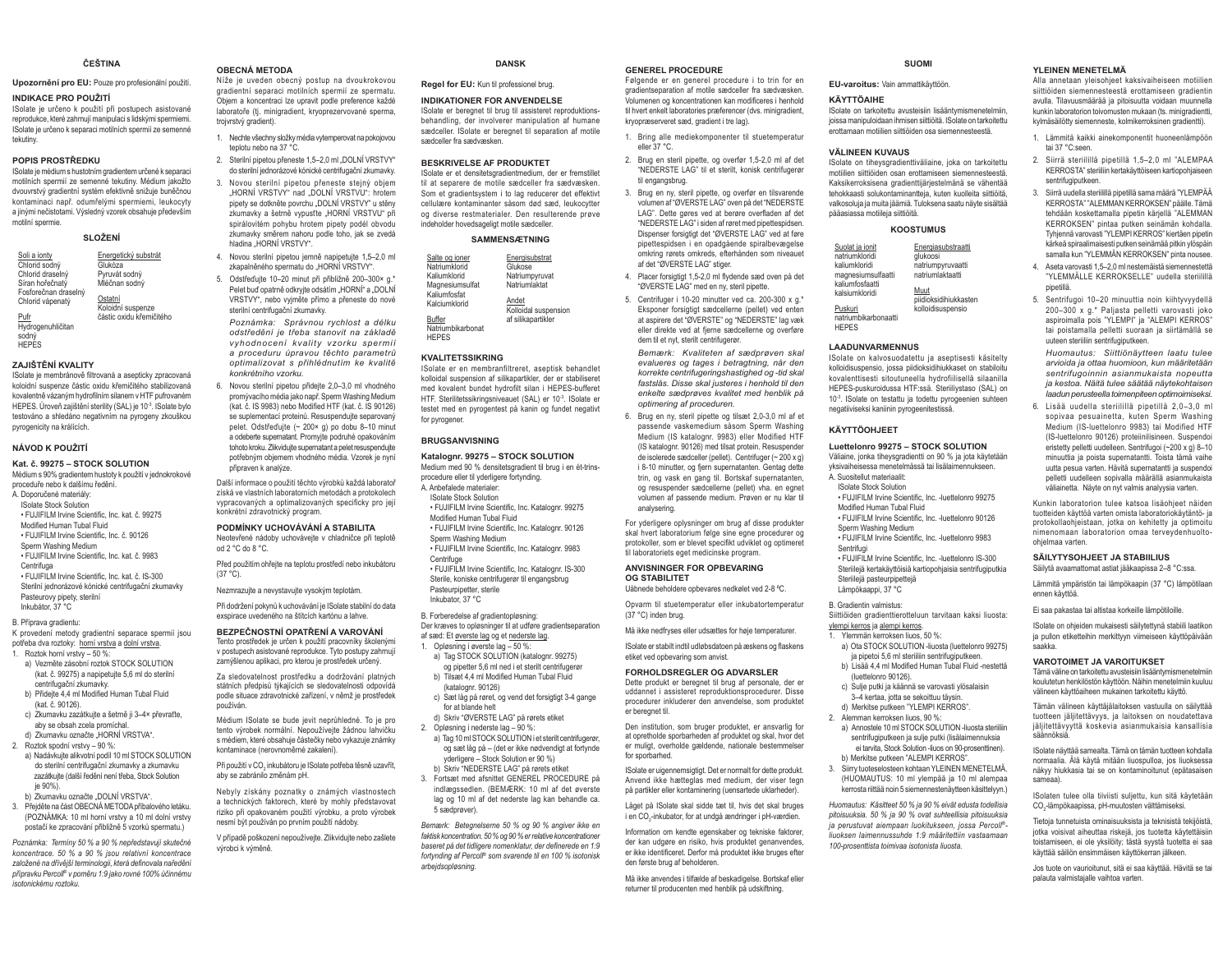#### ČEČTINA

Upozornění pro EU: Pouze pro profesionální použití.

#### **INDIKACE PRO POUŽITÍ**

ISolate je určeno k použití při postupech asistované reprodukce, které zahrnují manipulaci s lidskými spermiemi. ISolate je určeno k separaci motilních spermií ze semenné tekutiny

#### POPIS PROSTŘEDKU

ISolate je médium s hustotním gradientem určené k separaci motilních spermií ze semenné tekutiny. Médium jakožto dvouvrstvý gradientní systém efektivně snižuje buněčnou kontaminaci např. odumřelými spermiemi, leukocyty a jinými nečistotami. Výsledný vzorek obsahuje především motilní spermie.

#### SLOŽENÍ

Soli a ionty Energetický substrát Chlorid sodný Glukóza olukozu<br>Pvruvát sodný Chlorid draselný Síran hořečnatý Mléčnan sodný Ensforečnan draselný Ostatní Chlorid vápenatý Koloidní suspenze částic oxidu křemičitého

Pufr Hydrogenuhličitan sodný **HFPFS** 

#### ZAJIŠTĚNÍ KVALITY

ISolate je membránově filtrovaná a asepticky zpracovaná koloidní susnenze částic oxidu křemičitého stabilizovaná kovalentně vázaným hydrofilním silanem v HTF pufrovaném HEPES. Úroveň zajištění sterility (SAL) je 10-3. ISolate bylo testováno a shledáno negativním na pyrogeny zkouškou pyrogenicity na králících.

#### NÁVOD K POUŽITÍ

#### Kat. č. 99275 - STOCK SOLUTION

Médium s 90% gradientem hustoty k noužití v jednokrokové proceduře nebo k dalšímu ředění. A. Doporučené materiály **ISolate Stock Solution** 

- · FUJIFILM Irvine Scientific, Inc. kat. č. 99275 Modified Human Tubal Fluid
- · FUJIFILM Irvine Scientific, Inc. č. 90126
- Sperm Washing Medium

• FUJIFILM Irvine Scientific. Inc. kat. č. 9983 Centrifuga · FUJIFILM Irvine Scientific, Inc. kat. č. IS-300

Sterilní jednorázové kónické centrifugační zkumavky Pasteurovy pipety, sterilní Inkubátor, 37 °C

B. Příprava gradientu:

K provedení metody gradientní separace spermií jsou potřeba dva roztoky: horní vrstva a dolní vrstva. . Roztok horní vrstvy - 50 %:

- a) Vezměte zásobní roztok STOCK SOLUTION (kat. č. 99275) a napipetuite 5.6 ml do sterilní centrifugační zkumavky
- b) Přidejte 4,4 ml Modified Human Tubal Fluid  $(kat \times 90126)$
- c) Zkumavku zazátkujte a šetrně ji 3-4× převraťte ahy se obsah zcela promíchal
- d) Zkumavku označte HORNÍ VRSTVA" 2. Roztok spodní vrstvy - 90 %:
- a) Nadávkuite alikvotní podíl 10 ml STOCK SOLUTION

do sterilní centrifugační zkumavky a zkumavku zazátkujte (další ředění není třeba, Stock Solution  $ia$  90%) b) Zkumavku označte "DOLNÍ VRSTVA".

3. Přeiděte na část OBECNÁ METODA příbalového letáku. (POZNÁMKA: 10 ml horní vrstvy a 10 ml dolní vrstvy nostačí ke znracování nřihližně 5 vzorků snermatu )

Poznámka: Termíny 50 % a 90 % nepředstavují skutečné koncentrace. 50 % a 90 % jsou relativní koncentrace založené na dřívější terminologii, která definovala naředění přípravku Percoll® v poměru 1:9 jako rovné 100% účinnému isotonickému roztoku

#### **OBECNÁ METODA**

Níže je uveden obecný postup na dvoukrokovou gradientní separaci motilních spermií ze spermatu. Objem a koncentraci lze upravit podle preference každé laboratoře (tj. minigradient, kryoprezervované sperma, troivrstvý gradient).

- 1. Nechte všechny složky média vytemperovat na pokojovou tenintu nebo na 37 °C
- 2. Sterilní pipetou přeneste 1,5–2,0 ml "DOLNÍ VRSTVY" do sterilní jednorázové kónické centrifugační zkumavky.
- 3 Novou sterilní ninetou nřeneste stejný objem "HORNÍ VRSTVÝ" nad "DOLNÍ VRSTVU": hrotem pipety se dotkněte povrchu "DOLNÍ VRSTVY" u stěny zkumavky a šetrně vypusťte "HORNÍ VRSTVU" při snirálovitém nohybu hrotem ninety nodél obvodu zkumavky směrem nahoru podle toho, jak se zvedá hladina "HORNÍ VRSTVY".
- 4. Novou sterilní pipetou jemně napipetujte 1,5-2,0 ml zkapalněného spermatu do HORNÍ VRSTVY"
- 5. Odstřeďuite 10-20 minut při přibližně 200-300× a.\* Pelet buď opatrně odkryjte odsátím "HORNÍ" a "DOLNÍ VRSTVY", nebo vviměte přímo a přeneste do nové sterilní centrifugační zkumavky.

Poznámka: Správnou rychlost a délku odstředění je třeba stanovit na základě vyhodnocení kvality vzorku spermií a proceduru úpravou těchto parametrů ontimalizovat s nřihlédnutím ke kvalitě konkrétního vzorku.

6 Novou sterilní ninetou nřidejte 20–30 ml vhodného promývacího média jako např. Sperm Washing Medium (kat. č. IS 9983) nebo Modified HTF (kat. č. IS 90126) se suplementací proteinů. Resuspendujte separovaný pelet. Odstředujte (~ 200× g) po dobu 8-10 minut a odeberte supernatant. Promvite podruhé opakováním tohoto kroku. Zlikviduite supernatant a pelet resuspenduite potřebným objemem vhodného média. Vzorek je nyní připraven k analýze.

Další informace o použití těchto výrobků každá laboratoř získá ve vlastních laboratorních metodách a protokolech vvoracovaných a optimalizovaných specificky pro její konkrétní zdravotnický program.

#### PODMÍNKY UCHOVÁVÁNÍ A STABILITA

Neotevřené nádoby uchovávejte v chladničce při teplotě od 2 °C do 8 °C

Před použitím ohřejte na teplotu prostředí nebo inkubátoru  $(37 °C)$ .

Nezmrazujte a nevystavujte vysokým teplotám.

Při dodržení pokynů k uchovávání je ISolate stabilní do data exspirace uvedeného na štítcích kartónu a lahve.

#### BEZPEČNOSTNÍ OPATŘENÍ A VAROVÁNÍ

Tento prostředek je určen k použití pracovníky školenými v postupech asistované reprodukce. Tyto postupy zahrnují zamýšlenou aplikaci, pro kterou je prostředek určený.

Za sledovatelnost prostředku a dodržování platných státních předpisů týkajících se sledovatelnosti odpovídá podle situace zdravotnické zařízení, v němž je prostředek noužíván

Médium lSolate se bude jevit neprůhledné. To je pro tento výrobek normální. Nepoužívejte žádnou lahvičku s médiem, které obsahuje částečky nebo vykazuje známky kontaminace (nerovnoměrné zakalení)

Při použití v CO, inkubátoru je ISolate potřeba těsně uzavřít, aby se zabránilo změnám pH.

Nebyly získány poznatky o známých vlastnostech a technických faktorech, které by mohly představovat riziko při opakovaném použití výrobku, a proto výrobek nesmí být používán po prvním použití nádoby.

V případě poškození nepoužívejte. Zlikvidujte nebo zašlete výrobci k výměně.

#### **DANSK**

Regel for EU: Kun til professionel brug.

#### INDIKATIONER FOR ANVENDELSE

ISolate er beregnet til brug til assisteret reproduktionsbehandling, der involverer manipulation af humane sædceller. Solate er beregnet til separation af motile sædceller fra sædvæsken

#### **RESKRIVELSE AF PRODUKTET**

ISolate er et densitetsgradientmedium, der er fremstiller til at senarere de motile sædceller fra sædvæsken Som et gradientsystem i to lag reducerer det effektivt cellulære kontaminanter såsom død sæd, leukocytter on diverse restmaterialer. Den resulterende prave indeholder hovedsageligt motile sædceller.

#### **SAMMENSÆTNING**

| Salte og joner    | Energisubstrat       |
|-------------------|----------------------|
|                   |                      |
| Natriumklorid     | Glukose              |
| Kaliumklorid      | Natriumpyruvat       |
| Magnesiumsulfat   | Natriumlaktat        |
| Kaliumfosfat      |                      |
| Kalciumklorid     | Andet                |
|                   | Kolloidal suspension |
| Buffer            | af silikapartikler   |
| Natriumbikarbonat |                      |
| <b>HEPES</b>      |                      |

#### **KVALITETSSIKRING**

ISolate er en membranfiltreret, aseptisk behandlet kolloidal suspension af silikapartikler, der er stabiliseret med kovalent bundet hydrofilt silan i HEPES-bufferet HTF. Sterilitetssikringsniveauet (SAL) er 10-3. ISolate er testet med en pyrogentest på kanin og fundet negativt for pyrogener.

#### **BRUGSANVISNING**

#### Katalognr. 99275 - STOCK SOLUTION

- Medium med 90 % densitetsgradient til brug i en ét-trinsprocedure eller til yderligere fortynding. A Anhefalede materialer
- **ISolate Stock Solution**
- . FUJIFILM Irvine Scientific, Inc. Katalognr, 99275
- Modified Human Tubal Fluid . FUJIFILM Irvine Scientific, Inc. Katalognr, 90126
- Snerm Washing Medium
- . FUJIFILM Irvine Scientific, Inc. Katalognr, 9983
- Centrifuge . FUJIFILM Irvine Scientific, Inc. Katalognr, IS-300 Sterile, koniske centrifugerør til engangsbrug
- Pasteurninetter sterile Inkubator, 37 °C

#### B. Forberedelse af gradientopløsning:

- Der kræves to opløsninger til at udføre gradientseparation
- af sæd: Et øverste lag og et nederste lag.
- 1 Onlasning i averste lan = 50 %
- a) Tag STOCK SOLUTION (katalognr, 99275) og pipetter 5.6 ml ned i et sterilt centrifugerør
- b) Tilsæt 4,4 ml Modified Human Tubal Fluid (katalognr 90126)
- c) Sæt låg på røret, og vend det forsigtigt 3-4 gange for at blande helt
- d) Skriv "ØVERSTE LAG" på rørets etiket
- 2. Opløsning i nederste lag 90 %: a) Tag 10 ml STOCK SOLUTION i et sterilt centrifugerar og sæt låg på - (det er ikke nødvendigt at fortynde yderligere - Stock Solution er 90 %)
- b) Skriv "NEDERSTE LAG" på rørets etiket 3. Fortsæt med afsnittet GENEREL PROCEDURE på indlænssedlen (REMÆRK: 10 ml af det øverste lag og 10 ml af det nederste lag kan behandle ca.
- 5 sædprøver).

Bemærk: Betegnelserne 50 % og 90 % angiver ikke en faktisk koncentration. 50 % og 90 % er relative koncentrationer baseret på det tidligere nomenklatur, der definerede en 1:9 fortynding af Percoll® som svarende til en 100 % isotonisk arbeidsopløsning.

#### **GENEREL PROCEDURE**

Følgende er en generel procedure i to trin for en gradientsenaration af motile sædceller fra sædvæsken Volumenen og koncentrationen kan modificeres i henhold til hvert enkelt laboratories præferencer (dvs. minigradient, kryopræserveret sæd, gradient i tre lag).

**SLIOMI** 

ISolate on tarkoitettu avusteisiin lisääntymismenetelmiin

joissa manipuloidaan ihmisen siittiöitä. ISolate on tarkoitettu

ISolate on tihevsgradienttiväliaine, joka on tarkoitettu

motiilien siittiöiden osan erottamiseen siemennesteestä

Kaksikerroksisena gradienttijärjestelmänä se vähentää

tehokkaasti solukontaminantteja, kuten kuolleita siittiöitä,

valkosoluja ja muita jäämiä. Tuloksena saatu näyte sisältää

**KOOSTUMUS** 

alukoosi

Muut

ISolate on kalvosuodatettu ja aseptisesti käsitelty

kolloidisuspensio, jossa piidioksidihiukkaset on stabiloitu

kovalenttisesti sitoutuneella hydrofiilisellä silaanilla

HEPES-puskuroidussa HTF:ssä. Steriilivstaso (SAL) on

10<sup>-3</sup>. ISolate on testattu ja todettu pyrogeenien suhteen

Luettelonro 99275 - STOCK SOLUTION

Väliaine, jonka tiheysgradientti on 90 % ja jota käytetään

. FLUIFILM Irvine Scientific Inc. - Luettelonro 99275

· FUJIFILM Irvine Scientific, Inc. - luettelonro 90126

. FUJIFILM Irvine Scientific Inc. - Iuettelonro 9983

· FUJIFILM Irvine Scientific, Inc. -luettelonro IS-300

Siittiöiden gradienttierotteluun tarvitaan kaksi liuosta:

ja pipetoi 5,6 ml steriiliin sentrifugiputkeen.

c). Sulie nutki ja käännä se varovasti vlösalaisin

3-4 kertaa, jotta se sekoittuu tävsin.

d) Merkitse putkeen "YLEMPI KERROS".

b) Merkitse putkeen "ALEMPI KERROS"

100-prosenttista toimivaa isotonista liuosta

a) Ota STOCK SOLUTION -liuosta (luettelonro 99275)

b) Lisää 4,4 ml Modified Human Tubal Fluid -nestettä

a) Annostele 10 ml STOCK SOLUTION -liuosta steriiliin

sentrifuginutkeen ja sulje nutki (lisälaimennuksia

(HUOMAUTUS: 10 ml vlempää ja 10 ml alempaa

kerrosta riittää noin 5 siemennestenäytteen käsittelyyn.)

Huomautus: Käsitteet 50 % ja 90 % eivät edusta todellisia

pitoisuuksia. 50 % ja 90 % ovat suhteellisia pitoisuuksia

.<br>ja perustuvat aiempaan luokitukseen, jossa Percoll®-

liuoksen laimennussuhde 1:9 määritettiin vastaamaan

3. Siirry tuoteselosteen kohtaan YLEINEN MENETELMÄ.

ei tarvita. Stock Solution -liuos on 90-prosenttinen).

Steriileiä kertakäyttöisiä kartiopohiaisia sentrifugiputkia

yksivaiheisessa menetelmässä tai lisälaimennukseen.

negatiiviseksi kaniinin pyrogeenitestissä.

Energiasubstraatti

natriumnyn ivaatti

piidioksidihiukkasten

kolloidisuspensio

natriumlaktaatti

erottamaan motiilien siittiöiden osa siemennesteestä.

EU-varoitus: Vain ammattikäyttöön.

**KÄYTTÖAIHF** 

VÄLINEEN KIIVALIS

pääasiassa motiileia siittiöitä.

Suolat ja ionit

natriumklorid

kaliumkloridi

kaliumfosfaatti

kalsiumkloridi

Puskuri

**HEPES** 

mannesiumsulfaatti

natriumbikarbonaatti

KÄYTTÖOH IFFT

.<br>∆\_Su∩sitellut materiaalit:

Solate Stock Solution

Modified Human Tubal Fluid

Sperm Washing Medium

Steriilejä nasteuminettejä

ylempi kerros ja alempi kerros.

(luettelonro 90126).

2. Alemman kerroksen liuos, 90 %:

Ylemmän kerroksen liuos. 50 %:

Lämpökaappi. 37 °C

**B** Gradientin valmistus:

Sentrifugi

**I AADUNVARMENNUS** 

YLEINEN MENETELMÄ

tai 37 °C:seen

sentrifugiputkeen.

ninetillä

ohielmaa varten

ennen käyttöä.

saakka

.<br>säännökeiä

sameaal

Alla annetaan vleisohieet kaksivaiheiseen motiilien

siittiöiden siemennesteestä erottamiseen gradientin

avulla. Tilavuusmäärää ja pitoisuutta voidaan muunnella

kunkin laboratorion toivomusten mukaan (ts. minigradientti,

1. Lämmitä kaikki ainekomponentit huoneenlämpöön

2. Siirrä steriilillä pipetillä 1.5-2.0 ml "ALEMPAA

3. Siirrä uudella steriilillä pipetillä sama määrä "YLEMPÄÄ

KERROSTA" steriiliin kertakäyttöiseen kartiopohiaiseen

KERROSTA" "ALEMMAN KERROKSEN" päälle. Tämä

tehdään koskettamalla pipetin kärjellä "ALEMMAN

KERROKSEN" nintaa nutken seinämän kohdalla

Tyhiennä varnvasti "YI FMPI KERROS" kiertäen ninetin

kärkeä spiraalimaisesti putken seinämää pitkin ylöspäin

samalla kun "YLEMMÄN KERROKSEN" pinta nousee.

"YLEMMÄLLE KERROKSELLE" uudella steriilillä

200-300 x g.\* Paljasta pelletti varovasti joko

aspiroimalla pois "YLEMPI" ja "ALEMPI KERROS"

tai poistamalla pelletti suoraan ja siirtämällä se

Huomautus: Siittiönäytteen laatu tulee

arvioida ja ottaa huomioon, kun määritetään

sentrifugoinnin asianmukaista nopeutta

ja kestoa. Näitä tulee säätää näytekohtaisen

laadun perusteella toimenpiteen optimoimiseksi.

sonivaa pesuainetta, kuten Sperm Washing

Medium (IS-luettelonro 9983) tai Modified HTF

(IS-luettelonro 90126) proteiinilisineen. Suspendoi

eristetty pelletti uudelleen. Sentrifugoi (~200 x q) 8-10

minuuttia ja poista supernatantti. Toista tämä vaihe

uutta pesua varten. Hävitä supernatantti ja suspendoj

nelletti uudelleen sonivalla määrällä asianmukaista

väliainetta. Näyte on nyt valmis analyysia varten.

Kunkin lahoratorion tulee katsoa lisäohieet näiden

tuotteiden käyttöä varten omista lahoratoriokäytäntö, ja

protokollaohjeistaan, jotka on kehitetty ja optimoitu

nimenomaan laboratorion omaa terveydenhuolto-

Lämmitä vmpäristön tai lämpökaapin (37 °C) lämpötilaan

ISolate on ohieiden mukaisesti säilytettynä stabiili laatikon

ja pullon etiketteihin merkittyyn viimeiseen käyttöpäivään

Tämä väline on tarkoitettu avusteisiin lisääntymismenetelmiin

koulutetun henkilöstön käyttöön. Näihin menetelmiin kuuluu

Tämän välineen käyttäjälaitoksen vastuulla on säilyttää

tuotteen jälijtettävyys, ja laitoksen on noudatettava

jäljitettävyyttä koskevia asianmukaisia kansallisia

ISolate näyttää samealta Tämä on tämän tuotteen kohdalla

normaalia. Älä käytä mitään liuosnulloa, jos liuoksessa

näkyy hiukkasia tai se on kontaminoitunut (enätasaisen

ISolaten tulee olla tiiviisti suljettu, kun sitä käytetään

Tietoja tunnetuista ominaisuuksista ja teknisistä tekijöistä,

jotka voisivat aiheuttaa riskejä, jos tuotetta käytettäisiin

toistamiseen, ei ole vksilöity; tästä syystä tuotetta ei saa

Jos tuote on vaurioitunut, sitä ei saa käyttää. Hävitä se tai

CO<sub>2</sub>-lämpökaapissa, pH-muutosten välttämiseksi.

käyttää säiliön ensimmäisen käyttökerran jälkeen

palauta valmistajalle vaihtoa varten.

välineen käyttöaiheen mukainen tarkoitettu käyttö.

SÄILYTYSOHJEET JA STABIILIUS

Säilytä avaamattomat astiat jääkaapissa 2-8 °C:ssa.

Ei saa pakastaa tai altistaa korkeille lämpötiloille.

**VAROTOIMET JA VAROITUKSET** 

6. Lisää uudella steriilillä pipetillä 2.0-3.0 ml

4. Aseta varovasti 1.5-2.0 ml nestemäistä siemennestettä

5. Sentrifugoi 10-20 minuuttia noin kiihtyyvydellä

uuteen steriiliin sentrifugiputkeen.

kylmäsäilötty siemenneste, kolmikerroksinen gradientti).

- 1. Bring alle mediekomponenter til stuetemperatur eller  $37^{\circ}$ C
- 2. Brug en steril pipette, og overfør 1,5-2,0 ml af det "NEDERSTE LAG" til et sterilt konisk centrifunerør til engangsbrug.
- 3. Brug en ny, steril pipette, og overfør en tilsvarende volumen af "ØVERSTE LAG" oven på det "NEDERSTE LAG". Dette gøres ved at berøre overfladen af det "NEDERSTE LAG" i siden af røret med pipettespidsen. Dispenser forsigtigt det "ØVERSTE LAG" ved at føre pipettespidsen i en opadgående spiralbevægelse omkring rørets omkreds, efterhånden som niveauet af det "ØVERSTE LAG" stiger.
- 4. Placer forsigtigt 1,5-2,0 ml flydende sæd oven på det "ØVERSTE LAG" med en nv. steril pipette.
- 5. Centrifuger i 10-20 minutter ved ca. 200-300 x g.\* Eksnoner forsigtigt sædcellerne (nellet) ved enten at aspirere det "ØVERSTE" og "NEDERSTE" lag væk eller direkte ved at fjerne sædcellerne og overføre dem til et nyt, sterilt centrifugerør.

Bemærk: Kvaliteten af sædprøven skal evalueres og tages i betragtning, når den korrekte centrifugeringshastighed og -tid skal fastslås. Disse skal justeres i henhold til den enkelte sædprøves kvalitet med henblik på optimering af proceduren.

6. Brug en ny, steril pipette og tilsæt 2,0-3,0 ml af et passende vaskemedium såsom Sperm Washing Medium (IS katalognr 9983) eller Modified HTF (IS katalognr. 90126) med tilsat protein. Resuspender de isolerede sædceller (pellet). Centrifuger (~ 200 x g) i 8-10 minutter, og fiern supernatanten. Gentag dette trin, og vask en gang til. Bortskaf supernatanten. og resuspender sædcellerne (pellet) vha. en egnet volumen af passende medium. Prøven er nu klar til analysering

For yderligere oplysninger om brug af disse produkter skal hvert laboratorium følge sine egne procedurer og protokoller, som er blevet specifikt udviklet og optimeret til laboratoriets eget medicinske program.

#### **ANVISNINGER FOR OPBEVARING OG STABILITET** Uåbnede beholdere ophevares nedkølet ved 2-8 °C.

Opvarm til stuetemperatur eller inkubatortemperatur (37 °C) inden brug.

Må ikke nedfryses eller udsættes for høje temperaturer.

ISolate er stabilt indtil udløbsdatoen på æskens og flaskens etiket ved opbevaring som anvist.

Den institution, som bruger produktet, er ansvarlig for

at opretholde sporbarheden af produktet og skal, hvor det

er muligt, overholde gældende, nationale bestemmelser

ISolate er uigennemsigtigt. Det er normalt for dette produkt.

Anvend ikke hætteglas med medium, der viser tegn

på partikler eller kontaminering (uensartede uklarheder).

Lânet nă ISolate skal sidde tæt til hvis det skal hrunes

i en CO<sub>2</sub>-inkubator, for at undgå ændringer i pH-værdien.

Information om kendte egenskaber og tekniske faktorer,

der kan udgøre en risiko, hvis produktet genanvendes.

er ikke identificeret. Derfor må produktet ikke bruges efter

Må ikke anvendes i tilfælde af beskadigelse. Bortskaf eller

returner til producenten med henblik på udskiftning.

#### FORHOLDSREGLER OG ADVARSLER

er beregnet til.

for sporbarhed.

den første brug af beholderen.

Dette produkt er beregnet til brug af personale, der er uddannet i assisteret reproduktionsprocedurer. Disse procedurer inkluderer den anvendelse, som produktet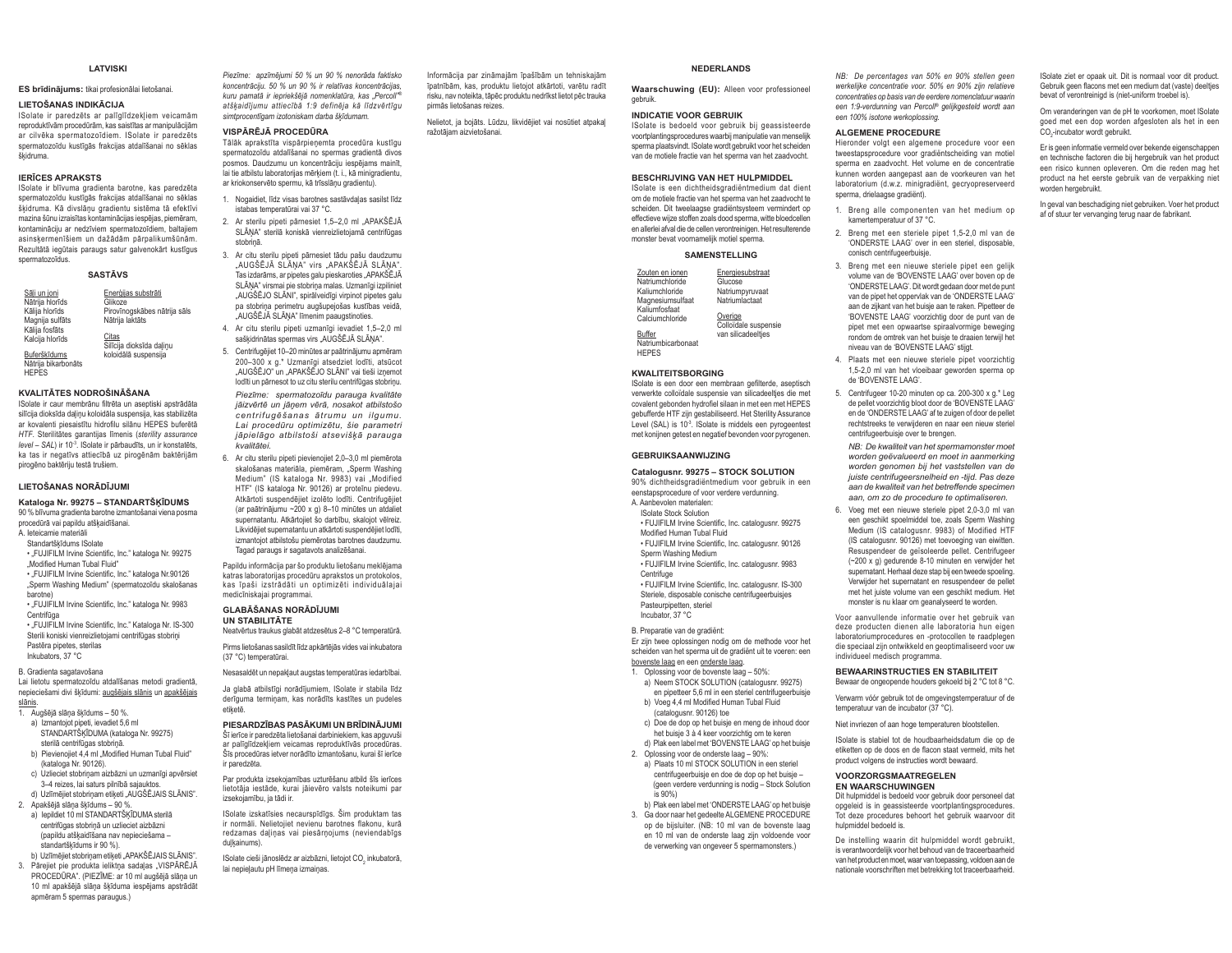#### **LATVISKI**

#### ES brīdinājums: tikai profesionālai lietošanai.

#### LIETOŠANAS INDIKĀCIJA

ISolate ir paredzēts ar palīglīdzekļiem veicamām renroduktīvām procedūrām, kas saistītas ar manipulācijām ar cilvēka spermatozoīdiem. ISolate ir paredzēts spermatozoīdu kustīgās frakcijas atdalīšanai no sēklas škidruma.

#### **IFRICES APRAKSTS**

ISolate ir blīvuma gradienta barotne, kas paredzēta spermatozoīdu kustīgās frakcijas atdalīšanai no sēklas škidruma. Kā divslānu gradientu sistēma tā efektīvi mazina šūnu izraisītas kontaminācijas iespējas, piemēram, kontamināciju ar nedzīviem spermatozoīdiem, baltajiem asinskermenīšiem un dažādām pārpalikumšūnām. Rezultātā iegūtais paraugs satur galvenokārt kustīgus snermatozoīdus

#### **SASTĀVS**

| Sāli un joni                      | Enerģijas substrāti               |
|-----------------------------------|-----------------------------------|
| Nātrija hlorīds                   | Glikoze                           |
| Kālija hlorīds                    | Pirovīnogskābes nātrija sāls      |
| Magnija sulfāts                   | Nātrija laktāts                   |
| Kālija fosfāts<br>Kalcija hlorīds | Citas<br>Silīcija dioksīda daļinu |
| Buferškīdums                      | koloidālā suspensija              |
| Nātrija bikarbonāts               |                                   |
| <b>UEDEC</b>                      |                                   |

#### KVALITĀTES NODROŠINĀŠANA

ISolate ir caur membrānu filtrēta un aseptiski apstrādāta silīcija dioksīda daļiņu koloidāla suspensija, kas stabilizēta ar kovalenti njesajstītu hidrofilu silānu HFPFS buferētā HTF. Sterilitätes garantijas līmenis (sterility assurance level - SAL) ir 10<sup>3</sup>. ISolate ir pārbaudīts, un ir konstatēts, ka tas ir negatīvs attiecībā uz pirogēnām baktērijām pirogēno baktēriju testā trušiem.

#### LIETOŠANAS NORĀDĪJUMI

#### Kataloga Nr. 99275 - STANDARTŠKĪDUMS

90 % blīvuma gradienta barotne izmantošanai viena posma procedūrā vai papildu atšķaidīšanai.

- A. leteicamie materiāli
- Standartškīdums ISolate
- . FUJIFILM Irvine Scientific. Inc." kataloga Nr. 99275 Modified Human Tubal Fluid"
- "FUJIFILM Irvine Scientific, Inc." kataloga Nr.90126 Sperm Washing Medium" (spermatozoīdu skalošanas
- harotnel · "FUJIFILM Irvine Scientific, Inc." kataloga Nr. 9983
- Centrifūga . FUJIFILM Irvine Scientific, Inc." Kataloga Nr. IS-300 Sterili koniski vienreizlietojami centrifūgas stobriņi Pastēra pipetes, sterilas
- Inkubators, 37 °C

B. Gradienta sagatavošana Lai lietotu spermatozoīdu atdalīšanas metodi gradientā, nepieciešami divi šķīdumi: augšējais slānis un apakšējais

- $\frac{1}{1}$ . Augšējā slāna šķīdums 50 %. a) Izmantojot pipeti, ievadiet 5,6 ml STANDARTŠĶĪDUMA (kataloga Nr. 99275)
- sterilā centrifūgas stobrinā. b) Pievienoiiet 4.4 ml Modified Human Tubal Fluid"
- (kataloga Nr. 90126) c) Uzlieciet stobriņam aizbāzni un uzmanīgi apvērsiet
- 3-4 reizes, lai saturs pilnībā sajauktos. d) Uzlīmējiet stobrinam etiketi "AUGŠĒJAIS SLĀNIS".
- 2. Apakšējā slāna šķīdums 90 %. a) lepildiet 10 ml STANDARTŠKĪDUMA sterilā
- centrifūgas stobrinā un uzlieciet aizbāzni (papildu atškaidīšana nav nepieciešama standartškīdums ir 90 %). b) Uzlīmējiet stobriņam etiketi "APAKŠĒJAIS SLĀNIS".
- 3. Pārejiet pie produkta ieliktņa sadaļas "VISPĀRĒJĀ PROCEDURA". (PIEZĪME: ar 10 ml augšējā slāna un 10 ml apakšējā slāna šķīduma iespējams apstrādāt apmēram 5 spermas paraugus.)

Piezīme: anzīmējumi 50 % un 90 % nenorāda faktisko koncentrāciju. 50 % un 90 % ir relatīvas koncentrācijas. kuru pamatā ir iepriekšējā nomenklatūra, kas "Percoll"® atškaidījumu attiecībā 1:9 definēja kā līdzvērtīgu simtnrocentīgam izotoniskam darba šķīdumam

#### VISPĀRĒJĀ PROCEDŪRA

Tālāk aprakstīta vispārpieņemta procedūra kustīgu spermatozoīdu atdalīšanai no spermas gradientā divos posmos. Daudzumu un koncentrāciju iespējams mainīt. lai tie atbilstu laboratorijas mērkiem (t. i., kā minigradientu, ar kriokonservēto spermu, kā trīsslāņu gradientu).

- 1. Nogaidiet. līdz visas barotnes sastāvdaļas sasilst līdz istabas temperatūrai vai 37 °C.
- 2. Ar sterilu pipeti pārnesiet 1.5-2.0 ml .APAKŠĒJĀ SLĀŅA" sterilā koniskā vienreizlietojamā centrifūgas stohrinā
- 3. Ar citu sterilu pipeti pārnesiet tādu pašu daudzumu "AUGŠĒJĀ SLĀNA" virs "APAKŠĒJĀ SLĀNA". Tas izdarāms, ar pipetes galu pieskaroties "APAKŠĒJĀ SLĀŅA" virsmai pie stobrina malas. Uzmanīgi izpiliniet "AUGŠĒJO SLĀNI", spirālveidīgi virpinot pipetes galu pa stobrina perimetru augšupejošas kustības veidā, "AUGŠĒJĀ SLĀŅA" līmenim paaugstinoties.
- 4. Ar citu sterilu pipeti uzmanīgi ievadiet 1.5-2.0 ml sašķidrinātas spermas virs "AUGŠĒJĀ SLĀŅA".
- 5. Centrifugējiet 10-20 minūtes ar paātrinājumu apmēram 200-300 x g.\* Uzmanīgi atsedziet lodīti, atsūcot AUGŠĒJO" un .APAKŠĒJO SLĀNI" vai tieši iznemot lodīti un pārnesot to uz citu sterilu centrifūgas stoprinu. Piezīme: spermatozoīdu parauga kvalitāte

jāizvērtē un jāņem vērā, nosakot atbilstošo centrifugēšanas ātrumu un ilgumu. Lai procedūru optimizētu. šie parametri jāpielāgo atbilstoši atseviškā parauga kvalitātei.

6. Ar citu sterilu pipeti pievienojiet 2.0-3.0 ml piemērota skalošanas materiāla niemēram Sperm Washing Medium" (IS kataloga Nr. 9983) vai "Modified HTF" (IS kataloga Nr. 90126) ar proteīnu piedevu. Atkārtoti suspendējiet izolēto lodīti. Centrifugējiet (ar paātrinājumu ~200 x q) 8-10 minūtes un atdaliet supernatantu. Atkārtojiet šo darbību, skalojot vēlreiz. Likvidējiet supernatantu un atkārtoti suspendējiet lodīti, izmantojot atbilstošu piemērotas barotnes daudzumu. Tagad paraugs ir sagatavots analizēšanai.

Papildu informācija par šo produktu lietošanu meklējama katras laboratorijas procedūru aprakstos un protokolos. kas īpaši izstrādāti un optimizēti individuālajai medicīniskajai programmai.

#### **GLABĀŠANAS NORĀDĪJUMI IIN STARILITÄTE**

Neatvērtus traukus glabāt atdzesētus 2-8 °C temperatūrā.

Pirms lietošanas sasildīt līdz apkārtējās vides vai inkubatora (37 °C) temperatūrai.

Nesasaldēt un nepakļaut augstas temperatūras iedarbībai.

Ja glabā atbilstīgi norādījumiem, ISolate ir stabila līdz derīguma terminam, kas norādīts kastītes un pudeles atikatā

#### PIESARDZĪBAS PASĀKUMI UN BRĪDINĀJUMI

Šī ierīce ir naredzēta lietošanai darbiniekiem kas anguvuši ar palīglīdzekļiem veicamas reproduktīvās procedūras. Šīs procedūras ietver norādīto izmantošanu, kurai šī ierīce ir naredzēta

Par produkta izsekojamības uzturēšanu atbild šīs ierīces lietotāja iestāde, kurai jāievēro valsts noteikumi par izsekojamību, ja tādi ir.

ISolate izskatīsies necaurspīdīgs. Šim produktam tas ir normāli Nelietojiet nevienu harotnes flakonu kurā redzamas dalinas vai piesārnojums (neviendabīgs dulkainums)

ISolate cieši jānoslēdz ar aizbāzni, lietojot CO, inkubatorā. lai nepielautu pH līmena izmainas

Informācija par zināmajām īpašībām un tehniskajām īpatnībām, kas, produktu lietojot atkārtoti, varētu radīt risku, nav noteikta, tāpēc produktu nedrīkst lietot pēc trauka pirmās lietošanas reizes.

ražotājam aizvietošanai

Nelietot, ja bojāts. Lūdzu, likvidējiet vai nosūtiet atpakal

**NEDERLANDS** Waarschuwing (EU): Alleen voor professioneel

sperma plaatsvindt. ISolate wordt gebruikt voor het scheiden

van de motiele fractie van het sperma van het zaadvocht.

ISolate is een dichtheidsgradiëntmedium dat dient

om de motiele fractie van het sperma van het zaadvocht te

scheiden. Dit tweelaagse gradiëntsysteem vermindert op

effectieve wijze stoffen zoals dood sperma, witte bloedcellen

en allerlei afval die de cellen verontreinigen. Het resulterende

BESCHRIJVING VAN HET HULPMIDDEL

#### gebruik

#### **INDICATIE VOOR GEBRUIK**

een 1:9-verdunning van Percoll® gelijkgesteld wordt aan een 100% isotone werkoplossing. ISolate is bedoeld voor gebruik bij geassisteerde ALCEMENE BROCEDURE voortplantingsprocedures waarbij manipulatie van menselijk

Hieronder volgt een algemene procedure voor een tweestapsprocedure voor gradiëntscheiding van motiel sperma en zaadvocht. Het volume en de concentratie kunnen worden aangepast aan de voorkeuren van het laboratorium (d.w.z. minigradiënt, gecryopreserveerd sperma, drielaagse gradiënt).

NB: De percentages van 50% en 90% stellen geen

werkelijke concentratie voor. 50% en 90% zijn relatieve

concentraties on basis van de eerdere nomenclatuur waarin

- 1. Breng alle componenten van het medium op kamertemperatuur of 37 °C
- 2. Breng met een steriele pipet 1.5-2.0 ml van de 'ONDERSTE LAAG' over in een steriel, disposable. conisch centrifugeerbuisje.
- 3. Breng met een nieuwe steriele pipet een gelijk volume van de 'BOVENSTE LAAG' over boven op de 'ONDERSTE LAAG'. Dit wordt gedaan door met de punt van de pipet het oppervlak van de 'ONDERSTE LAAG' aan de zijkant van het huisie aan te raken. Pinetteer de 'BOVENSTE LAAG' voorzichtig door de punt van de pipet met een opwaartse spiraalvormige beweging rondom de omtrek van het buisje te draaien terwijl het niveau van de 'BOVENSTE LAAG' stijgt.
- 4. Plaats met een nieuwe steriele pipet voorzichtig 1.5-2.0 ml van het vloeibaar geworden sperma op de 'BOVENSTE LAAG'.
- 5. Centrifugeer 10-20 minuten op ca. 200-300 x g.\* Leg de pellet voorzichtig bloot door de 'BOVENSTE LAAG' en de 'ONDERSTE LAAG' af te zuigen of door de pellet rechtstreeks te verwijderen en naar een nieuw steriel centrifuggerhuisie over te brengen

NB: De kwaliteit van het spermamonster moet worden geëvalueerd en moet in aanmerking worden genomen bij het vaststellen van de juiste centrifugeersnelheid en -tijd. Pas deze .<br>aan de kwaliteit van het hetreffende snecimen aan, om zo de procedure te optimaliseren.

6. Voeg met een nieuwe steriele pipet 2,0-3,0 ml van een geschikt spoelmiddel toe, zoals Sperm Washing Medium (IS catalogusnr. 9983) of Modified HTF (IS catalogusnr, 90126) met toevoeging van eiwitten. Resuspendeer de geïsoleerde pellet. Centrifugeer  $(-200 \times a)$  gedurende 8-10 minuten en verwijder het supernatant. Herhaal deze stap bij een tweede spoeling. Verwijder het supernatant en resuspendeer de pellet met het juiste volume van een geschikt medium. Het monster is nu klaar om geanalyseerd te worden.

Voor aanvullende informatie over het gebruik van deze producten dienen alle laboratoria hun eigen laboratoriumprocedures en -protocollen te raadplegen die sneciaal zijn ontwikkeld en geontimaliseerd voor uw individueel medisch programma.

#### BEWAARINSTRUCTIES EN STABILITEIT

Bewaar de ongeopende houders gekoeld bij 2 °C tot 8 °C. Verwarm vóór gebruik tot de omgevingstemperatuur of de

- temperatuur van de incubator (37 °C).
- Niet invriezen of aan hoge temperaturen blootsteller

ISolate is stabiel tot de houdbaarheidsdatum die op de etiketten op de doos en de flacon staat vermeld, mits het product volgens de instructies wordt bewaard

#### VOORZORGSMAATREGELEN **EN WAARSCHUWINGEN**

Dit hulpmiddel is bedoeld voor gebruik door personeel dat opgeleid is in geassisteerde voortplantingsprocedures. Tot deze procedures behoort het gebruik waarvoor dit hulpmiddel bedoeld is.

De instelling waarin dit hulpmiddel wordt gebruikt, is verantwoordelijk voor het behoud van de traceerbaarheid van het product en moet, waar van toepassing, voldoen aan de nationale voorschriften met betrekking tot traceerbaarheid. ISolate ziet er opaak uit. Dit is normaal voor dit product. Gebruik geen flacons met een medium dat (vaste) deelties bevat of verontreinigd is (niet-uniform troebel is).

Om veranderingen van de pH te voorkomen, moet ISolate goed met een dop worden afgesloten als het in een CO-incubator wordt gebruikt.

Er is geen informatie vermeld over bekende eigenschappen en technische factoren die bij hergebruik van het product een risico kunnen opleveren. Om die reden mag het product na het eerste gebruik van de verpakking niet worden hergebruikt

In geval van beschadiging niet gebruiken. Voer het product af of stuur ter vervanging terug naar de fabrikant.

#### SAMENSTELLING Zouten en ionen Energiesubstraat Natriumchloride Glucose Kaliumchloride Natriumpyruvaat Magnesiumsulfaat Natriumlactaat Kaliumfosfaat Overige Calciumchloride Colloïdale suspensie Buffer<br>Natriumbicarbonaat van silicadeelties

monster bevat voornamelijk motiel sperma.

**HFPFS** 

#### **KWALITEITSBORGING**

ISolate is een door een membraan gefilterde, aseptisch verwerkte colloïdale suspensie van silicadeelties die met covalent gebonden hydrofiel silaan in met een met HEPES gebufferde HTF zijn gestabiliseerd. Het Sterility Assurance Level (SAL) is 10<sup>-3</sup>. ISolate is middels een pyrogeentest met konijnen getest en negatief bevonden voor pyrogenen.

#### **GEBRUIKSAANWIJZING**

Catalogusnr. 99275 - STOCK SOLUTION 90% dichtheidsgradiëntmedium voor gebruik in een eenstapsprocedure of voor verdere verdunning.

- A. Aanbevolen materialen: ISolate Stock Solution
- · FUJIFILM Irvine Scientific, Inc. catalogusnr. 99275
- Modified Human Tubal Fluid · FUJIFILM Irvine Scientific, Inc. catalogusnr. 90126
- Sperm Washing Medium . FUJIFILM Irvine Scientific, Inc. catalogusnr, 9983
- Centrifuge · FUJIFILM Irvine Scientific, Inc. catalogusnr, IS-300

Steriele, disposable conische centrifugeerbuisies Pasteurninetten steriel Incubator 37 °C

R. Prenaratie van de gradiënt:

Er zijn twee oplossingen nodig om de methode voor het scheiden van het sperma uit de gradiënt uit te voeren; een bovenste laag en een onderste laag.

1. Oplossing voor de bovenste laag - 50%:

- a) Neem STOCK SOLUTION (catalogusnr. 99275) en pipetteer 5,6 ml in een steriel centrifugeerbuisje
- b) Voeg 4,4 ml Modified Human Tubal Fluid (cataloguent 90126) top

c) Doe de dop op het buisie en meng de inhoud door het buisje 3 à 4 keer voorzichtig om te keren

- d) Plak een label met 'BOVENSTE LAAG' op het buisje 2. Oplossing voor de onderste laag - 90%: a) Plaats 10 ml STOCK SOLUTION in een steriel
- centrifugeerbuisje en doe de dop op het buisje -(geen verdere verdunning is nodig - Stock Solution  $is 90%$ b) Plak een label met 'ONDERSTE LAAG' op het buisie
- 3. Ga door naar het gedeelte ALGEMENE PROCEDURE op de bijsluiter. (NB: 10 ml van de bovenste laag en 10 ml van de onderste laag zijn voldoende voor de verwerking van ongeveer 5 spermamonsters.)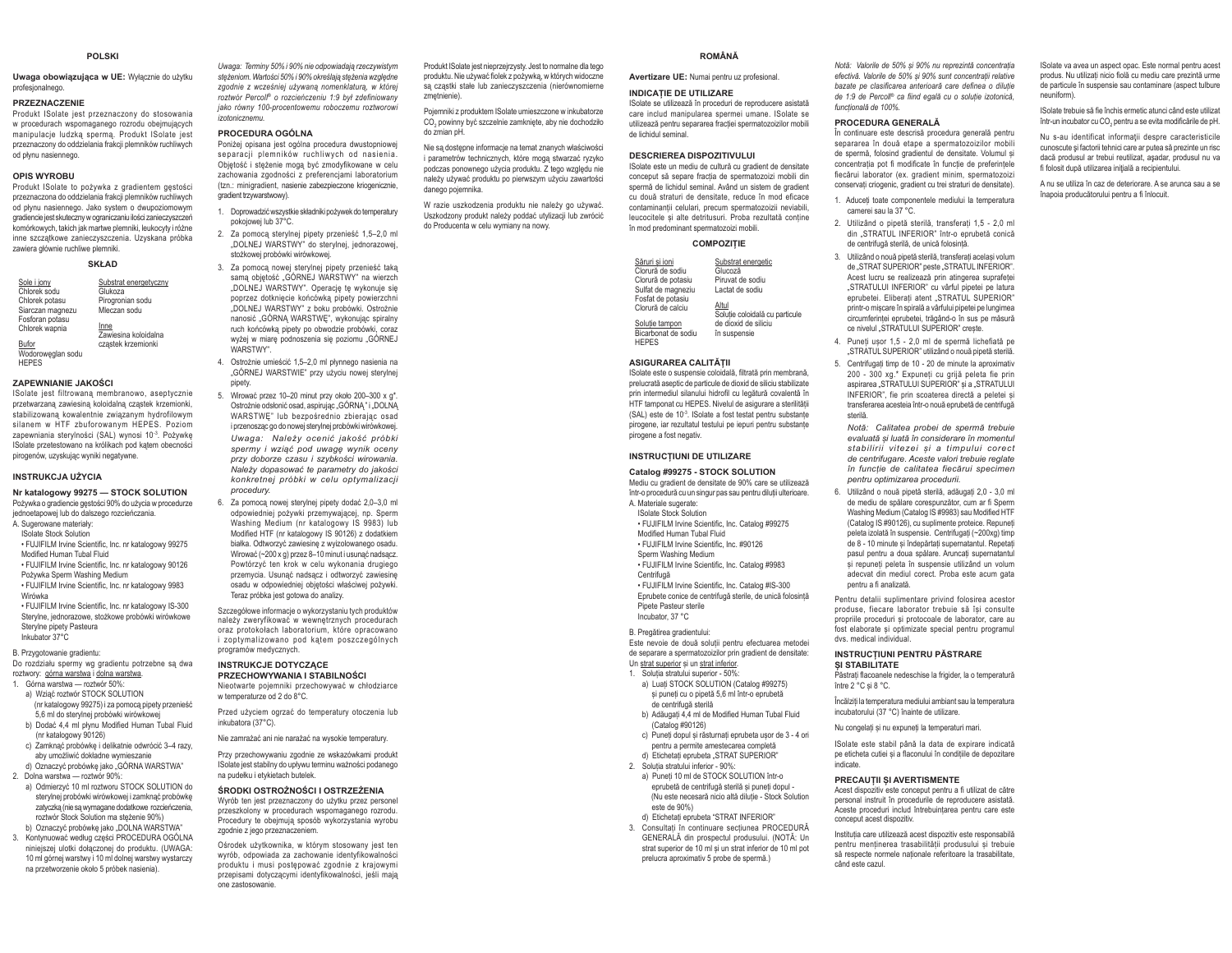#### **POLSKI**

#### Uwaga obowiązująca w UE: Wyłącznie do użytku profesjonalnego.

#### PRZEZNACZENIE

Produkt ISolate jest przeznaczony do stosowania w procedurach wspomaganego rozrodu obejmujących manipulacie ludzka sperma. Produkt ISolate jest przeznaczony do oddzielania frakcji plemników ruchliwych od płynu nasiennego.

#### **OPIS WYROBU**

Produkt ISolate to pożywka z gradientem gęstości przeznaczona do oddzielania frakcji plemników ruchliwych od płynu nasiennego. Jako system o dwupoziomowym gradiencie jest skuteczny w ograniczaniu ilości zanieczyszczeń komórkowych, takich jak martwe plemniki, leukocyty i różne inne szczątkowe zanieczyszczenia. Uzyskana próbka zawiera głównie ruchliwe plemniki.

#### **SKŁAD**

| Sole i jony       | Substrat energetyczny        |
|-------------------|------------------------------|
| Chlorek sodu      | Glukoza                      |
| Chlorek potasu    | Pirogronian sodu             |
| Siarczan magnezu  | Mleczan sodu                 |
| Fosforan potasu   |                              |
| Chlorek wapnia    | Inne<br>Zawiesina koloidalna |
| Bufor             | cząstek krzemionki           |
| Wodoroweglan sodu |                              |

**HEPES** 

#### **ZAPEWNIANIE JAKOŚCI**

ISolate iest filtrowana membranowo, aseptycznie przetwarzana zawiesina koloidalna czastek krzemionki. stabilizowaną kowalentnie związanym hydrofilowym silanem w HTF zbuforowanym HEPES. Poziom zapewniania sterylności (SAL) wynosi 10-3. Pożywkę ISolate przetestowano na królikach pod katem obecności pirogenów, uzyskując wyniki negatywne.

#### **INSTRUKCJA UŻYCIA**

Nr katalogowy 99275 - STOCK SOLUTION Pożywka o gradiencie gęstości 90% do użycia w procedurze jednoetapowej lub do dalszego rozcieńczania.

- A. Sugerowane materialy: Solate Stock Solution
- FUJIFILM Irvine Scientific. Inc. nr katalogowy 99275
- Modified Human Tubal Fluid
- · FUJIFILM Irvine Scientific, Inc. nr katalogowy 90126 Pożywka Sperm Washing Medium
- . FUJIFILM Irvine Scientific, Inc. nr katalogowy 9983 Wirówka
- . FUJIFILM Irvine Scientific, Inc. nr katalogowy IS-300 Stervlne, jednorazowe, stożkowe probówki wirówkowe Stervine pipety Pasteura Inkuhator 37°C

# B. Przygotowanie gradientu:

Do rozdziału spermy wg gradientu potrzebne są dwa roztwory: górna warstwa i dolna warstwa.

- 1. Górna warstwa roztwór 50%: a) Wziąć roztwór STOCK SOLUTION
- (nr katalogowy 99275) i za pomocą pipety przenieść
- 5,6 ml do sterylnej probówki wirówkowej b) Dodać 4.4 ml płynu Modified Human Tubal Fluid (nr katalogowy 90126)
- c) Zamknać probówke i delikatnie odwrócić 3-4 razy. aby umożliwić dokładne wymieszanie
- d) Oznaczyć probówke jako "GÓRNA WARSTWA"
- 2 Dolna warstwa roztwór 90% a) Odmierzyć 10 ml roztworu STOCK SOLUTION do
- sterylnej probówki wirówkowej i zamknąć probówkę zatyczka (nie sa wymagane dodatkowe rozcieńczenia) roztwór Stock Solution ma steżenie 90%) b) Oznaczyć probówkę jako "DOLNA WARSTWA"
- 3. Kontynuować według części PROCEDURA OGÓLNA niniejszej ulotki dołączonej do produktu. (UWAGA: 10 ml górnei warstwy i 10 ml dolnej warstwy wystarczy na przetworzenie około 5 próbek nasienia).

Uwaga: Terminy 50% i 90% nie odpowiadają rzeczywistym steżeniom. Wartości 50% i 90% określają stężenia względne zgodnie z wcześniej używana nomenklatura, w której roztwór Percoll<sup>®</sup> o rozcieńczeniu 1:9 był zdefiniowany jako równy 100-procentowemu roboczemu roztworowi izotonicznemu

#### PROCEDURA OGÓLNA

Poniżej opisana jest ogólna procedura dwustopniowej separacii plemników ruchliwych od nasienia. Objetość i steżenie moga być zmodyfikowane w celu zachowania zgodności z preferencjami laboratorium (tzn.: minigradient, nasienie zabezpieczone kriogenicznie, gradient trzwwarstwowy).

- 1. Doprowadzić wszystkie składniki pożywek do temperatury pokojowej lub 37°C.
- 2. Za pomoca sterylnej pipety przenieść 1,5-2,0 ml "DOLNEJ WARSTWY" do sterylnej, jednorazowej, stożkowej probówki wirówkowej.
- 3. Za pomoca nowej stervlnej pipety przenieść taka sama objetość "GÓRNEJ WARSTWY" na wierzch .DOLNEJ WARSTWY". Operacje te wykonuje się poprzez dotknięcie końcówką pipety powierzchni "DOLNEJ WARSTWY" z boku probówki. Ostrożnie nanosić "GÓRNA WARSTWE", wykonując spiralny ruch końcówką pipety po obwodzie probówki, coraz wyżej w miare podnoszenia się poziomu "GÓRNEJ WARSTWY"
- 4. Ostrożnie umieścić 1,5-2,0 ml płynnego nasienia na "GÓRNEJ WARSTWIE" przy użyciu nowej sterylnej pipety.
- 5. Wirować przez 10-20 minut przy około 200-300 x g\*. Ostrożnie odsłonić osad, aspirując "GÓRNA" i "DOLNA WARSTWE" lub bezpośrednio zbierając osad i przenosząc go do nowej sterylnej probówki wirówkowej. Uwaga: Należy ocenić jakość próbki spermy i wzjąć pod uwage wynik oceny przy doborze czasu i szybkości wirowania. .<br>Należy dopasować te parametry do jakości konkretnej próbki w celu optymalizacii procedury.
- 6. Za pomocą nowej sterylnej pipety dodać 2,0-3,0 ml odnowiedniej pożywki przemywającej, np. Sperm Washing Medium (nr katalogowy IS 9983) lub Modified HTF (nr katalogowy IS 90126) z dodatkiem białka. Odtworzyć zawiesinę z wyizolowanego osadu. Wirować (~200 x g) przez 8-10 minut i usunąć nadsącz. Powtórzyć ten krok w celu wykonania drugiego przemycia. Usunąć nadsącz i odtworzyć zawiesinę osadu w odpowiedniej objetości właściwej pożywki. Teraz próbka jest gotowa do analizy.

Szczegółowe informacie o wykorzystaniu tych produktów należy zweryfikować w wewnetrznych procedurach oraz protokołach laboratorium, które opracowano i zoptymalizowano pod katem poszczególnych programów medycznych

#### **INSTRUKCJE DOTYCZACE**

- PRZECHOWYWANIA I STABILNOŚCI
- Nieotwarte pojemniki przechowywać w chłodziarce w temperaturze od 2 do 8°C.

Przed użyciem ogrząć do temperatury otoczenia lub inkubatora (37°C).

Nie zamrażać ani nie narażać na wysokie temperatury.

Przy przechowywaniu zgodnie ze wskazówkami produkt ISolate jest stabilny do upływu terminu ważności podanego na pudełku i etykietach butelek.

#### ŚRODKI OSTROŻNOŚCI I OSTRZEŻENIA

Wyrób ten jest przeznaczony do użytku przez personel przeszkolony w procedurach wspomaganego rozrodu. Procedury te obejmują sposób wykorzystania wyrobu zgodnie z jego przeznaczeniem

Ośrodek użytkownika, w którym stosowany jest ten wyrób, odpowiada za zachowanie identyfikowalności produktu i musi postępować zgodnie z krajowymi przepisami dotyczącymi identyfikowalności, jeśli mają one zastosowanie

Produkt ISolate jest nieprzejrzysty. Jest to normalne dla tego produktu. Nie używać fiolek z pożywką, w których widoczne sa czastki stałe lub zanieczyszczenia (nierównomierne zmetnienie)

Pojemniki z produktem ISolate umieszczone w inkubatorze CO, powinny być szczelnie zamkniete, aby nie dochodziło do zmian nH

Nie są dostępne informacje na temat znanych właściwości i parametrów technicznych, które mogą stwarzać ryzyko podczas ponownego użycia produktu. Z tego względu nie należy używać produktu po pierwszym użyciu zawartości danego poiemnika.

W razie uszkodzenia produktu nie należy go używać. Uszkodzony produkt należy poddać utylizacji lub zwrócić do Producenta w celu wymiany na nowy.

#### **DOMÂNĂ**

care includ manipularea spermei umane. ISolate se

utilizează pentru separarea fracției spermatozoizilor mobili

Avertizare UE: Numai pentru uz profesional.

#### **INDICATIE DE UTILIZARE**

Solate se utilizează în proceduri de reproducere asistată

#### **DESCRIEREA DISPOZITIVULUI**

de lichidul seminal.

ISolate este un mediu de cultură cu gradient de densitate conceput să separe fractia de spermatozoizi mobili din spermă de lichidul seminal. Având un sistem de gradient cu două straturi de densitate, reduce în mod eficace contaminantii celulari, precum spermatozoizii neviabili. leucocitele si alte detritusuri. Proba rezultată contine în mod predominant spermatozoizi mobili

#### **COMPOZITIE**

| Săruri si ioni                         | Substrat energetic                      |
|----------------------------------------|-----------------------------------------|
| Clorură de sodiu                       | Glucoză                                 |
| Clorură de potasiu                     | Piruvat de sodiu                        |
| Sulfat de magneziu                     | Lactat de sodiu                         |
| Fosfat de potasiu<br>Clorură de calciu | Altul<br>Solutie coloidală cu particule |
| Solutie tampon                         | de dioxid de siliciu                    |
| Bicarbonat de sodiu                    | în suspensie                            |
| <b>HEPES</b>                           |                                         |

#### **ASIGURAREA CALITĂTII**

Solate este o suspensie coloidală, filtrată prin membrană. prelucrată aseptic de particule de dioxid de siliciu stabilizate prin intermediul silanului hidrofil cu legătură covalentă în HTF tamponat cu HEPES. Nivelul de asigurare a sterilității (SAI) este de 10<sup>-3</sup>. ISolate a fost testat pentru substante pirogene, jar rezultatul testului pe jepuri pentru substante pirogene a fost negativ.

#### **INSTRUCTIUNI DE UTILIZARE**

Catalog #99275 - STOCK SOLUTION Mediu cu gradient de densitate de 90% care se utilizează într-o procedură cu un singur pas sau pentru dilutii ulterioare.

- A Materiale sugerate:
- **ISolate Stock Solution**
- · FUJIFILM Irvine Scientific, Inc. Catalog #99275 Modified Human Tubal Fluid
- . FUJIFILM Irvine Scientific. Inc. #90126
- Sperm Washing Medium
- . FUJIFILM Irvine Scientific, Inc. Catalog #9983
- Centrifugă

. FUJIFILM Irvine Scientific, Inc. Catalog #IS-300 Eprubete conice de centrifugă sterile, de unică folosință Pinete Pasteur sterile Incubator 37 °C

B. Pregătirea gradientului:

Este nevoie de două soluții pentru efectuarea metodei de separare a spermatozoizilor prin gradient de densitate:

- Un strat superior și un strat inferior.
- 1. Solutia stratului superior 50%:
- a) Luati STOCK SOLUTION (Catalog #99275) si puneti cu o pinetă 5.6 ml într-o eprubetă de centrifugă sterilă
- b) Adăugați 4,4 ml de Modified Human Tubal Fluid (Catalog #90126)
- c) Puneti dopul si răsturnati eprubeta usor de 3 4 ori pentru a permite amestecarea completă
- d) Etichetati eprubeta "STRAT SUPERIOR" 2. Solutia stratului inferior - 90%:
- a) Puneti 10 ml de STOCK SOLUTION într-o eprubetă de centrifugă sterilă si puneti dopul -(Nu este necesară nicio altă dilutie - Stock Solution  $\rho_{\rm c}$ te de 90%)
- d) Etichetati eprubeta "STRAT INFERIOR"
- 3. Consultați în continuare secțiunea PROCEDURĂ GENERALĂ din prospectul produsului. (NOTĂ: Un strat superior de 10 ml si un strat inferior de 10 ml not orelucra aproximativ 5 probe de spermã.)

Notă: Valorile de 50% și 90% nu reprezintă concentratia efectivă. Valorile de 50% și 90% sunt concentratii relative bazate pe clasificarea anterioară care definea o dilutie de 1:9 de Percoll<sup>®</sup> ca fiind egală cu o solutie izotonică. functională de 100%

ISolate va avea un aspectionac. Este normal pentru acest

produs. Nu utilizati nicio fiolă cu mediu care prezintă urme

de particule în suspensie sau contaminare (aspect tulbure

ISolate trebuie să fie închis ermetic atunci când este utilizat

într-un incubator cu CO, pentru a se evita modificările de pH.

Nu s-au identificat informații despre caracteristicile

cunoscute si factorii tehnici care ar putea să prezinte un risc

daçã produsul ar trebui reutilizat, asadar, produsul nu va

A nu se utiliza în caz de deteriorare. A se arunca sau a se

fi folosit după utilizarea inițială a recipientului.

înapoia producătorului pentru a fi înlocuit.

nouniform

#### PROCEDURA GENERALĂ

În continuare este descrisă procedura generală pentru separarea în două etape a spermatozoizilor mobili de snermă folosind gradiențul de densitate Volumul și concentratia pot fi modificate în functie de preferintele fiecărui laborator (ex. gradient minim, spermatozoizi conservati criogenic, gradient cu trei straturi de densitate).

- 1. Aduceti toate componentele mediului la temperatura camerei sau la 37 °C.
- 2. Utilizând o pipetă sterilă, transferati 1.5 2.0 ml din "STRATUL INFERIOR" într-o eprubetă conică de centrifugă sterilă, de unică folosintă.
- 3. Utilizând o nouă pipetă sterilă, transferați același volum de STRAT SUPERIOR" peste STRATUL INFERIOR". Acest lucru se realizează prin atingerea suprafetei STRATULUI INFERIOR" cu vârful pinetei ne latura eprubetei. Eliberați atent "STRATUL SUPERIOR" printr-o miscare în spirală a vârfului pipetei pe lungimea circumferintei eprubetei, trăgând-o în sus pe măsură ce nivelul "STRATULUI SUPERIOR" creste.
- 4. Puneti usor 1.5 2.0 ml de spermă lichefiată pe STRATUL SUPERIOR" utilizând o nouă ninetă sterilă
- 5. Centrifugați timp de 10 20 de minute la aproximativ 200 - 300 xq.\* Expuneti cu grijă peleta fie prin aspirarea "STRATULUI SUPERIOR" si a "STRATULUI INFERIOR", fie prin scoaterea directă a peletei și transferarea acesteia într-o nouă eprubetă de centrifugă sterilă

Notă: Calitatea probei de spermă trebuie evaluată și luată în considerare în momentul stabilirii vitezei si a timpului corect de centrifugare Aceste valori trebuje reglate în functie de calitatea fiecărui specimen pentru optimizarea procedurii.

6. Utilizând o nouă pipetă sterilă, adăugati 2,0 - 3,0 ml de mediu de spălare corespunzător, cum ar fi Sperm Washing Medium (Catalog IS #9983) sau Modified HTF (Catalog IS #90126), cu suplimente proteice. Repuneți peleta izolată în suspensie. Centrifugati (~200xg) timp de 8 - 10 minute si îndepărtati supernatantul. Repetati pasul pentru a doua spălare. Aruncati supernatantul si repuneti peleta în suspensie utilizând un volum adecvat din mediul corect. Proba este acum gata pentru a fi analizată.

Pentru detalii suplimentare privind folosirea acestor produse, fiecare laborator trebuie să îsi consulte propriile proceduri si protocoale de laborator, care au fost elaborate si optimizate special pentru programul dys, medical individual.

#### **INSTRUCTIUNI PENTRU PĂSTRARE** SI STABILITATE

.<br>Păstrati flacoanele nedeschise la frigider, la o temperatură între 2<sup> $^{\circ}$ </sup>C si 8  $^{\circ}$ C

Încălziți la temperatura mediului ambiant sau la temperatura incubatorului (37 °C) înainte de utilizare.

Nu congelati si nu expuneti la temperaturi mari.

ISolate este stabil până la data de expirare indicată pe eticheta cutiei și a flaconului în condițiile de depozitare indicate.

personal instruit în procedurile de reproducere asistată.

Aceste proceduri includ întrebuintarea pentru care este

Institutia care utilizează acest dispozitiv este responsabilă

pentru mentinerea trasabilității produsului și trebuie

să respecte normele nationale referitoare la trasabilitate.

#### PRECAUTII SI AVERTISMENTE Acest dispozitiv este conceput pentru a fi utilizat de către

conceput acest dispozitiv

când este cazul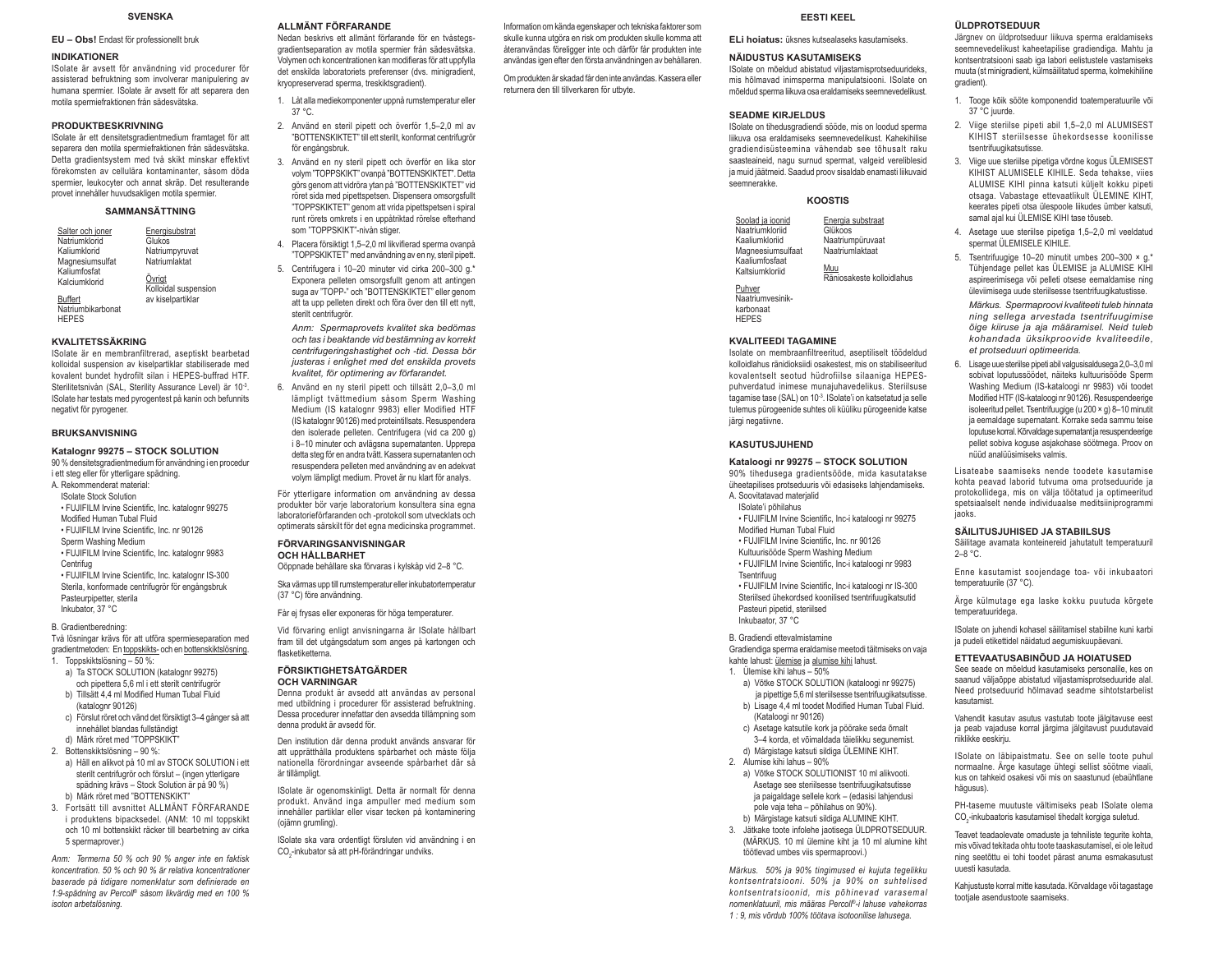#### **SVENSKA**

#### EU - Obs! Endast för professionellt bruk

#### **INDIKATIONER**

ISolate är avsett för användning vid procedurer för assisterad befruktning som involverar manipulering av humana spermier. ISolate är avsett för att separera den motila spermiefraktionen från sädesvätska.

#### **PRODUKTBESKRIVNING**

ISolate är ett densitetsgradientmedium framtaget för att separera den motila spermiefraktionen från sädesvätska. Detta gradientsystem med två skikt minskar effektivt förekomsten av cellulära kontaminanter, såsom döda spermier, leukocyter och annat skräp. Det resulterande provet innehåller huvudsakligen motila spermier.

#### **SAMMANSÄTTNING**

| Salter och joner                        | Energisubstrat                 |
|-----------------------------------------|--------------------------------|
| Natriumklorid                           | Glukos                         |
| Kaliumklorid                            | Natriumpyruvat                 |
| Magnesiumsulfat                         | Natriumlaktat                  |
| Kaliumfosfat                            |                                |
| Kalciumklorid                           | Övrigt<br>Kolloidal suspension |
| <b>Buffert</b>                          | av kiselpartiklar              |
| <b>ALL AND AND ARRESTS AND ADDRESS.</b> |                                |

Natriumbikarbonat **HEPES** 

#### **KVALITETSSÄKRING**

ISolate är en membranfiltrerad, aseptiskt bearbetad kolloidal suspension av kiselpartiklar stabiliserade med kovalent bundet hydrofilt silan i HEPES-buffrad HTF. Sterilitetsnivån (SAL, Sterility Assurance Level) är 10-3 ISolate har testats med pyrogentest på kanin och befunnits negativt för pyrogener.

#### **BRUKSANVISNING**

#### Katalognr 99275 - STOCK SOLUTION

90 % densitetsgradientmedium för användning i en procedur i ett steg eller för vtterligare spädning.

- A. Rekommenderat material:
- **ISolate Stock Solution**
- · FUJIFILM Irvine Scientific, Inc. katalognr 99275
- Modified Human Tubal Fluid . FUJIFILM Irvine Scientific, Inc. nr 90126
- Sperm Washing Medium
- · FUJIFILM Irvine Scientific, Inc. katalognr 9983 Centrifun
- . FUJIFILM Irvine Scientific, Inc. katalognr IS-300 Sterila, konformade centrifugrör för engångsbruk Pasteurninetter, sterila

Inkubator, 37 °C B. Gradientheredning:

Två lösningar krävs för att utföra spermieseparation med

- gradientmetoden: En toppskikts- och en bottenskiktslösning. 1. Toppskiktslösning - 50 %:
- a) Ta STOCK SOLUTION (katalognr 99275) och pipettera 5,6 ml i ett sterilt centrifuaror b) Tillsätt 4,4 ml Modified Human Tubal Fluid (katalognr 90126)
- c) Förslut röret och vänd det försiktigt 3-4 gånger så att innehållet blandas fullständigt
- d) Märk röret med "TOPPSKIKT"
- 2. Bottenskiktslösning 90 %: a) Häll en alikvot på 10 ml av STOCK SOLUTION i ett sterilt centrifugrör och förslut - (ingen ytterligare spädning krävs - Stock Solution är på 90 %) b) Märk röret med "BOTTENSKIKT"
- 3 Fortsätt till avsnittet ALLMÄNT FÖRFARANDF i produktens bipacksedel. (ANM: 10 ml toppskikt och 10 ml bottenskikt räcker till bearbetning av cirka 5 spermanrover)

Anm: Termerna 50 % och 90 % anger inte en faktisk koncentration. 50 % och 90 % är relativa koncentrationer baserade på tidigare nomenklatur som definierade en 1:9-spädning av Percoll® såsom likvärdig med en 100 % isoton arbetslösning.

#### ALL MÄNT FÖRFARANDE

Nedan heskrivs ett allmänt förfarande för en tvåstensaradientseparation av motila spermier från sädesvätska. Volymen och koncentrationen kan modifieras för att uppfylla det enskilda laboratoriets preferenser (dys. minigradient. kryopreserverad sperma, treskiktsgradient).

- 1. Låt alla mediekomponenter uppnå rumstemperatur eller  $37°$
- 2. Använd en steril pipett och överför 1,5-2,0 ml av "BOTTENSKIKTET" till ett sterilt, konformat centrifugrör för engångsbruk
- 3. Använd en ny steril pipett och överför en lika stor volym "TOPPSKIKT" ovanpå "BOTTENSKIKTET". Detta görs genom att vidröra vtan på "BOTTENSKIKTET" vid röret sida med pipettspetsen. Dispensera omsorgsfullt "TOPPSKIKTET" genom att vrida pipettspetsen i spiral runt rörets omkrets i en uppåtriktad rörelse efterhand som "TOPPSKIKT"-nivån stiger.
- 4. Placera försiktigt 1.5–2.0 ml likvifierad sperma ovanpå "TOPPSKIKTET" med användning av en ny, steril pipett.
- 5. Centrifugera i 10-20 minuter vid cirka 200-300 g.\* Exponera pelleten omsorgsfullt genom att antingen suga av "TOPP-" och "BOTTENSKIKTET" eller genom att ta upp pelleten direkt och föra över den till ett nytt, sterilt centrifuarör.

Anm: Spermaprovets kvalitet ska bedömas och tas i beaktande vid bestämning av korrekt centrifugeringshastighet och -tid. Dessa bör justeras i enlighet med det enskilda provets kvalitet, för optimering av förfarandet.

6. Använd en ny steril pipett och tillsätt 2,0-3,0 ml lämpligt tvättmedium såsom Sperm Washing Medium (IS katalognr 9983) eller Modified HTF (IS katalognr 90126) med proteintillsats. Resuspendera den isolerade pelleten. Centrifugera (vid ca 200 g) i 8-10 minuter och avlägsna supernatanten. Upprepa detta steg för en andra tvätt. Kassera supernatanten och resuspendera pelleten med användning av en adekvat volym lämpligt medium. Provet är nu klart för analys.

För ytterligare information om användning av dessa produkter bör varie laboratorium konsultera sina egna laboratorieförfaranden och -protokoll som utvecklats och optimerats särskilt för det egna medicinska programmet.

#### **FÖRVARINGSANVISNINGAR**

**OCH HÅLLBARHET** Oöppnade behållare ska förvaras i kylskåp vid 2-8 °C.

Ska värmas upp till rumstemperatur eller inkubatortemperatur (37 °C) före användning.

Får ej frysas eller exponeras för höga temperaturer.

Vid förvaring enligt anvisningarna är ISolate hållbart fram till det utgångsdatum som anges på kartongen och flasketiketterna

#### **FÖRSIKTIGHETSÅTGÄRDER OCH VARNINGAR**

Denna produkt är avsedd att användas av personal med utbildning i procedurer för assisterad befruktning. Dessa procedurer innefattar den avsedda tillämpning som denna produkt är avsedd för.

Den institution där denna produkt används ansvarar för att upprätthålla produktens spårbarhet och måste följa nationella förordningar avseende spårbarhet där så är tillämnligt

ISolate är ogenomskinligt. Detta är normalt för denna produkt. Använd inga ampuller med medium som innehåller partiklar eller visar tecken på kontaminering (oiämn arumlina)

ISolate ska vara ordentligt försluten vid användning i en CO<sub>c</sub>-inkubator så att pH-förändringar undviks.

Information om kända egenskaper och tekniska faktorer som skulle kunna utgöra en risk om produkten skulle komma att återanvändas föreligger inte och därför får produkten inte användas igen efter den första användningen av behållaren.

Om produkten är skadad får den inte användas. Kassera eller returnera den till tillverkaren för utbyte.

#### **FESTI KEEL**

El i hojatus: üksnes kutsealaseks kasutamiseks

#### **NÄIDUSTUS KASUTAMISEKS**

ISolate on mõeldud abistatud viliastamisprotseduurideks. mis hõlmavad inimsperma manipulatsiooni. ISolate on mõeldud snerma liikuva osa eraldamiseks seemnevedelikust

#### **SEADME KIRJELDUS**

ISolate on tihedusgradiendi sööde, mis on loodud sperma liikuva osa eraldamiseks seemnevedelikust. Kahekihilise gradiendisüsteemina vähendab see tõhusalt raku saasteaineid, nagu surnud spermat, valgeid vereliblesid ja muid jäätmeid. Saadud proov sisaldab enamasti liikuvaid seemnerakke

#### KOOSTIS

Soolad ja ioonid Energia substraat Naatriumkloriid Glükons Kaaliumkloriid Naatriumnüruvaat Naatriumlaktaat Magneesiumsulfaat Kaaliumfosfaat

Räniosakeste kolloidlabus

Naatriumvesinik

#### **KVALITEEDI TAGAMINE**

Kaltsiumkloriid

Puhver

**HEPES** 

karbonaat

Isolate on membraanfiltreeritud, aseptiliselt töödeldud kolloidlahus ränidioksiidi osakestest, mis on stabiliseeritud kovalentselt seotud hüdrofiilse silaaniga HEPESpuhverdatud inimese munajuhavedelikus. Steriilsuse tagamise tase (SAL) on 10<sup>-3</sup>. ISolate'i on katsetatud ja selle tulemus pürogeenide suhtes oli küüliku pürogeenide katse järgi negatiivne.

#### **KASUTUSJUHEND**

#### Kataloogi nr 99275 - STOCK SOLUTION

- 90% tihedusega gradientsööde, mida kasutatakse üheetapilises protseduuris või edasiseks lahjendamiseks.
- A. Soovitatavad materialid ISolate'i põhilahus
- · FUJIFILM Irvine Scientific. Inc-i kataloogi nr 99275
- Modified Human Tubal Fluid
- · FUJIFILM Irvine Scientific, Inc. nr 90126
- Kultuurisööde Sperm Washing Medium · FUJIFILM Irvine Scientific, Inc-i kataloogi nr 9983
- Tsentrifuug
- · FUJIFILM Irvine Scientific, Inc-i kataloogi nr IS-300
- Steriilsed ühekordsed koonilised tsentrifuugikatsutid Pasteuri pipetid, steriilsed Inkubaator. 37 °C

B. Gradiendi ettevalmistamine Gradiendiga sperma eraldamise meetodi täitmiseks on vaia kahte lahust: ülemise ja alumise kihi lahust.

- 1. Ülemise kihi lahus 50%
- a) Võtke STOCK SOLUTION (kataloogi nr 99275) ja pipettige 5,6 ml steriilsesse tsentrifuugikatsutisse.
- b) Lisage 4,4 ml toodet Modified Human Tubal Fluid. (Kataloogi nr 90126)
- c) Asetage katsutile kork ja pöörake seda õrnalt 3-4 korda, et võimaldada täielikku segunemist. d) Märgistage katsuti sildiga ÜLEMINE KIHT
- 
- 2. Alumise kihi lahus 90%
	- a) Võtke STOCK SOLUTIONIST 10 ml alikvooti. Asetage see steriilsesse tsentrifuugikatsutisse ja paigaldage sellele kork - (edasisi lahjendusi pole vaja teha - põhilahus on 90%). b) Märgistage katsuti sildiga ALUMINE KIHT.
- 3. Jätkake toote infolehe jaotisega ÜLDPROTSEDUUR.
- (MÄRKUS, 10 ml ülemine kiht ia 10 ml alumine kiht töötlevad umbes viis spermaproovi.)

Märkus. 50% ja 90% tingimused ei kujuta tegelikku kontsentratsiooni. 50% ja 90% on suhtelised kontsentratsioonid, mis põhinevad varasemal nomenklatuuril, mis määras Percoll®-i lahuse vahekorras 1 : 9. mis võrdub 100% töötava isotoonilise lahusega.

#### ÜLDPROTSEDUUR

Järgnev on üldprotseduur liikuva sperma eraldamiseks seemnevedelikust kaheetapilise gradiendiga. Mahtu ja kontsentratsiooni saab iga labori eelistustele vastamiseks muuta (st minigradient, külmsäilitatud sperma, kolmekihiline gradient)

- 1. Tooge kõik sööte komponendid toatemperatuurile või 37 °C iuurde.
- 2. Viige sterijlse pipeti abil 1.5-2.0 ml ALUMISEST KIHIST steriilsesse ühekordsesse koonilisse tsentrifuugikatsutisse.
- 3. Viige uue steriilse pipetiga võrdne kogus ÜLEMISEST KIHIST ALUMISFIF KIHILF Seda tehakse vijes ALUMISE KIHI pinna katsuti külielt kokku pipeti otsaga. Vabastage ettevaatlikult ÜLEMINE KIHT, keerates pipeti otsa ülespoole liikudes ümber katsuti. samal aial kui ÜLEMISE KIHI tase tõuseb.
- 4. Asetage uue steriilse pipetiga 1.5-2.0 ml veeldatud spermat ÜLEMISELE KIHII F

5. Tsentrifuugige 10-20 minutit umbes 200-300 × g.\* Tühiendage pellet kas ÜLEMISE ia ALUMISE KIHI aspireerimisega või pelleti otsese eemaldamise ning üleviimisega uude steriilsesse tsentrifuugikatustisse. Märkus. Spermaproovi kvaliteeti tuleb hinnata ning sellega arvestada tsentrifuugimise õige kiiruse ja aja määramisel. Neid tuleb kohandada üksikproovide kvaliteedile. et protseduuri optimeerida.

Lisage uue steriilse pipeti abil valgusisaldusega 2,0-3,0 ml  $6\overline{6}$ sobivat loputussöödet, näiteks kultuurisööde Sperm Washing Medium (IS-kataloogi nr 9983) või toodet Modified HTF (IS-kataloogi nr 90126). Resuspendeerige isoleeritud pellet. Tsentrifuugige (u 200 × g) 8-10 minutit ia eemaldage supernatant. Korrake seda sammu teise Ioputuse korral. Kõrvaldage supernatant ja resuspendeerige pellet sobiva koguse asjakohase söötmega. Proov on nüüd analüüsimiseks valmis.

Lisateabe saamiseks nende toodete kasutamise kohta peavad laborid tutvuma oma protseduuride ja protokollidega, mis on välja töötatud ja optimeeritud spetsiaalselt nende individuaalse meditsiiniprogrammi  $i$ anks

#### SÄILITUSJUHISED JA STABIILSUS

ja pudeli etikettidel näidatud aegumiskuupäevani

kasutamist.

hännene)

uugeti kasutada

tootiale asendustoote saamiseks

riiklikke eeskiriu

ETTEVAATUSABINÕUD JA HOIATUSED

See seade on mõeldud kasutamiseks personalile, kes on

saanud väljaõppe abistatud viljastamisprotseduuride alal.

Need protseduurid hõlmavad seadme sihtotstarbelist

Vahendit kasutav asutus vastutab toote jälgitavuse eest

ja peab vajaduse korral järgima jälgitavust puudutavaid

ISolate on läbipaistmatu. See on selle toote puhul

normaalne. Ärge kasutage ühtegi sellist söötme viaali.

kus on tahkeid osakesi või mis on saastunud (ebaühtlane

PH-taseme muutuste vältimiseks peab ISolate olema

Teavet teadaolevate omaduste ja tehniliste tegurite kohta.

mis võivad tekitada ohtu toote taaskasutamisel, ei ole leitud

ning seetõttu ei tohi toodet pärast anuma esmakasutust

Kahjustuste korral mitte kasutada. Kõrvaldage või tagastage

CO-inkubaatoris kasutamisel tihedalt korgiga suletud.

Säilitage avamata konteinereid jahutatult temperatuuril  $2 - 8$  °C.

Enne kasutamist sooiendage toa- või inkubaatori temperatuurile (37 °C)

Ärge külmutage ega laske kokku puutuda kõrgete temperatuuridega. ISolate on juhendi kohasel säilitamisel stabiilne kuni karbi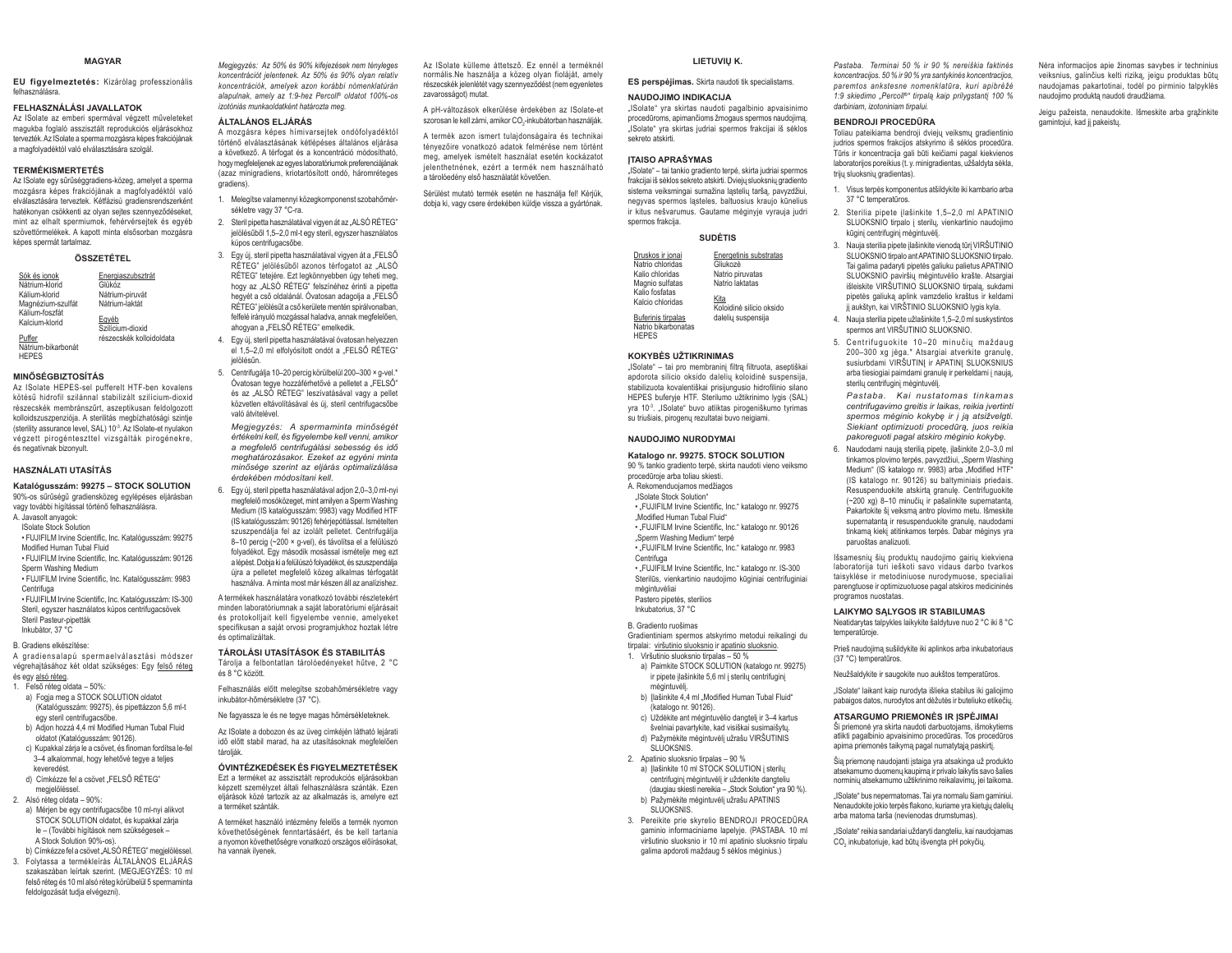#### **MAGYAR**

EU figyelmeztetés: Kizárólag professzionális

#### FELHASZNÁLÁSI JAVALLATOK

Az ISolate az emberi spermával végzett műveleteket magukba foglaló asszisztált reprodukciós eliárásokhoz tervezték. Az ISolate a sperma mozgásra képes frakciójának a magfolyadéktól való elválasztására szolgál.

#### **TERMÉKISMERTETÉS**

Az ISolate egy sűrűséggradiens-közeg, amelyet a sperma mozgásra képes frakciójának a magfolyadéktól való elválasztására terveztek. Kétfázisú gradiensrendszerként hatékonyan csökkenti az olyan sejtes szennyeződéseket, mint az elhalt spermiumok, fehérvérseitek és egyéb szövettörmelékek. A kapott minta elsősorban mozgásra képes spermát tartalmaz.

#### ÖSSZETÉTEI

| Sók és jonok                     | Energiaszubsztrát         |
|----------------------------------|---------------------------|
| Nátrium-klorid                   | Glükóz                    |
| Kálium-klorid                    | Nátrium-piruvát           |
| Magnézium-szulfát                | Nátrium-laktát            |
| Kálium-foszfát<br>Kalcium-klorid | Egyéb<br>Szilícium-dioxid |
| Puffer                           | részecskék kolloidoldata  |

Nátrium-bikarbonát **HFPFS** 

#### **MINŐSÉGBIZTOSÍTÁS**

Az ISolate HEPES-sel nufferelt HTE-hen kovalens kötésű hidrofil szilánnal stabilizált szilícium-dioxid részecskék membránszűrt, aszentikusan feldolgozott kolloidszuszpenziója. A sterilitás megbízhatósági szintje (sterility assurance level, SAL) 10<sup>-3</sup>. Az ISolate-et nyulakon végzett pirogénteszttel vizsgálták pirogénekre, és negatívnak bizonvult.

#### **HASZNÁLATI UTASÍTÁS**

Katalógusszám: 99275 - STOCK SOLUTION 90%-os sűrűségű gradiensközeg egylépéses eljárásban vagy további hígítással történő felhasználásra.

- A. Javasolt anyagok:
- **ISolate Stock Solution**
- · FUJIFILM Irvine Scientific, Inc. Katalógusszám: 99275 Modified Human Tubal Fluid
- · FUJIFILM Irvine Scientific, Inc. Katalógusszám: 90126 Sperm Washing Medium
- · FUJIFILM Irvine Scientific, Inc. Katalógusszám: 9983 Centrifuna
- · FUJIFILM Irvine Scientific, Inc. Katalógusszám: IS-300 Steril, egyszer használatos kúpos centrifugacsövek Steril Pasteur-pipetták Inkubátor 37 °C
- 
- B. Gradiens elkészítése:

A gradiensalapú spermaelválasztási módszer végrehajtásához két oldat szükséges: Egy felső réteg és egy alsó réteg.

- 1. Felső réteg oldata 50%:
- a) Fogja meg a STOCK SOLUTION oldatot (Katalógusszám: 99275), és pipettázzon 5,6 ml-t egy steril centrifugacsőbe.
- b) Adion hozzá 4.4 ml Modified Human Tubal Fluid oldatot (Katalógusszám: 90126)
- c) Kupakkal zárja le a csövet, és finoman fordítsa le-fel
- 3-4 alkalommal, hogy lehetővé tegye a teljes keveredést d) Címkézze fel a csövet "FELSŐ RÉTEG"
- megielöléssel 2. Alsó réteg oldata - 90%:
- 
- a) Mérien be eav centrifugacsőbe 10 ml-nvi alikvot STOCK SOLUTION oldatot, és kupakkal zárja le - (További bígítások nem szükségesek -A Stock Solution 90%-os). b) Címkézze fel a csövet "ALSÓ RÉTEG" megjelöléssel.
- 3. Folytassa a termékleírás ÁLTALÁNOS ELJÁRÁS szakaszában leírtak szerint. (MEGJEGYZÉS: 10 ml felső réteg és 10 ml alsó réteg körülbelül 5 spermaminta feldolgozását tudja elvégezni).

Megjegyzés: Az 50% és 90% kifejezések nem tényleges koncentrációt jelentenek. Az 50% és 90% olyan relatív koncentrációk, amelyek azon korábbi nómenklatúrán alapulnak, amely az 1:9-hez Percoll® oldatot 100%-os izotóniás munkaoldatként határozta meg.

#### ÁLTALÁNOS ELJÁRÁS

A mozgásra képes hímivarseitek ondófolvadéktól történő elválasztásának kétlépéses általános eljárása a következő. A térfogat és a koncentráció módosítható, hogy megfeleljenek az egyes laboratóriumok preferenciájának (azaz minigradiens krintartósított ondó háromréteges gradiens).

1. Melegítse valamennyi közegkomponenst szobahőmérsékletre vagy 37 °C-ra.

2. Steril pipetta használatával vigyen át az "ALSÓ RÉTEG" jelölésűből 1,5-2,0 ml-t egy steril, egyszer használatos kúpos centrifugacsőbe.

3. Egy új, steril pipetta használatával vigyen át a "FELSŐ RÉTEG" ielölésűből azonos térfogatot az "ALSÓ RÉTEG" tetejére. Ezt legkönnyebben úgy teheti meg, hogy az "ALSÓ RÉTEG" felszínéhez érinti a pipetta hegyét a cső oldalánál. Óvatosan adagolia a "FELSŐ RÉTEG" jelölésűt a cső kerülete mentén spirálvonalban, felfelé irányuló mozgással haladya, annak megfelelően. ahogyan a "FELSŐ RÉTEG" emelkedik.

- 4. Egy új, steril pipetta használatával óvatosan helyezzen el 1.5-2.0 ml elfolvósított ondót a "FELSŐ RÉTEG" jelölésűn
- 5. Centrifugálja 10-20 percig körülbelül 200-300 × g-vel.\* Óvatosan tegye hozzáférhetővé a pelletet a "FELSŐ" és az "ALSÓ RÉTEG" leszívatásával vagy a pellet közvetlen eltávolításával és új, steril centrifugacsőbe való átvitelével
- Megiegyzés: A spermaminta minőségét értékelni kell, és figyelembe kell venni, amikor a megfelelő centrifugálási sebesség és idő meghatározásakor. Ezeket az egyéni minta minősége szerint az eljárás optimalizálása érdekében módosítani kell
- 6. Egy új. steril pipetta használatával adion 2.0-3.0 ml-nyi megfelelő mosóközeget, mint amilyen a Sperm Washing Medium (IS katalógusszám: 9983) vagy Modified HTF (IS katalógusszám: 90126) fehérjepótlással. Ismételten szuszpendália fel az izolált pelletet. Centrifugália 8-10 percig (~200 × g-vel), és távolítsa el a felülúszó folyadékot. Egy második mosással ismételje meg ezt a lépést. Dobia ki a felülúszó folyadékot, és szuszpendálja úira a pelletet megfelelő közeg alkalmas térfogatát használya. A minta most már készen áll az analízishez

A termékek használatára vonatkozó további részletekért minden laboratóriumnak a saját laboratóriumi eljárásait és protokolliait kell figyelembe vennie, amelyeket specifikusan a saját orvosi programjukhoz hoztak létre és ontimalizáltak

#### TÁROLÁSI UTASÍTÁSOK ÉS STABILITÁS

Tárolia a felbontatlan tárolóedénveket hűtve. 2 °C és 8 °C között.

Felhasználás előtt melegítse szobahőmérsékletre vagy inkubátor-hőmérsékletre (37 °C).

Ne fagyassza le és ne tegye magas hőmérsékleteknek.

Az ISolate a dobozon és az üveg címkéjén látható lejárati idő előtt stabil marad, ha az utasításoknak megfelelően tároliák

#### ÓVINTÉZKEDÉSEK ÉS FIGYELMEZTETÉSEK

Ezt a terméket az asszisztált reprodukciós eljárásokban képzett személyzet általi felhasználásra szánták. Ezen eljárások közé tartozik az az alkalmazás is, amelyre ezt a terméket szánták

A terméket használó intézmény felelős a termék nyomon követhetőségének fenntartásáért, és be kell tartania a nyomon követhetőségre vonatkozó országos előírásokat, ha vannak ilvenek

Az ISolate külleme áttetsző. Ez ennél a terméknél normális.Ne használja a közeg olyan fioláját, amely részecskék jelenlétét vagy szennyeződést (nem egyenletes zavarosságot) mutat

A nH-változások elkerülése érdekében az ISolate-et szorosan le kell zárni, amikor CO.-inkubátorban használják.

A termék azon ismert tulajdonságaira és technikai tényezőire vonatkozó adatok felmérése nem történt meg, amelyek ismételt használat esetén kockázatot jelenthetnének ezért a termék nem használható a tárolóedény első használatát követően.

Sérülést mutató termék esetén ne használja fel! Kérjük, dobja ki, vagy csere érdekében küldje vissza a gyártónak.

#### LIETUVIU K.

"ISolate" vra skirtas naudoti pagalbinio apvaisinimo

procedūroms, apimančioms žmogaus spermos naudojima.

"ISolate" yra skirtas judriai spermos frakcijai iš sėklos

"ISolate" - tai tankio gradiento terpė, skirta judriai spermos

frakcijai iš sėklos sekreto atskirti. Dviejų sluoksnių gradiento

sistema veiksmingai sumažina lastelių taršą, pavyzdžiui,

neavyas spermos lasteles, baltuosius kraujo kūnelius

ir kitus nešvarumus. Gautame mėginvie vyrauja judri

**CUDÈTIC** 

ISolate" - tai pro membranini filtra filtruota, asentiškaj

apdorota silicio oksido dalelių koloidinė suspensija,

stabilizuota kovalentiškai prisijungusio hidrofilinio silano

HEPES buferyje HTF. Sterilumo užtikrinimo lygis (SAL)

vra 10<sup>-3</sup>. "ISolate" buvo atliktas pirogeniškumo tvrimas

su triušiais, pirogenų rezultatai buvo neigiami.

Katalogo nr. 99275, STOCK SOLUTION

90 % tankio gradiento terpė, skirta naudoti vieno veiksmo

• "FUJIFILM Irvine Scientific, Inc." katalogo nr. 90126

. FUJIFILM Irvine Scientific. Inc." katalogo nr. 9983

. FUJIFILM Irvine Scientific, Inc." katalogo nr. IS-300

Sterilūs, vienkartinio naudojimo kūginiai centrifuginiai

Gradientiniam spermos atskyrimo metodui reikalingi du

a) Paimkite STOCK SOLUTION (katalogo nr. 99275)

ir pipete įlašinkite 5,6 ml į sterilų centrifuginį

b) |lašinkite 4,4 ml "Modified Human Tubal Fluid"

c) Uždėkite ant mėgintuvėlio dangtelį ir 3-4 kartus

švelniai navartykite, kad visiškai susimaišytu.

d) Pažymėkite mėgintuvėlį užrašu VIRŠUTINIS

a) Ilašinkite 10 ml STOCK SOLUTION i sterilu

b) Pažymėkite mėgintuvėlį užrašu APATINIS

galima apdoroti maždaug 5 sėklos mėginius.)

centrifugini menintuveli ir uždenkite dangteliu

3. Pereikite prie skyrelio BENDROJI PROCEDŪRA

gaminio informaciniame lapelvie. (PASTARA 10 ml

viršutinio sluoksnio ir 10 ml apatinio sluoksnio tirpalu

(daugiau skiesti nereikia - "Stock Solution" yra 90 %).

tirpalai: viršutinio sluoksnio ir apatinio sluoksnio.

1. Viršutinio sluoksnio tirpalas - 50 %

(katalogo nr. 90126).

2 Anatinio sluoksnio timalas - 90 %

Energetinis substratas<br>Gliukozė

Koloidinė silicio oksido

dalelių suspensija

Natrio piruvatas

Natrio laktatas

NATION IMO INDIKACLIA

**ITAISO APRAŠYMAS** 

sekreto atskirti

snermos frakcija

Druskos ir jonai<br>Natrio chloridas

Kalin chloridas

Magnio sulfatas

Kalio fosfatas

Kalcio chloridas

Buferinis tirnalas

**HEPES** 

Natrio bikarbonatas

**KOKYBĖS UŽTIKRINIMAS** 

NAUDOJIMO NURODYMAI

procedūroje arba toliau skiesti.

"ISolate Stock Solution"

Centrifuga

mėnintuvėliai

Pastero pipetės, sterilios

Inkubatorius, 37 °C

B. Gradiento ruošimas

mėgintuvėli

SLLIOKSNIS

SLUOKSNIS

A. Rekomenduojamos medžiagos

"Modified Human Tubal Fluid"

"Sperm Washing Medium" terpe

koncentraciios. 50 % ir 90 % yra santykinės koncentracijos, ES perspėjimas. Skirta naudoti tik specialistams. paremtos ankstesne nomenklatūra, kuri apibrėžė 1:9 skiedimo "Percoll<sup>®"</sup> tirpala kaip prilvastanti 100 %

#### darbiniam izotoniniam tirnalui BENDROJI PROCEDŪRA

Toliau pateikiama bendroji dviejų veiksmų gradientinio judrios spermos frakcijos atskyrimo iš sėklos procedūra. Tūris ir koncentracija gali būti keičiami pagal kiekvienos laboratorijos poreikius (t. y. minigradientas, užšaldyta sėkla, triju sluoksniu gradientas)

Pastaba. Terminai 50 % ir 90 % nereiškia faktinės

- 1. Visus terpės komponentus atšildykite iki kambario arba 37 °C temperatūros.
- 2. Sterilia pipete įlašinkite 1,5-2,0 ml APATINIO SLUOKSNIO tirpalo i sterilu, vienkartinio naudojimo kūgini centrifugini mėgintuvėli.
- 3. Nauja sterilja pipete ilašinkite vienoda tūri VIRŠUTINIO SLUOKSNIO tirnalo ant APATINIO SLUOKSNIO tirnalo Tai galima padaryti pipetės galiuku palietus APATINIO SLUOKSNIO paviršių mėgintuvėlio krašte. Atsargiai išleiskite VIRŠUTINIO SLUOKSNIO tirpala, sukdami pipetės galiuka aplink vamzdelio kraštus ir keldami jį aukštyn, kai VIRŠTINIO SLUOKSNIO lygis kyla.
- 4. Nauja sterilja pipete užlašinkite 1.5–2.0 ml suskystintos spermos ant VIRŠUTINIO SLUOKSNIO.
- 5. Centrifuguokite 10-20 minučių maždaug 200-300 xg jėga.\* Atsargiai atverkite granulę, susiurbdami VIRŠUTINI ir APATINI SLUOKSNIUS arba tiesiogiai paimdami granule ir perkeldami į nauja. sterilų centrifuginį mėgintuvėlį.

Pastaba. Kai nustatomas tinkamas centrifugavimo greitis ir laikas, reikia įvertinti spermos mėginio kokybę ir į ją atsižvelgti. Siekiant optimizuoti procedūra, juos reikia pakoreguoti pagal atskiro mėginio kokybę.

6. Naudodami naują sterilią pipetę, įlašinkite 2,0-3,0 ml tinkamos plovimo terpės, pavyzdžiui, "Sperm Washing Medium" (IS katalogo nr. 9983) arba Modified HTF (IS katalogo nr. 90126) su baltyminiais priedais. Resuspenduokite atskirtą granulę. Centrifuguokite (~200 xg) 8-10 minučių ir pašalinkite supernatantą. Pakartokite šį veiksmą antro plovimo metu. Išmeskite supernatanta ir resuspenduokite granule, naudodami tinkama kieki atitinkamos terpės. Dabar mėginys vra naruoštas analizuoti

Išsamesniu šiu produktu naudojimo gairiu kiekviena laboratorija turi ješkoti savo vidaus darbo tvarkos taisvklėse ir metodiniuose nurodymuose, specialiai parengtuose ir optimizuotuose pagal atskiros medicininės programos nuostatas

#### **LAIKYMO SALYGOS IR STABILUMAS**

Neatidarytas talpykles laikykite šaldytuve nuo 2 °C iki 8 °C temperatūroje.

Prieš naudojima sušildykite iki aplinkos arba inkubatoriaus (37 °C) temperatūros

Neužšaldykite ir saugokite nuo aukštos temperatūros.

"ISolate" laikant kaip nurodyta išlieka stabilus iki galiojimo pabaigos datos, nurodytos ant dėžutės ir buteliuko etikečių.

#### ATSARGUMO PRIEMONĖS IR ĮSPĖJIMAI

ši priemonė yra skirta naudoti darbuotojams, išmokytiems atlikti pagalbinio apvaisinimo procedūras. Tos procedūros apima priemonės taikymą pagal numatytąją paskirtį.

Šią priemonę naudojanti įstaiga yra atsakinga už produkto atsekamumo duomenų kaupimą ir privalo laikytis savo šalies norminių atsekamumo užtikrinimo reikalavimų, jei taikoma.

"ISolate" bus nepermatomas. Tai yra normalu šiam gaminiui. Nenaudokite jokio terpės flakono, kuriame yra kietųjų dalelių arba matoma tarša (nevienodas drumstumas).

"ISolate" reikia sandariai uždaryti dangteliu, kai naudojamas CO, inkubatoriuje, kad būtu išvengta pH pokyčiu.

Nėra informacijos apie žinomas savybes ir techninius veiksnius, galinčius kelti rizika, jeigu produktas būtu naudojamas pakartotinai, todėl po pirminio talpyklės naudojimo produkta naudoti draudžiama.

Jeigu pažeista, nenaudokite. Išmeskite arba grąžinkite gamintojuj, kad ji pakeistu.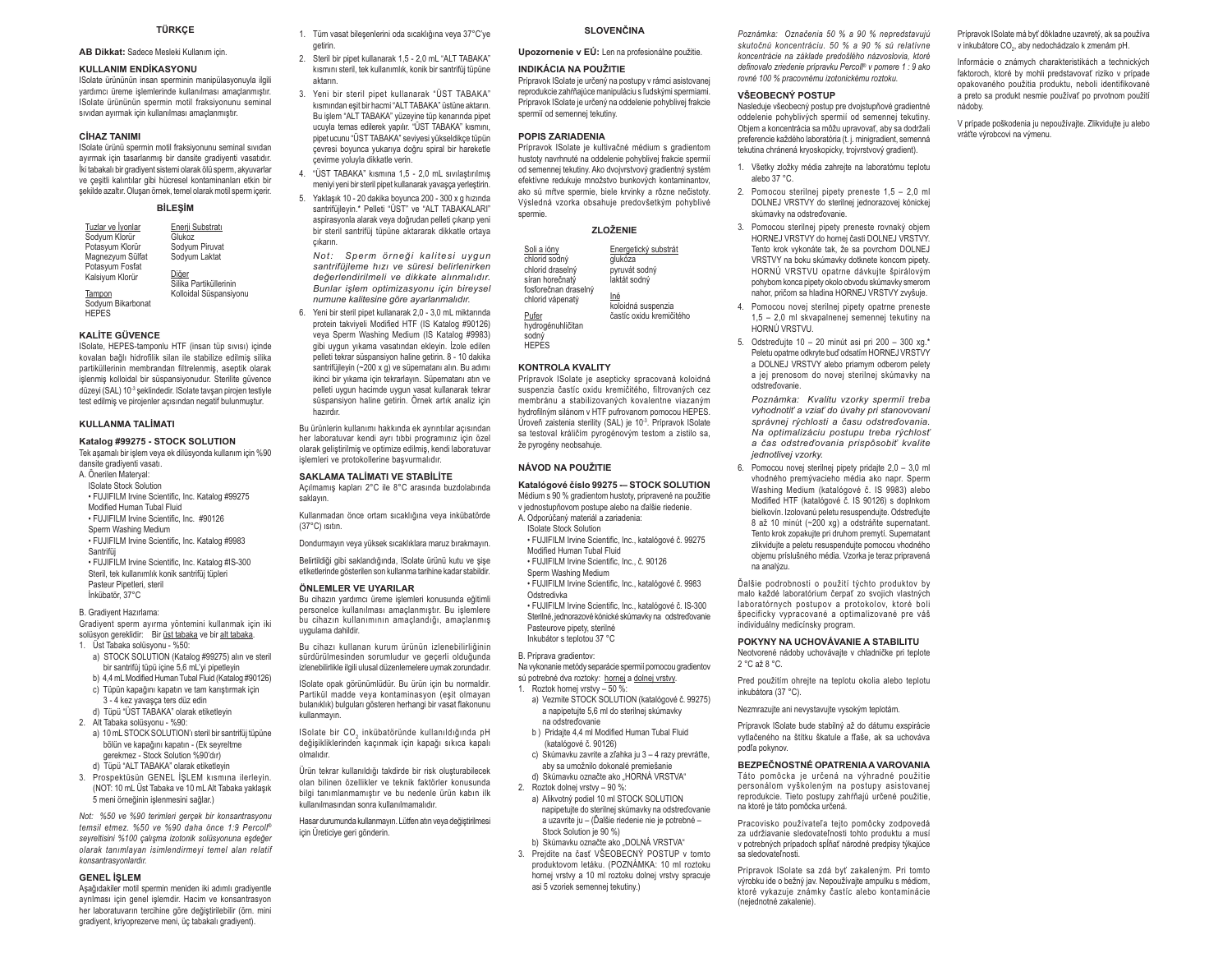#### TÜRKCE

AB Dikkat: Sadece Mesleki Kullanım icin

#### **KULLANIM ENDİKASYONU**

ISolate ürününün insan sperminin manipülasyonuvla ilgili yardımcı üreme işlemlerinde kullanılması amaçlanmıştır. Solate ürününün spermin motil fraksiyonunu seminal sıvıdan ayırmak için kullanılması amaçlanmıştır.

#### **CİHAZ TANIMI**

ISolate ürünü spermin motil fraksiyonunu seminal sıyıdan ayırmak için tasarlanmış bir dansite gradiyenti vasatıdır. İki tabakalı bir gradiyent sistemi olarak ölü sperm, akvuvarlar ve çeşitli kalıntılar gibi hücresel kontaminanları etkin bir sekilde azaltır. Olusan örnek, temel olarak motil sperm icerir.

#### **RİLESİM**

| Tuzlar ve İyonlar                  | Enerji Substratı                |
|------------------------------------|---------------------------------|
| Sodyum Klorür                      | Glukoz                          |
| Potasyum Klorür                    | Sodyum Piruvat                  |
| Magnezyum Sülfat                   | Sodyum Laktat                   |
| Potasyum Fosfat<br>Kalsiyum Klorür | Diăer<br>Silika Partiküllerinin |
| Tampon                             | Kolloidal Süspansiyonu          |
| Sodyum Bikarbonat                  |                                 |
| <b>HEPES</b>                       |                                 |

#### **KALITE GÜVENCE**

ISolate, HEPES-tamponlu HTF (insan tüp sıvısı) içinde kovalan bağlı hidrofilik silan ile stabilize edilmiş silika partiküllerinin membrandan filtrelenmis, aseptik olarak işlenmiş kolloidal bir süspansiyonudur. Sterilite güvence düzeyi (SAL) 10-3 seklindedir. ISolate taysan pirojen testiyle test edilmiş ve pirojenler açısından negatif bulunmuştur.

#### **KULLANMA TALIMATI**

#### Katalog #99275 - STOCK SOLUTION

Tek aşamalı bir işlem veya ek dilüsyonda kullanım için %90 dansite gradiyenti vasatı.

- A. Önerilen Materval: **ISolate Stock Solution**
- . FUJIFILM Irvine Scientific, Inc. Katalog #99275 Modified Human Tubal Fluid · FUJIFILM Irvine Scientific, Inc. #90126 Sperm Washing Medium . FUJIFILM Irvine Scientific. Inc. Katalog #9983 Contrific
- . FUJIFILM Irvine Scientific, Inc. Katalog #IS-300 Steril, tek kullanımlık konik santrifüi tüpleri Pasteur Pipetleri, steril Inkübatör 37°C
- 

#### **B. Gradivent Hazirlama** Gradiyent sperm ayırma yöntemini kullanmak için iki solüsyon gereklidir: Bir üst tabaka ve bir alt tabaka.

- 1 Ust Tabaka solüsyonu %50;
- a) STOCK SOLUTION (Katalog #99275) alın ve steril bir santrifüi tüpü icine 5.6 mL'vi pipetlevin b) 4,4 mL Modified Human Tubal Fluid (Katalog #90126)
- c) Tüpün kapağını kapatın ve tam karıştırmak için 3 - 4 kez yavaşça ters düz edin d) Tüpü "ÜST TABAKA" olarak etiketleyin
- 2. Alt Tabaka solüsyonu %90:
- a) 10 mL STOCK SOLUTION's steril bir santrifüi tüpüne bölün ve kapağını kapatın - (Ek seyreltme gerekmez - Stock Solution %90'dır) d) Tüpü "ALT TABAKA" olarak etiketleyin
- 3. Prospektüsün GENEL İŞLEM kısmına ilerleyin. (NOT: 10 mL Üst Tabaka ve 10 mL Alt Tabaka vaklasık 5 meni örneğinin islenmesini sağlar.)

Not: %50 ve %90 terimleri gerçek bir konsantrasyonu temsil etmez. %50 ve %90 daha önce 1:9 Percoll® seyreltisini %100 çalışma izotonik solüsyonuna eşdeğer olarak tanımlayan isimlendirmeyi temel alan relatif konsantrasyonlardır

#### **GENEL İSLEM**

Aşağıdakiler motil spermin meniden iki adımlı gradiyentle ayrılması için genel işlemdir. Hacim ve konsantrasyon her laboratuvarın tercihine göre değiştirilebilir (örn. mini gradivent, krivoprezerve meni, üc tabakalı gradivent).

1. Tüm vasat bileşenlerini oda sıcaklığına veya 37°C'ye getirin.

- 2. Steril bir pipet kullanarak 1.5 2.0 mL "ALT TABAKA" kısmını steril, tek kullanımlık, konik bir santrifüj tüpüne aktorin
- 3. Yeni bir steril pipet kullanarak "ÜST TABAKA" kısmından esit bir haçmi "ALT TABAKA" üstüne aktarın. Bu islem "ALT TABAKA" yüzeyine tüp kenarında pipet ucuvla temas edilerek vapılır. "ÜST TABAKA" kısmını. pipet ucunu "ÜST TABAKA" seviyesi yükseldikce tüpün çevresi boyunca yukarıya doğru spiral bir hareketle cevirme voluvla dikkatle verin.
- 4. "ÜST TABAKA" kısmına 1,5 2,0 mL sıvılaştırılmış menivi veni bir steril pipet kullanarak vavasca verlestirin.
- 5. Yaklaşık 10 20 dakika boyunca 200 300 x g hızında santrifüilevin.\* Pelleti "ÜST" ve "ALT TABAKALARI" aspirasyonla alarak yeva doğrudan pelleti cıkarıp yeni bir steril santrifüi tüpüne aktararak dikkatle ortava cıkarın

Not: Sperm örneği kalitesi uygun santrifülleme hızı ve süresi belirlenirken değerlendirilmeli ve dikkate alınmalıdır. Bunlar islem optimizasyonu icin bireysel numune kalitesine göre avarlanmalıdır.

6. Yeni bir steril pipet kullanarak 2,0 - 3,0 mL miktarında protein takviveli Modified HTF (IS Katalog #90126) veya Sperm Washing Medium (IS Katalog #9983) gibi uygun yıkama vasatından ekleyin. İzole edilen pelleti tekrar süspansiyon haline getirin. 8 - 10 dakika santrifüllevin (~200 x q) ve süpernatanı alın. Bu adımı ikinci bir yıkama için tekrarlayın. Süpernatanı atın ve pelleti uygun hacimde uygun vasat kullanarak tekrar süspansiyon haline getirin. Örnek artık analiz için hazirdır

Bu ürünlerin kullanımı hakkında ek ayrıntılar açısından her laboratuvar kendi ayrı tıbbi programınız için özel olarak geliştirilmiş ve optimize edilmiş, kendi laboratuvar islemleri ve protokollerine başvurmalıdır.

#### **SAKLAMA TALIMATI VE STABILITE**

Acılmamıs kapları 2°C ile 8°C arasında buzdolabında saklavın

Kullanmadan önce ortam sıcaklığına veya inkübatörde (37°C) isitin.

Dondurmayın veya yüksek sıcaklıklara maruz bırakmayın.

Belirtildiği gibi saklandığında, ISolate ürünü kutu ve şişe etiketlerinde gösterilen son kullanma tarihine kadar stabildir.

#### ÖNLEMLER VE UYARILAR

Bu cihazın yardımcı üreme işlemleri konusunda eğitimli personelce kullanılması amaçlanmıştır. Bu işlemlere bu cihazın kullanımının amaçlandığı, amaçlanmış uvgulama dahildir.

Bu cihazı kullanan kurum ürünün izlenebilirliğinin sürdürülmesinden sorumludur ve geçerli olduğunda izlenebilirlikle ilgili ulusal düzenlemelere uymak zorundadır.

ISolate opak görünümlüdür. Bu ürün icin bu normaldir. Partikül madde veya kontaminasyon (eşit olmayan bulanıklık) bulguları gösteren herhangi bir yasat flakonunu kullanmavin.

ISolate bir CO, inkübatöründe kullanıldığında pH değişikliklerinden kaçınmak için kapağı sıkıca kapalı olmalıdır

Ürün tekrar kullanıldığı takdirde bir risk oluşturabilecek olan bilinen özellikler ve teknik faktörler konusunda bilgi tanımlanmamıştır ve bu nedenle ürün kabın ilk kullanılmasından sonra kullanılmamalıdır.

Hasar durumunda kullanmayın. Lütfen atın veya değiştirilmesi icin Üreticive geri gönderin.

b) Skúmavku označte ako "DOLNÁ VRSTVA" 3. Prejdite na časť VŠEOBECNÝ POSTUP v tomto produktovom letáku. (POZNÁMKA: 10 ml roztoku homej vrstvy a 10 ml roztoku dolnej vrstvy spracuje asi 5 vzoriek semennej tekutiny.)

SI OVENČINA

Prípravok ISolate je určený na postupy v rámci asistovanej

reprodukcie zahŕňajúce manipuláciu s ľudskými spermiami.

Prípravok ISolate je určený na oddelenie pohyblivej frakcie

Prípravok ISolate je kultivačné médium s gradientom

hustoty navrhnuté na oddelenie pohyblivej frakcie spermi

od semennej tekutiny. Ako dvojvrstvový gradientný systém

efektívne redukuje množstvo bunkových kontaminantov,

ako sú mŕtve spermie, biele krvinky a rôzne nečistoty.

Výsledná vzorka obsahuje predovšetkým pohyblivé

**ZI OŽENIE** 

Prípravok ISolate je asepticky spracovaná koloidná

suspenzia častíc oxidu kremičitého, filtrovaných cez

membránu a stabilizovaných kovalentne viazaným

hydrofilným silánom v HTF pufrovanom pomocou HEPES.

Úroveň zaistenia sterility (SAL) je 10<sup>-3</sup>. Prípravok ISolate

sa testoval králičím pyrogénovým testom a zistilo sa,

Katalógové číslo 99275 - STOCK SOLUTION

Médium s 90 % gradientom hustoty, priprayené na použitie

· FUJIFILM Irvine Scientific, Inc., katalógové č. 99275

· FUJIFILM Irvine Scientific, Inc., katalógové č. 9983

· FUJIFILM Irvine Scientific, Inc., katalógové č. IS-300

Sterilné, jednorazové kónické skúmavky na odstreďovanie

Na vykonanie metódy separácie spermií pomocou gradientov

a) Vezmite STOCK SOLUTION (katalógové č. 99275)

c) Skúmavku zavrite a zľahka ju 3 - 4 razy prevráťte,

napipetujte do sterilnej skúmavky na odstreďovanie

a uzavrite ju - (Ďalšie riedenie nie je potrebné -

a napipetujte 5,6 ml do sterilnej skúmavky

b) Pridaite 4.4 ml Modified Human Tubal Fluid

aby sa umožnilo dokonalé premiešanie

d) Skúmavku označte ako HORNÁ VRSTVA"

a) Alikvotný podiel 10 ml STOCK SOLUTION

sú potrebné dva roztoky: hornej a dolnej vrstvy.

v jednostupňovom postupe alebo na ďalšie riedenie.

· FUJIFILM Irvine Scientific, Inc., č. 90126

glukóza

nyruvát sodný

aktát sodný

Energetický substrát

koloidná suspenzia

častíc oxidu kremičitého

Upozornenie v EÚ: Len na profesionálne použitie.

**INDIKÁCIA NA POUŽITIE** 

spermií od semennej tekutiny.

POPIS ZARIADENIA

snermie

Soli a ióny

Pufer

sodný

HEPES

chlorid sodný

chlorid draseln

síran horečnatý

chlorid vápenatý

hydrogénuhličitan

**KONTROLA KVALITY** 

že pyrogény neobsahuje.

NÁVOD NA POUŽITIE

**ISolate Stock Solution** 

A. Odporúčaný materiál a zariadenia:

Modified Human Tubel Fluid

Sperm Washing Medium

Pasteurove pipety, sterilné

Inkubátor s teplotou 37 °C

1. Roztok hornei vrstvy - 50 %

na odstreďovanie

2. Roztok dolnej vrstvy - 90 %:

Stock Solution je 90 %)

(katalógové č. 90126)

B. Príprava gradientov:

Odstredivka

fosforečnan draselný

Poznámka: Označenia 50 % a 90 % nepredstavujú skutočnú koncentráciu. 50 % a 90 % sú relatívne koncentrácie na základe predošlého názvoslovia, ktoré definovalo zriedenie prípravku Percoll® v pomere 1 : 9 ako rovné 100 % pracovnému izotonickému roztoku.

#### VŠEOBECNÝ POSTUP

Nasleduje všeobecný postup pre dvojstupňové gradientné oddelenie pohyblivých spermií od semennej tekutiny. Obiem a koncentrácia sa môžu upravovať, aby sa dodržali preferencie každého laboratória (t. j. minigradient, semenná tekutina chránená kryoskopicky, trojvrstvový gradient).

- 1. Všetky zložky média zahrejte na laboratórnu teplotu alebo 37 °C
- 2. Pomocou sterilnej pipety preneste 1,5 2,0 ml DOLNEJ VRSTVY do sterilnej jednorazovej kónickej skýmavky na odstreďovanie
- 3. Pomocou sterilnej pipety preneste rovnaký objem HORNEJ VRSTVY do hornej časti DOLNEJ VRSTVY. Tento krok vykonáte tak, že sa novrchom DOI NEJ VRSTVY na boku skúmavky dotknete koncom pipety. HORNÚ VRSTVU opatrne dávkujte špirálovým pohybom konca pipety okolo obvodu skúmavky smerom nahor, pričom sa hladina HORNEJ VRSTVY zvyšuje.
- 4. Pomocou novej sterilnej pipety opatrne preneste 1,5 - 2,0 ml skvapalnenej semennej tekutiny na HORNÚ VRSTVU.
- 5. Odstreďujte 10 20 minút asi pri 200 300 xg.\* Peletu opatrne odkryte buď odsatím HORNEJ VRSTVY a DOLNEJ VRSTVY alebo priamym odberom pelety a jej prenosom do novej sterilnej skúmavky na odstreďovanie.

Poznámka: Kvalitu vzorky spermií treba vyhodnotiť a vziať do úvahy pri stanovovaní správnej rýchlosti a času odstreďovania. Na optimalizáciu postupu treba rýchlosť a čas odstreďovania prispôsobiť kvalite jednotlivej vzorky.

6. Pomocou novej sterilnej pipety pridajte 2,0 - 3,0 ml vhodného premývacieho média ako napr. Sperm Washing Medium (katalógové č. IS 9983) alebo Modified HTF (katalógové č. IS 90126) s doplnkom bielkovín. Izolovanú peletu resuspendujte. Odstreďujte 8 až 10 minút (~200 xg) a odstráňte supernatant. Tento krok zopakujte pri druhom premytí. Supernatant zlikvidujte a peletu resuspendujte pomocou vhodného objemu príslušného média. Vzorka je teraz pripravená na analýzu.

Ďalšie podrobnosti o použití týchto produktov by malo každé laboratórium čerpať zo svojich vlastných laboratórnych postupov a protokolov, ktoré boli špecificky vypracované a optimalizované pre váš individuálny medicínsky program.

POKYNY NA UCHOVÁVANIE A STABILITU Neotvorené nádoby uchovávajte v chladničke pri teplote

2 °C až 8 °C.

Pred použitím ohrejte na teplotu okolja alebo teplotu inkubátora (37 °C)

Nezmrazuite ani nevystavuite vysokým teplotám.

Prípravok ISolate bude stabilný až do dátumu exspirácie vytlačeného na štítku škatule a fľaše, ak sa uchováva nodľa nokvnov

BEZPEČNOSTNÉ OPATRENIA A VAROVANIA Táto pomôcka je určená na výhradné použitie personálom vyškoleným na postupy asistovanej reprodukcie. Tieto postupy zahŕňajú určené použitie, na ktoré je táto pomôcka určená.

Pracovisko používateľa teito pomôcky zodpovedá za udržiavanie sledovateľnosti tohto produktu a musí v potrebných prípadoch spĺňať národné predpisy týkajúce sa sledovateľnosti

Prínravok ISolate sa zdá byť zakaleným. Pri tomto výrobku ide o bežný jav. Nepoužívajte ampulku s médiom, ktoré vykazuje známky častíc alebo kontaminácie (nejednotné zakalenie).

Prípravok ISolate má byť dôkladne uzavretý, ak sa používa v inkubátore CO<sub>2</sub>, aby nedochádzalo k zmenám pH.

Informácie o známych charakteristikách a technických faktoroch, ktoré by mohli predstavovať riziko v prípade opakovaného použitia produktu, neboli identifikované a preto sa produkt nesmie používať po prvotnom použití nádoby

V prípade poškodenia ju nepoužívajte. Zlikvidujte ju alebo vráťte výrobcovi na výmenu.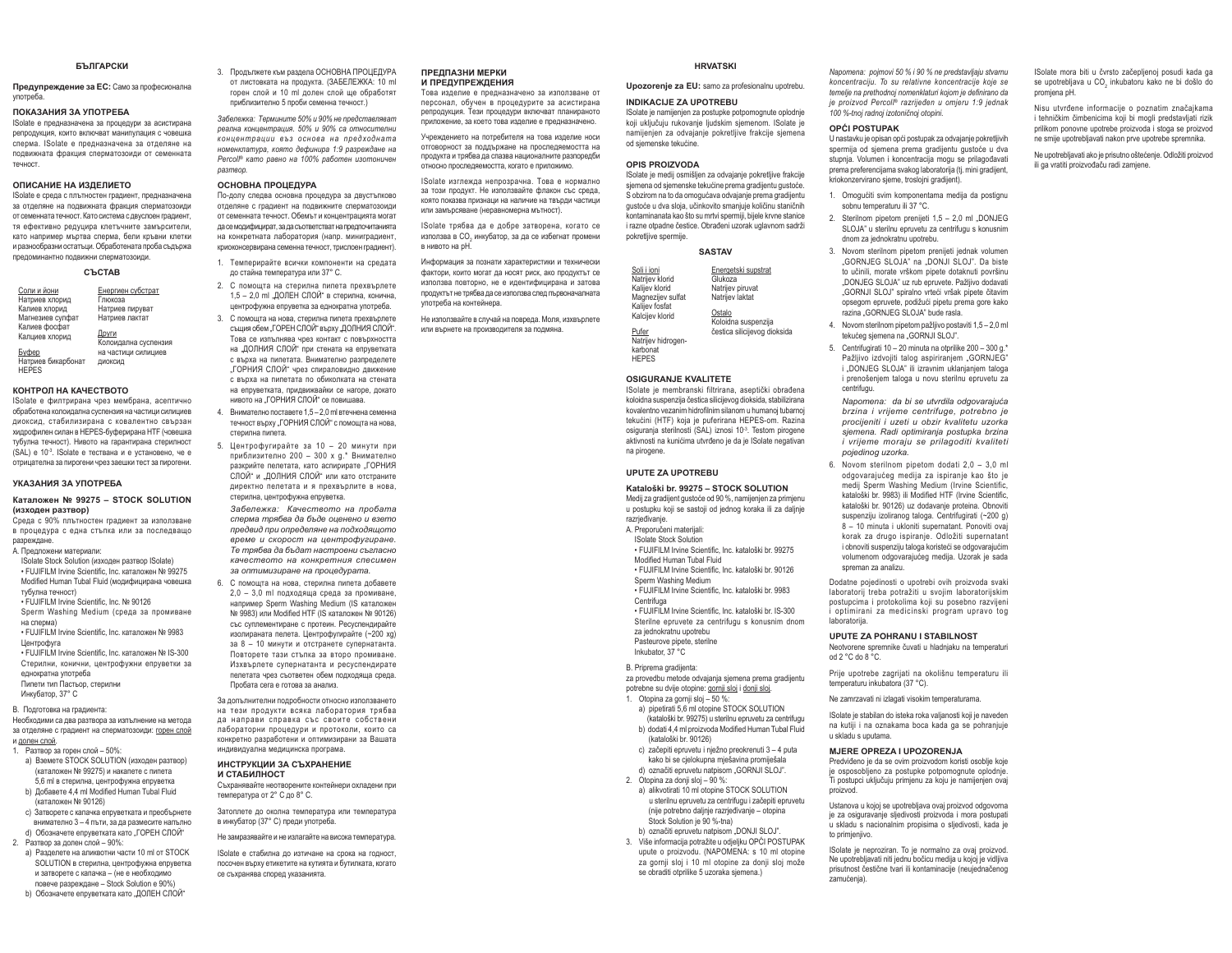#### **CLOCADOVIA**

Предупреждение за ЕС: Само за професионална γποτρeбa.

#### ПОКАЗАНИЯ ЗА УПОТРЕБА

Solate е предназначена за процедури за асистирана репродукция, които включват манипулация с човешка сперма. ISolate е предназначена за отделяне на подвижната фракция сперматозоиди от семенната TAHHOCT

#### **ОПИСАНИЕ НА ИЗЛЕПИЕТО**

ISolate е среда с плътностен градиент, предназначена за отделяне на подвижната фракция сперматозоиди от семенната течност. Като система с двуслоен градиент, тя ефективно редуцира клетъчните замърсители, **KATO HAUDIMAD MADTRA CURDIMA QAUN KOLAHA KURTKU** и разнообразни остатъци. Обработената проба съдържа предоминантно подвижни сперматозоиди.

#### **ɋɔɋɌȺȼ**

| Соли и йони        | Енергиен субстрат    |
|--------------------|----------------------|
| Натриев хлорид     | Глюкоза              |
| Калиев хлорид      | Натоиев пируват      |
| Магнезиев сулфат   | Натриев лактат       |
| Калиев фосфат      |                      |
| Калциев хлорид     | Други                |
|                    | Колоидална суспензия |
| Буфер              | на частици силициев  |
| Натриев бикарбонат | диоксид              |
| <b>HEPES</b>       |                      |

#### **ɄɈɇɌɊɈɅɇȺɄȺɑȿɋɌȼɈɌɈ**

Solate е филтрирана чрез мембрана, асептично обработена колоидална суспензия на частици силициев диоксид, стабилизирана с ковалентно свързан пидрофилен силан в HEPES-буферирана HTF (човешка тубулна течност). Нивото на гарантирана стерилност  $(SA)$  }  $\approx$  10<sup>3</sup> . Solate a тествана и е установено че е отрицателна за пирогени чрез заешки тест за пирогени.

#### УКАЗАНИЯ ЗА УПОТРЕБА

#### $K$ аталожен № 99275 - STOCK SOLUTION (изходен разтвор)

Среда с 90% плътностен градиент за използване **B ∏IOULARVOS C ARHA CTARKA MRN 38 ROCRARAULO** nasnewnaue

#### Δ Προσπονομμ Matonuanu:

ISolate Stock Solution (изходен разтвор ISolate) • ELLIJEJI M Irvine Scientific Inc. vatanoveu No.99275 Modified Human Tubal Fluid (модифицирана човешка түбүлна төчност)

• FUJIFILM Irvine Scientific, Inc. Nº 90126 Sperm Washing Medium (среда за промиване

- Ha crienMal
- FUJIFILM Irvine Scientific, Inc. каталожен № 9983 **Шентрофуга**
- )8-,),/0,UYLQH6FLHQWL¿F,QFɤɚɬɚɥɨɠɟɧʋ,6
- Стерилни, конични, центрофужни епруветки за еднократна употреба
- Пипети тип Пастьор, стерилни Инкубатор, 37° С.
- 

В Полготовка на гоалиента: Необходими са два разтвора за изпълнение на метода ɡɚɨɬɞɟɥɹɧɟɫɝɪɚɞɢɟɧɬɧɚɫɩɟɪɦɚɬɨɡɨɢɞɢɝɨɪɟɧɫɥɨɣ

- и долен слой. 1 Pastron sa roneu crioñ - 50%
	- a) Вземете STOCK SOLUTION (изходен разтвор) каталожен № 99275) и накапете с пипета .<br>5,6 ml в стерилна, центрофужна епруветка b) Добавете 4.4 ml Modified Human Tubal Fluid
	- (vatanoweu No 90126) c) Затворете с капачка епруветката и преобърнете
- внимателно 3 4 пъти, за да размесите напълно d) Обозначете епруветката като "ГОРЕН СЛОЙ" 2 Pastron sa ποπομ cποŭ – 90%·
- a) Разделете на аликвотни части 10 ml от STOCK SOLUTION в стерилна, центрофужна епруветка
- и затворете с капачка (не е необходимо повече разрежлане - Stock Solution e 90%) b) Обозначете епруветката като "ДОЛЕН СЛОЙ"
- 

3 Dhom hwere in a basnens OCHORHA DPOLIE DVPA от листовката на продукта. (ЗАБЕЛЕЖКА: 10 ml горен слой и 10 ml долен слой ще обработят приблизително 5 проби семенна течност.)

Забележка: Термините 50% и 90% не представляват  $beanHa$  концентрация. 50% и 90% са относителни  $$  $<sup>$ *H* $OMeHKnamypa, която дефинира 1:9 разреждане на$ </sup> *Percoll®* като равно на 100% работен изотоничен *ɪɚɡɬɜɨɪ*

#### **ОСНОВНА ПРОЦЕДУРА**

По-долу следва основна процедура за двустъпково отделяне с градиент на подвижните сперматозоиди от семенната течност. Обемът и концентрацията могат да се модифицират, за да съответстват на предпочитанията us koukbetusts dabonatonks (usdo muulkraameut коиоконсеовирана семенна течност, трислоен градиент).

- 1. Темперирайте всички компоненти на средата до стайна температура или 37° С.
- 2. С помощта на стерилна пипета прехвърлете 1,5 - 2,0 ml "ДОЛЕН СЛОЙ" в стерилна, конична, центрофужна епруветка за еднократна употреба.
- 3. С помощта на нова, стерилна пипета прехвърлете същия обем "ГОРЕН СЛОЙ" върху "ДОЛНИЯ СЛОЙ". Това се изпълнява чрез контакт с повърхността на "ДОЛНИЯ СЛОЙ" при стената на епруветката с върха на пипетата. Внимателно разпределете "ГОРНИЯ СЛОЙ" чрез спираловидно движение C BЪDХА НА ПИПАТАТА ПО ОБИКОЛКАТА НА СТАНАТА на епруветката, придвижвайки се нагоре, докато нивото на "ГОРНИЯ СЛОЙ" се повишава.
- 4. Внимателно поставете 1,5 2,0 ml втечнена семенна течност върху "ГОРНИЯ СЛОЙ" с помощта на нова. стерилна пипета.
- 5. Центрофугирайте за 10 20 минути при приблизително 200 - 300 х д.\* Внимателно разкрийте пелетата, като аспирирате "ГОРНИЯ СЛОЙ" и "ДОЛНИЯ СЛОЙ" или като отстраните директно пелетата и я прехвърлите в нова, стерилна, центрофужна епруветка.
- $3a6e$ лежка: Качеството на пробата сперма трябва да бъде оценено и взето  $\Box$ предвид при определяне на подходящото  $\dot{a}$ ереме и скорост на центрофугиране. Te mpябва да бъдат настроени съгласно *качеството на конкретния спесимен* за оптимизиране на процедурата
- 6 С помошта на нова стерилна липета добавете  $2,0 - 3,0$  ml подходяща среда за промиване, например Sperm Washing Medium (IS каталожен Nº 9983) или Modified HTF (IS каталожен № 90126) cъс суплементиране с протеин Ресуспендирайте изолираната пелета. Центрофугирайте (~200 xg) за 8 - 10 минути и отстранете супернатанта. Повторете тази стъпка за второ промиване. Изхвърлете супернатанта и ресуспендирате пелетата чрез съответен обем подходяща среда. Пробата сега е готова за анализ.

За допълнителни подробности относно използването на тези продукти всяка лаборатория трябва **B** WARDAR **A B** *PAR SEAS AND ARRAIG* иабораторни процедури и протоколи, които са конкретно разработени и оптимизирани за Вашата индивидуална медицинска програма.

#### ИНСТРУКЦИИ ЗА СЪХРАНЕНИЕ **И СТАБИЛНОСТ**

Съхранявайте неотворените контейнери охладени при температура от 2° С до 8° С.

Затоплете до околна температура или температура в инкубатор (37° С) преди употреба.

Не замразявайте и не излагайте на висока температура.

ISolate е стабилна до изтичане на срока на годност, посочен върху етикетите на кутията и бутилката, когато се съхранява според указанията.

#### ПРЕЛЛАЗНИ МЕРКИ и предупреждения

Това изделие е предназначено за използване от персонал, обучен в процедурите за асистирана репродукция. Тези процедури включват планираното приложение, за което това излелие е предназначено.

Учреждението на потребителя на това изделие носи отговорност за поддържане на проследяемостта на продукта и трябва да слазва националните разпоредби относно проследяемостта, когато е приложимо.

ISolate изглежда непрозрачна. Това е нормално за този продукт. Не използвайте флакон със среда. която показва признаци на наличие на твърди частици или замърсяване (неравномерна мътност)

ISolate трябва да е добре затворена, когато се използва в СО, инкубатор, за да се избегнат промени в нивото на pH.

Информация за познати характеристики и технически фактори, които могат да носят риск, ако продуктът се използва повторно, не е идентифицирана и затова продуктът не трябва да се използва след първоначалната <u>νηρτηρής με κομτρώμου</u>

Не използвайте в случай на повреда. Моля, изхвърлете или върнете на производителя за подмяна.

#### **HRVATSKI**Upozorenje za EU: samo za profesionalnu upotrebu.

Solate je namijenjen za postupke potpomognute oplodnje koji uključuju rukovanje ljudskim sjemenom. ISolate je namijenjen za odvajanje pokretljive frakcije sjemena

ISolate je medij osmišljen za odvajanje pokretljive frakcije siemena od siemenske tekućine prema gradijentu gustoće. S obzirom na to da omogućava odvajanje prema gradijentu gustoće u dva sloja, učinkovito smanjuje količinu staničnih kontaminanata kao što su mrtvi spermiji, bijele krvne stanice i razne otpadne čestice. Obrađeni uzorak uglavnom sadrži

**INDIKACIJE ZA UPOTREBU**

od siemenske tekućine **OPIS PROIZVODA**

pokretljive spermije.

Pufer

*Napomena: pojmovi 50 % i 90 % ne predstavljaju stvarnu koncentraciju. To su relativne koncentracije koje se* temelie na prethodnoj nomenklaturi kojom je definirano da *je proizvod Percoll<sup>®</sup> razrijeđen u omjeru 1:9 jednak* 100 %-tnoi radnoi izotoničnoi otopini.

#### **OPĆI POSTUPAK**

U nastavku je opisan opći postupak za odvajanje pokretljivih spermija od sjemena prema gradijentu gustoće u dva stupnja. Volumen i koncentracija mogu se prilagođavati prema preferencijama svakog laboratorija (tj. mini gradijent, kriokonzervirano sjeme, troslojni gradijent).

- 1. Omogućiti svim komponentama medija da postignu sobnu temperaturu ili 37 °C
- 2. Sterilnom pipetom prenijeti 1,5 2,0 ml "DONJEG SLOJA" u sterilnu epruvetu za centrifugu s konusnim dnom za jednokratnu upotrebu.
- 3. Novom sterilnom pipetom prenijeti jednak volumen  $GORNLFG \, SI \, O.IA''$  na  $DON.II \, SI \, O.I''$  Da histe to učinili, morate vrškom pipete dotaknuti površinu "DONJEG SLOJA" uz rub epruvete. Pažlijvo dodavati "GORNJI SLOJ" spiralno vrteći vršak pipete čitavim opsegom epruvete, podižući pipetu prema gore kako razina "GORNJEG SLOJA" bude rasla.
- 4. Novom sterilnom pipetom pažlijvo postaviti 1.5 2.0 ml tekućeg sjemena na "GORNJI SLOJ".
- 5. Centrifugirati 10 20 minuta na otorilike  $200 300$  g.\* Pažljivo izdvojiti talog aspiriranjem "GORNJEG" i .DONJEG SLOJA" ili izravnim uklanjanjem taloga i prenošeniem taloga u novu sterilnu epruvetu za centrifugu.

*Napomena: da bi se utvrdila odgovarajuća brzina i vrijeme centrifuge, potrebno je procijeniti i uzeti u obzir kvalitetu uzorka sjemena. Radi optimiranja postupka brzina i vrijeme moraju se prilagoditi kvaliteti pojedinog uzorka.*

6. Novom sterilnom pipetom dodati  $2.0 - 3.0$  ml odgovarajućeg medija za ispiranje kao što je medij Sperm Washing Medium (Irvine Scientific, kataloški br. 9983) ili Modified HTF (Irvine Scientific. kataloški br. 90126) uz dodavanie proteina. Obnoviti suspenziju izoliranog taloga. Centrifugirati (~200 g) 8 - 10 minuta i ukloniti supernatant. Ponoviti ovaj korak za drugo ispiranje. Odložiti supernatant i obnoviti suspenziju taloga koristeći se odgovarajućim volumenom odgovarajućeg medija. Uzorak je sada spreman za analizu.

Dodatne pojedinosti o upotrebi ovih proizvoda svaki laboratorii treba potražiti u svojim laboratorijskim postupcima i protokolima koji su posebno razvijeni optimirani za medicinski program upravo tog Ighoratorija

#### **UPUTE ZA POHRANU I STABILNOST**

Neotvorene spremnike čuvati u hladnjaku na temperaturi  $R^{\circ}R$  oh  $R^{\circ}C$  ho

Prije upotrebe zagrijati na okolišnu temperaturu ili temperaturu inkubatora (37 °C).

Ne zamrzavati ni izlagati visokim temperaturama.

ISolate je stabilan do isteka roka valjanosti koji je naveden na kutiji i na oznakama boca kada ga se pohranjuje u skladu s uputama.

#### **MJERE OPREZA I UPOZORENJA**

Predviđeno je da se ovim proizvodom koristi osoblje koje je osposobljeno za postupke potpomognute oplodnje. Ti postupci uključuju primjenu za koju je namijenjen ovaj proizvod

Ustanova u kojoj se upotrebljava ovaj proizvod odgovorna je za osiguravanje sljedivosti proizvoda i mora postupati u skladu s nacionalnim propisima o sljedivosti, kada je to primjenjivo.

ISolate je neproziran. To je normalno za ovaj proizvod. Ne upotrebljavati niti jednu bočicu medija u kojoj je vidljiva prisutnost čestične tvari ili kontaminacije (neujednačenog zamućenja)

Solate mora biti u čvrsto začenljenoj posudi kada na se upotrebljava u CO, inkubatoru kako ne bi došlo do promjena pH.

Nisu utvrđene informacije o poznatim značajkama i tehničkim čimbenicima koji bi mogli predstavljati rizik Sulikom nonovne unotrebe proizvoda i stoga se proizvod ne smije upotrebljavati nakon prve upotrebe spremnika.

Ne upotrebljavati ako je prisutno oštećenje. Odložiti proizvod ili ga vratiti proizvođaču radi zamiene.

**SASTAV**Soli i ioniNatrijev klorid Kalijev klorid Magnezijev sulfat Kalijev fosfat Kalcijev klorid Energetski supstrat Glukoza Natrijev piruvat Natriev laktat OstaloKoloidna suspenzija

Natrijev hidrogenkarbonat **HEPES** čestica silicijevog dioksida

#### **OSIGURANJE KVALITETE**

Solate je membranski filtrirana, aseptički obrađena koloidna suspenzija čestica silicijevog dioksida, stabilizirana kovalentno vezanim hidrofilnim silanom u humanoi tubarnoi tekućini (HTF) koja je puferirana HEPES-om. Razina osiguranja sterilnosti (SAL) iznosi 10<sup>-3</sup>. Testom pirogene aktivnosti na kunićima utvrđeno je da je ISolate negativan na pirogene.

#### **UPUTE ZA UPOTREBU**

#### **Kataloški br. 99275 – STOCK SOLUTION**

Medij za gradijent gustoće od 90 %, namijenjen za primjenu www.jeedineedi.com razrjeđivanje.

- A Prenoručeni materijali ISolate Stock Solution
- · FUJIFILM Irvine Scientific, Inc. kataloški br. 99275

Modified Human Tubal Fluid

· FUJIFILM Irvine Scientific, Inc. kataloški br. 90126

Sperm Washing Medium • FUJIFILM Irvine Scientific, Inc. kataloški br. 9983

**Centrifuga** • FUJIFILM Irvine Scientific, Inc. kataloški br. IS-300 Sterilne epruvete za centrifugu s konusnim dnom za iednokratnu upotrebu

Pasteurove pipete, sterilne Inkubator,  $37^{\circ}$ C

#### B. Prinrema gradijenta:

za provedbu metode odvajanja sjemena prema gradijentu potrebne su dvije otopine: gornji sloj i donji sloj. 1. Otopina za gornii sloi - 50 %:

- a) pipetirati 5.6 ml otopine STOCK SOLUTION (kataloški br. 99275) u sterilnu epruvetu za centrifugu
- b) dodati 4.4 ml proizvoda Modified Human Tubal Fluid kataloški hr<sup>i</sup> 90126)
- c) začepiti epruvetu i nježno preokrenuti 3 4 puta kako bi se cielokunna miešavina promiješala
- d) označiti epruvetu natpisom "GORNJI SLOJ". 2 Otopina za donii slo $i - 90$  %:
- a) alikvotirati 10 ml otopine STOCK SOLUTION u sterilnu epruvetu za centrifugu i začepiti epruvetu (nije potrebno daljnje razrjeđivanje - otopina Stock Solution ie 90 %-tna) b) označiti epruvetu natpisom "DONJI SLOJ".
- 3. Više informacija potražite u odieliku OPĆI POSTUPAK upute o proizvodu. (NAPOMENA: s 10 ml otopine za gornij sloj i 10 ml otopine za donij sloj može se obraditi otprilike 5 uzoraka sjemena.)